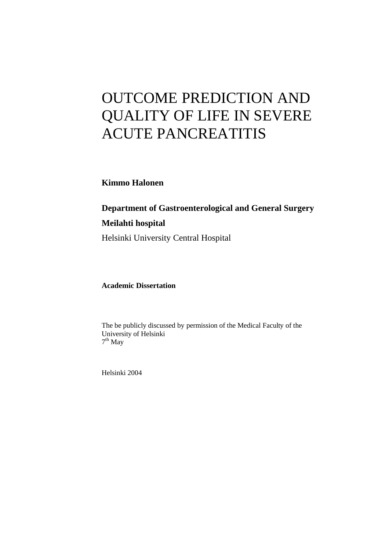# OUTCOME PREDICTION AND QUALITY OF LIFE IN SEVERE ACUTE PANCREATITIS

**Kimmo Halonen** 

**Department of Gastroenterological and General Surgery** 

# **Meilahti hospital**

Helsinki University Central Hospital

**Academic Dissertation** 

The be publicly discussed by permission of the Medical Faculty of the University of Helsinki 7<sup>th</sup> May

Helsinki 2004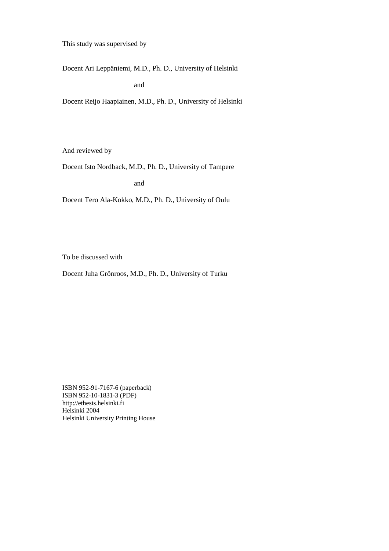This study was supervised by

Docent Ari Leppäniemi, M.D., Ph. D., University of Helsinki

and

Docent Reijo Haapiainen, M.D., Ph. D., University of Helsinki

And reviewed by

Docent Isto Nordback, M.D., Ph. D., University of Tampere

and

Docent Tero Ala-Kokko, M.D., Ph. D., University of Oulu

To be discussed with

Docent Juha Grönroos, M.D., Ph. D., University of Turku

ISBN 952-91-7167-6 (paperback) ISBN 952-10-1831-3 (PDF) http://ethesis.helsinki.fi Helsinki 2004 Helsinki University Printing House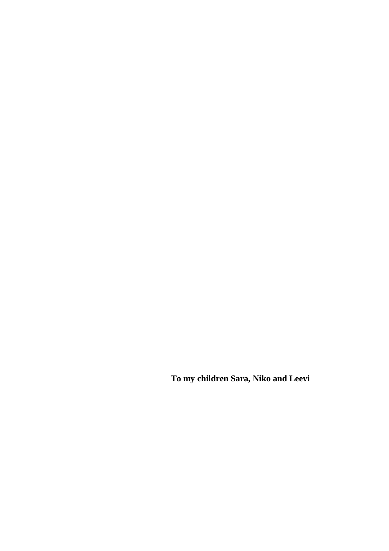**To my children Sara, Niko and Leevi**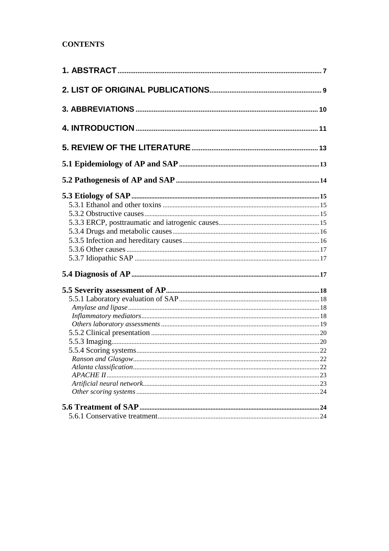# **CONTENTS**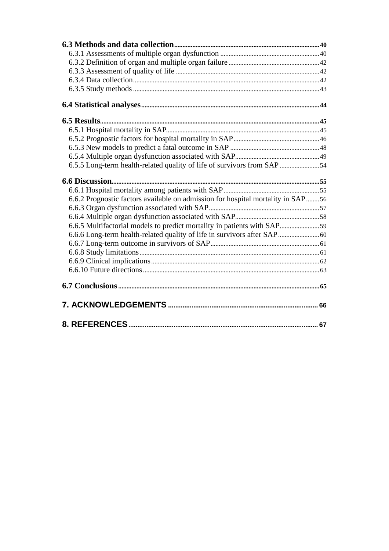| 6.6.2 Prognostic factors available on admission for hospital mortality in SAP56 |    |
|---------------------------------------------------------------------------------|----|
|                                                                                 |    |
|                                                                                 |    |
| 6.6.5 Multifactorial models to predict mortality in patients with SAP59         |    |
|                                                                                 |    |
|                                                                                 |    |
|                                                                                 |    |
|                                                                                 |    |
|                                                                                 |    |
|                                                                                 |    |
|                                                                                 |    |
| 8. REFERENCES                                                                   | 67 |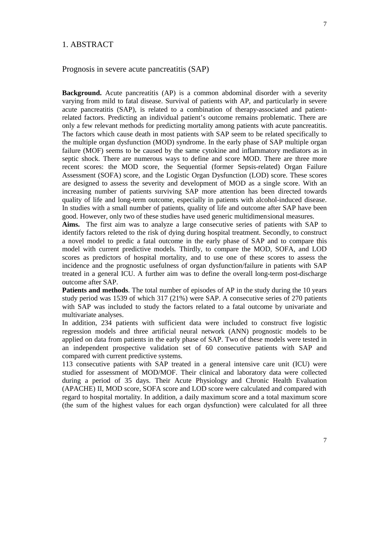#### 1. ABSTRACT

#### Prognosis in severe acute pancreatitis (SAP)

**Background.** Acute pancreatitis (AP) is a common abdominal disorder with a severity varying from mild to fatal disease. Survival of patients with AP, and particularly in severe acute pancreatitis (SAP), is related to a combination of therapy-associated and patientrelated factors. Predicting an individual patient's outcome remains problematic. There are only a few relevant methods for predicting mortality among patients with acute pancreatitis. The factors which cause death in most patients with SAP seem to be related specifically to the multiple organ dysfunction (MOD) syndrome. In the early phase of SAP multiple organ failure (MOF) seems to be caused by the same cytokine and inflammatory mediators as in septic shock. There are numerous ways to define and score MOD. There are three more recent scores: the MOD score, the Sequential (former Sepsis-related) Organ Failure Assessment (SOFA) score, and the Logistic Organ Dysfunction (LOD) score. These scores are designed to assess the severity and development of MOD as a single score. With an increasing number of patients surviving SAP more attention has been directed towards quality of life and long-term outcome, especially in patients with alcohol-induced disease. In studies with a small number of patients, quality of life and outcome after SAP have been good. However, only two of these studies have used generic multidimensional measures.

**Aims.** The first aim was to analyze a large consecutive series of patients with SAP to identify factors releted to the risk of dying during hospital treatment. Secondly, to construct a novel model to predic a fatal outcome in the early phase of SAP and to compare this model with current predictive models*.* Thirdly, to compare the MOD, SOFA, and LOD scores as predictors of hospital mortality, and to use one of these scores to assess the incidence and the prognostic usefulness of organ dysfunction/failure in patients with SAP treated in a general ICU. A further aim was to define the overall long-term post-discharge outcome after SAP.

**Patients and methods**. The total number of episodes of AP in the study during the 10 years study period was 1539 of which 317 (21%) were SAP. A consecutive series of 270 patients with SAP was included to study the factors related to a fatal outcome by univariate and multivariate analyses.

In addition, 234 patients with sufficient data were included to construct five logistic regression models and three artificial neural network (ANN) prognostic models to be applied on data from patients in the early phase of SAP. Two of these models were tested in an independent prospective validation set of 60 consecutive patients with SAP and compared with current predictive systems.

113 consecutive patients with SAP treated in a general intensive care unit (ICU) were studied for assessment of MOD/MOF. Their clinical and laboratory data were collected during a period of 35 days. Their Acute Physiology and Chronic Health Evaluation (APACHE) II, MOD score, SOFA score and LOD score were calculated and compared with regard to hospital mortality. In addition, a daily maximum score and a total maximum score (the sum of the highest values for each organ dysfunction) were calculated for all three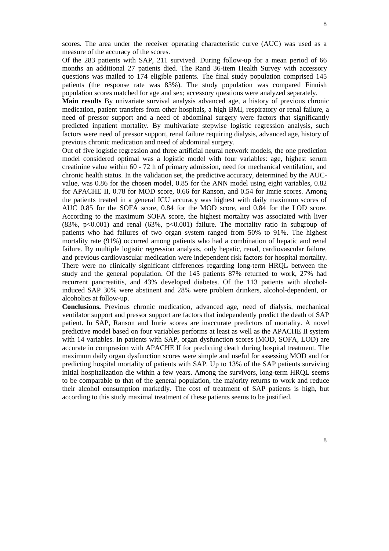scores. The area under the receiver operating characteristic curve (AUC) was used as a measure of the accuracy of the scores.

Of the 283 patients with SAP, 211 survived. During follow-up for a mean period of 66 months an additional 27 patients died. The Rand 36-item Health Survey with accessory questions was mailed to 174 eligible patients. The final study population comprised 145 patients (the response rate was 83%). The study population was compared Finnish population scores matched for age and sex; accessory questions were analyzed separately.

**Main results** By univariate survival analysis advanced age, a history of previous chronic medication, patient transfers from other hospitals, a high BMI, respiratory or renal failure, a need of pressor support and a need of abdominal surgery were factors that significantly predicted inpatient mortality. By multivariate stepwise logistic regression analysis, such factors were need of pressor support, renal failure requiring dialysis, advanced age, history of previous chronic medication and need of abdominal surgery.

Out of five logistic regression and three artificial neural network models, the one prediction model considered optimal was a logistic model with four variables: age, highest serum creatinine value within 60 - 72 h of primary admission, need for mechanical ventilation, and chronic health status. In the validation set, the predictive accuracy, determined by the AUCvalue, was 0.86 for the chosen model, 0.85 for the ANN model using eight variables, 0.82 for APACHE II, 0.78 for MOD score, 0.66 for Ranson, and 0.54 for Imrie scores. Among the patients treated in a general ICU accuracy was highest with daily maximum scores of AUC 0.85 for the SOFA score, 0.84 for the MOD score, and 0.84 for the LOD score. According to the maximum SOFA score, the highest mortality was associated with liver  $(83\%, p<0.001)$  and renal  $(63\%, p<0.001)$  failure. The mortality ratio in subgroup of patients who had failures of two organ system ranged from 50% to 91%. The highest mortality rate (91%) occurred among patients who had a combination of hepatic and renal failure. By multiple logistic regression analysis, only hepatic, renal, cardiovascular failure, and previous cardiovascular medication were independent risk factors for hospital mortality. There were no clinically significant differences regarding long-term HRQL between the study and the general population. Of the 145 patients 87% returned to work, 27% had recurrent pancreatitis, and 43% developed diabetes. Of the 113 patients with alcoholinduced SAP 30% were abstinent and 28% were problem drinkers, alcohol-dependent, or alcoholics at follow-up.

**Conclusions.** Previous chronic medication, advanced age, need of dialysis, mechanical ventilator support and pressor support are factors that independently predict the death of SAP patient. In SAP, Ranson and Imrie scores are inaccurate predictors of mortality. A novel predictive model based on four variables performs at least as well as the APACHE II system with 14 variables. In patients with SAP, organ dysfunction scores (MOD, SOFA, LOD) are accurate in comprasion with APACHE II for predicting death during hospital treatment. The maximum daily organ dysfunction scores were simple and useful for assessing MOD and for predicting hospital mortality of patients with SAP. Up to 13% of the SAP patients surviving initial hospitalization die within a few years. Among the survivors, long-term HRQL seems to be comparable to that of the general population, the majority returns to work and reduce their alcohol consumption markedly. The cost of treatment of SAP patients is high, but according to this study maximal treatment of these patients seems to be justified.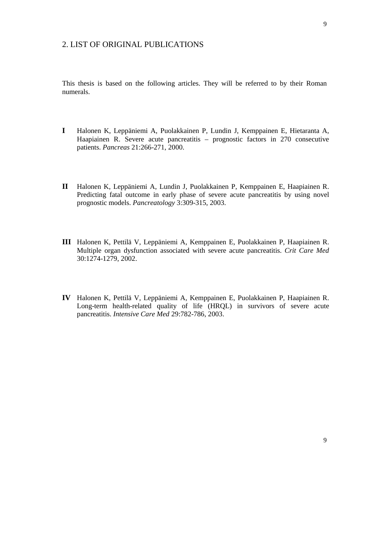This thesis is based on the following articles. They will be referred to by their Roman numerals.

- **I** Halonen K, Leppäniemi A, Puolakkainen P, Lundin J, Kemppainen E, Hietaranta A, Haapiainen R. Severe acute pancreatitis – prognostic factors in 270 consecutive patients. *Pancreas* 21:266-271, 2000.
- **II** Halonen K, Leppäniemi A, Lundin J, Puolakkainen P, Kemppainen E, Haapiainen R. Predicting fatal outcome in early phase of severe acute pancreatitis by using novel prognostic models. *Pancreatology* 3:309-315, 2003.
- **III** Halonen K, Pettilä V, Leppäniemi A, Kemppainen E, Puolakkainen P, Haapiainen R. Multiple organ dysfunction associated with severe acute pancreatitis. *Crit Care Med* 30:1274-1279, 2002.
- **IV** Halonen K, Pettilä V, Leppäniemi A, Kemppainen E, Puolakkainen P, Haapiainen R. Long-term health-related quality of life (HRQL) in survivors of severe acute pancreatitis. *Intensive Care Med* 29:782-786, 2003.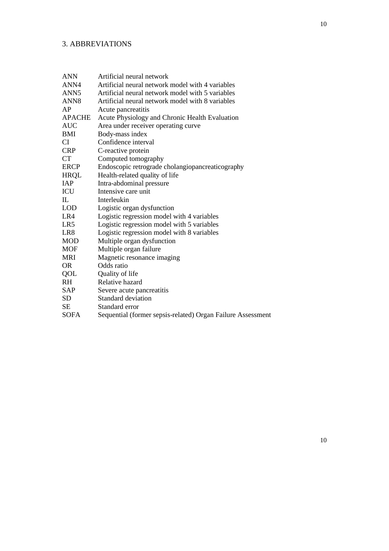## 3. ABBREVIATIONS

| <b>ANN</b>       | Artificial neural network                                   |
|------------------|-------------------------------------------------------------|
| ANN4             | Artificial neural network model with 4 variables            |
| ANN <sub>5</sub> | Artificial neural network model with 5 variables            |
| ANN <sub>8</sub> | Artificial neural network model with 8 variables            |
| AP               | Acute pancreatitis                                          |
| <b>APACHE</b>    | Acute Physiology and Chronic Health Evaluation              |
| <b>AUC</b>       | Area under receiver operating curve                         |
| BMI              | Body-mass index                                             |
| CI               | Confidence interval                                         |
| <b>CRP</b>       | C-reactive protein                                          |
| <b>CT</b>        | Computed tomography                                         |
| <b>ERCP</b>      | Endoscopic retrograde cholangiopancreaticography            |
| <b>HRQL</b>      | Health-related quality of life                              |
| IAP              | Intra-abdominal pressure                                    |
| ICU              | Intensive care unit                                         |
| IL               | Interleukin                                                 |
| <b>LOD</b>       | Logistic organ dysfunction                                  |
| LR4              | Logistic regression model with 4 variables                  |
| LR5              | Logistic regression model with 5 variables                  |
| LR8              | Logistic regression model with 8 variables                  |
| <b>MOD</b>       | Multiple organ dysfunction                                  |
| <b>MOF</b>       | Multiple organ failure                                      |
| <b>MRI</b>       | Magnetic resonance imaging                                  |
| <b>OR</b>        | Odds ratio                                                  |
| QOL              | Quality of life                                             |
| RH.              | Relative hazard                                             |
| SAP              | Severe acute pancreatitis                                   |
| SD               | Standard deviation                                          |
| <b>SE</b>        | Standard error                                              |
| <b>SOFA</b>      | Sequential (former sepsis-related) Organ Failure Assessment |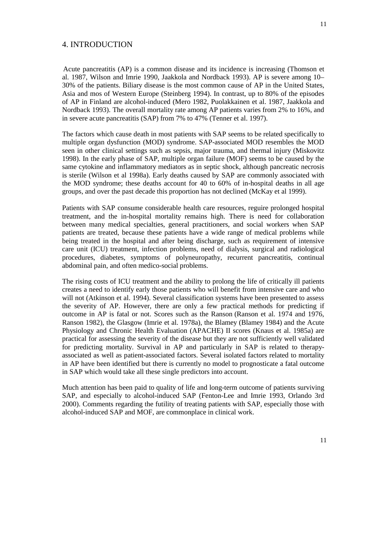#### 4. INTRODUCTION

11

Acute pancreatitis (AP) is a common disease and its incidence is increasing (Thomson et al. 1987, Wilson and Imrie 1990, Jaakkola and Nordback 1993). AP is severe among 10– 30% of the patients. Biliary disease is the most common cause of AP in the United States, Asia and mos of Western Europe (Steinberg 1994). In contrast, up to 80% of the episodes of AP in Finland are alcohol-induced (Mero 1982, Puolakkainen et al. 1987, Jaakkola and Nordback 1993). The overall mortality rate among AP patients varies from 2% to 16%, and in severe acute pancreatitis (SAP) from 7% to 47% (Tenner et al. 1997).

The factors which cause death in most patients with SAP seems to be related specifically to multiple organ dysfunction (MOD) syndrome. SAP-associated MOD resembles the MOD seen in other clinical settings such as sepsis, major trauma, and thermal injury (Miskovitz 1998). In the early phase of SAP, multiple organ failure (MOF) seems to be caused by the same cytokine and inflammatory mediators as in septic shock, although pancreatic necrosis is sterile (Wilson et al 1998a). Early deaths caused by SAP are commonly associated with the MOD syndrome; these deaths account for 40 to 60% of in-hospital deaths in all age groups, and over the past decade this proportion has not declined (McKay et al 1999).

Patients with SAP consume considerable health care resources, reguire prolonged hospital treatment, and the in-hospital mortality remains high. There is need for collaboration between many medical specialties, general practitioners, and social workers when SAP patients are treated, because these patients have a wide range of medical problems while being treated in the hospital and after being discharge, such as requirement of intensive care unit (ICU) treatment, infection problems, need of dialysis, surgical and radiological procedures, diabetes, symptoms of polyneuropathy, recurrent pancreatitis, continual abdominal pain, and often medico-social problems.

The rising costs of ICU treatment and the ability to prolong the life of critically ill patients creates a need to identify early those patients who will benefit from intensive care and who will not (Atkinson et al. 1994). Several classification systems have been presented to assess the severity of AP. However, there are only a few practical methods for predicting if outcome in AP is fatal or not. Scores such as the Ranson (Ranson et al. 1974 and 1976, Ranson 1982), the Glasgow (Imrie et al. 1978a), the Blamey (Blamey 1984) and the Acute Physiology and Chronic Health Evaluation (APACHE) II scores (Knaus et al. 1985a) are practical for assessing the severity of the disease but they are not sufficiently well validated for predicting mortality. Survival in AP and particularly in SAP is related to therapyassociated as well as patient-associated factors. Several isolated factors related to mortality in AP have been identified but there is currently no model to prognosticate a fatal outcome in SAP which would take all these single predictors into account.

Much attention has been paid to quality of life and long-term outcome of patients surviving SAP, and especially to alcohol-induced SAP (Fenton-Lee and Imrie 1993, Orlando 3rd 2000). Comments regarding the futility of treating patients with SAP, especially those with alcohol-induced SAP and MOF, are commonplace in clinical work.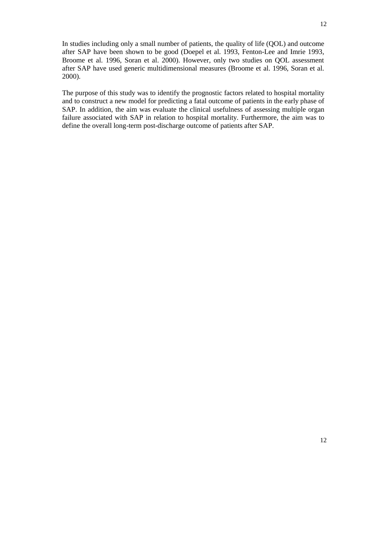In studies including only a small number of patients, the quality of life (QOL) and outcome after SAP have been shown to be good (Doepel et al. 1993, Fenton-Lee and Imrie 1993, Broome et al. 1996, Soran et al. 2000). However, only two studies on QOL assessment after SAP have used generic multidimensional measures (Broome et al. 1996, Soran et al. 2000).

The purpose of this study was to identify the prognostic factors related to hospital mortality and to construct a new model for predicting a fatal outcome of patients in the early phase of SAP. In addition, the aim was evaluate the clinical usefulness of assessing multiple organ failure associated with SAP in relation to hospital mortality. Furthermore, the aim was to define the overall long-term post-discharge outcome of patients after SAP.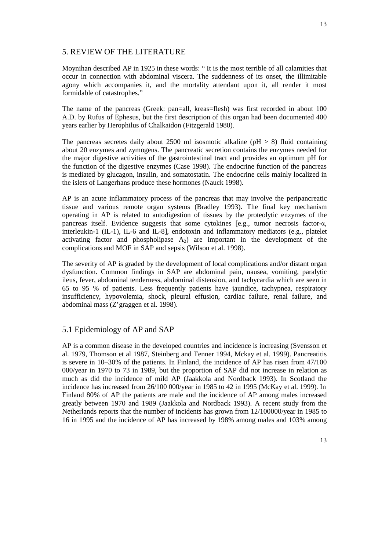#### 5. REVIEW OF THE LITERATURE

Moynihan described AP in 1925 in these words: " It is the most terrible of all calamities that occur in connection with abdominal viscera. The suddenness of its onset, the illimitable agony which accompanies it, and the mortality attendant upon it, all render it most formidable of catastrophes."

The name of the pancreas (Greek: pan=all, kreas=flesh) was first recorded in about 100 A.D. by Rufus of Ephesus, but the first description of this organ had been documented 400 years earlier by Herophilus of Chalkaidon (Fitzgerald 1980).

The pancreas secretes daily about 2500 ml isosmotic alkaline ( $pH > 8$ ) fluid containing about 20 enzymes and zymogens. The pancreatic secretion contains the enzymes needed for the major digestive activities of the gastrointestinal tract and provides an optimum pH for the function of the digestive enzymes (Case 1998). The endocrine function of the pancreas is mediated by glucagon, insulin, and somatostatin. The endocrine cells mainly localized in the islets of Langerhans produce these hormones (Nauck 1998).

AP is an acute inflammatory process of the pancreas that may involve the peripancreatic tissue and various remote organ systems (Bradley 1993). The final key mechanism operating in AP is related to autodigestion of tissues by the proteolytic enzymes of the pancreas itself. Evidence suggests that some cytokines  $[e.g.,$  tumor necrosis factor- $\alpha$ , interleukin-1 (IL-1), IL-6 and IL-8], endotoxin and inflammatory mediators (e.g., platelet activating factor and phospholipase  $A_2$  are important in the development of the complications and MOF in SAP and sepsis (Wilson et al. 1998).

The severity of AP is graded by the development of local complications and/or distant organ dysfunction. Common findings in SAP are abdominal pain, nausea, vomiting, paralytic ileus, fever, abdominal tenderness, abdominal distension, and tachycardia which are seen in 65 to 95 % of patients. Less frequently patients have jaundice, tachypnea, respiratory insufficiency, hypovolemia, shock, pleural effusion, cardiac failure, renal failure, and abdominal mass (Z'graggen et al. 1998).

#### 5.1 Epidemiology of AP and SAP

AP is a common disease in the developed countries and incidence is increasing (Svensson et al. 1979, Thomson et al 1987, Steinberg and Tenner 1994, Mckay et al. 1999). Pancreatitis is severe in 10–30% of the patients. In Finland, the incidence of AP has risen from 47/100 000/year in 1970 to 73 in 1989, but the proportion of SAP did not increase in relation as much as did the incidence of mild AP (Jaakkola and Nordback 1993). In Scotland the incidence has increased from 26/100 000/year in 1985 to 42 in 1995 (McKay et al. 1999). In Finland 80% of AP the patients are male and the incidence of AP among males increased greatly between 1970 and 1989 (Jaakkola and Nordback 1993). A recent study from the Netherlands reports that the number of incidents has grown from 12/100000/year in 1985 to 16 in 1995 and the incidence of AP has increased by 198% among males and 103% among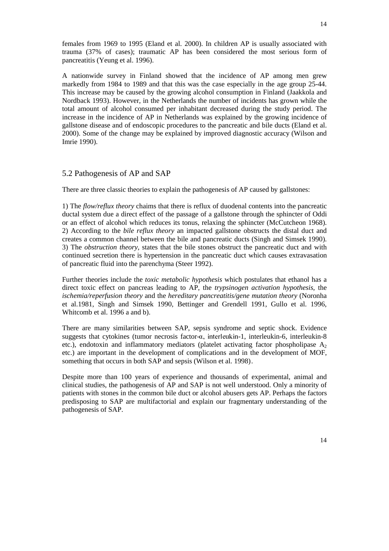females from 1969 to 1995 (Eland et al. 2000). In children AP is usually associated with trauma (37% of cases); traumatic AP has been considered the most serious form of pancreatitis (Yeung et al. 1996).

A nationwide survey in Finland showed that the incidence of AP among men grew markedly from 1984 to 1989 and that this was the case especially in the age group 25-44. This increase may be caused by the growing alcohol consumption in Finland (Jaakkola and Nordback 1993). However, in the Netherlands the number of incidents has grown while the total amount of alcohol consumed per inhabitant decreased during the study period. The increase in the incidence of AP in Netherlands was explained by the growing incidence of gallstone disease and of endoscopic procedures to the pancreatic and bile ducts (Eland et al. 2000). Some of the change may be explained by improved diagnostic accuracy (Wilson and Imrie 1990).

## 5.2 Pathogenesis of AP and SAP

There are three classic theories to explain the pathogenesis of AP caused by gallstones:

1) The *flow/reflux theory* chaims that there is reflux of duodenal contents into the pancreatic ductal system due a direct effect of the passage of a gallstone through the sphincter of Oddi or an effect of alcohol which reduces its tonus, relaxing the sphincter (McCutcheon 1968). 2) According to the *bile reflux theory* an impacted gallstone obstructs the distal duct and creates a common channel between the bile and pancreatic ducts (Singh and Simsek 1990). 3) The *obstruction theory*, states that the bile stones obstruct the pancreatic duct and with continued secretion there is hypertension in the pancreatic duct which causes extravasation of pancreatic fluid into the parenchyma (Steer 1992).

Further theories include the *toxic metabolic hypothesis* which postulates that ethanol has a direct toxic effect on pancreas leading to AP, the *trypsinogen activation hypothesis*, the *ischemia/reperfusion theory* and the *hereditary pancreatitis/gene mutation theory* (Noronha et al.1981, Singh and Simsek 1990, Bettinger and Grendell 1991, Gullo et al. 1996, Whitcomb et al. 1996 a and b).

There are many similarities between SAP, sepsis syndrome and septic shock. Evidence suggests that cytokines (tumor necrosis factor- $\alpha$ , interleukin-1, interleukin-6, interleukin-8<br>ata), and to inflammatory modistors (platelet estivating factor phasphaliness). etc.), endotoxin and inflammatory mediators (platelet activating factor phospholipase  $A_2$ etc.) are important in the development of complications and in the development of MOF, something that occurs in both SAP and sepsis (Wilson et al. 1998).

Despite more than 100 years of experience and thousands of experimental, animal and clinical studies, the pathogenesis of AP and SAP is not well understood. Only a minority of patients with stones in the common bile duct or alcohol abusers gets AP. Perhaps the factors predisposing to SAP are multifactorial and explain our fragmentary understanding of the pathogenesis of SAP.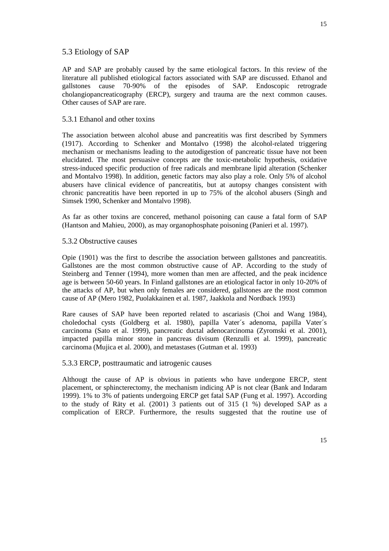AP and SAP are probably caused by the same etiological factors. In this review of the literature all published etiological factors associated with SAP are discussed. Ethanol and gallstones cause 70-90% of the episodes of SAP. Endoscopic retrograde cholangiopancreaticography (ERCP), surgery and trauma are the next common causes. Other causes of SAP are rare.

## 5.3.1 Ethanol and other toxins

The association between alcohol abuse and pancreatitis was first described by Symmers (1917). According to Schenker and Montalvo (1998) the alcohol-related triggering mechanism or mechanisms leading to the autodigestion of pancreatic tissue have not been elucidated. The most persuasive concepts are the toxic-metabolic hypothesis, oxidative stress-induced specific production of free radicals and membrane lipid alteration (Schenker and Montalvo 1998). In addition, genetic factors may also play a role. Only 5% of alcohol abusers have clinical evidence of pancreatitis, but at autopsy changes consistent with chronic pancreatitis have been reported in up to 75% of the alcohol abusers (Singh and Simsek 1990, Schenker and Montalvo 1998).

As far as other toxins are concered, methanol poisoning can cause a fatal form of SAP (Hantson and Mahieu, 2000), as may organophosphate poisoning (Panieri et al. 1997).

#### 5.3.2 Obstructive causes

Opie (1901) was the first to describe the association between gallstones and pancreatitis. Gallstones are the most common obstructive cause of AP. According to the study of Steinberg and Tenner (1994), more women than men are affected, and the peak incidence age is between 50-60 years. In Finland gallstones are an etiological factor in only 10-20% of the attacks of AP, but when only females are considered, gallstones are the most common cause of AP (Mero 1982, Puolakkainen et al. 1987, Jaakkola and Nordback 1993)

Rare causes of SAP have been reported related to ascariasis (Choi and Wang 1984), choledochal cysts (Goldberg et al. 1980), papilla Vater´s adenoma, papilla Vater´s carcinoma (Sato et al. 1999), pancreatic ductal adenocarcinoma (Zyromski et al. 2001), impacted papilla minor stone in pancreas divisum (Renzulli et al. 1999), pancreatic carcinoma (Mujica et al. 2000), and metastases (Gutman et al. 1993)

## 5.3.3 ERCP, posttraumatic and iatrogenic causes

Althougt the cause of AP is obvious in patients who have undergone ERCP, stent placement, or sphincterectomy, the mechanism indicing AP is not clear (Bank and Indaram 1999). 1% to 3% of patients undergoing ERCP get fatal SAP (Fung et al. 1997). According to the study of Räty et al. (2001) 3 patients out of 315 (1 %) developed SAP as a complication of ERCP. Furthermore, the results suggested that the routine use of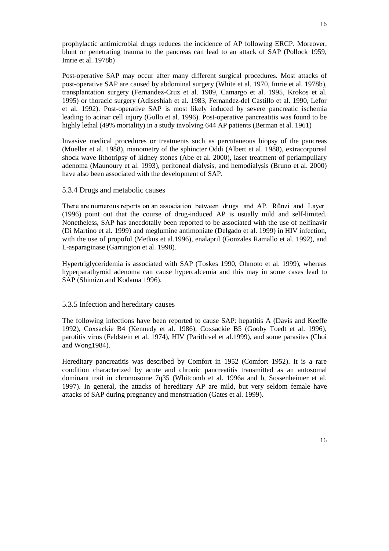prophylactic antimicrobial drugs reduces the incidence of AP following ERCP. Moreover, blunt or penetrating trauma to the pancreas can lead to an attack of SAP (Pollock 1959, Imrie et al. 1978b)

Post-operative SAP may occur after many different surgical procedures. Most attacks of post-operative SAP are caused by abdominal surgery (White et al. 1970, Imrie et al. 1978b), transplantation surgery (Fernandez-Cruz et al. 1989, Camargo et al. 1995, Krokos et al. 1995) or thoracic surgery (Adiseshiah et al. 1983, Fernandez-del Castillo et al. 1990, Lefor et al. 1992). Post-operative SAP is most likely induced by severe pancreatic ischemia leading to acinar cell injury (Gullo et al. 1996). Post-operative pancreatitis was found to be highly lethal (49% mortality) in a study involving 644 AP patients (Berman et al. 1961)

Invasive medical procedures or treatments such as percutaneous biopsy of the pancreas (Mueller et al. 1988), manometry of the sphincter Oddi (Albert et al. 1988), extracorporeal shock wave lithotripsy of kidney stones (Abe et al. 2000), laser treatment of periampullary adenoma (Maunoury et al. 1993), peritoneal dialysis, and hemodialysis (Bruno et al. 2000) have also been associated with the development of SAP.

#### 5.3.4 Drugs and metabolic causes

 

(1996) point out that the course of drug-induced AP is usually mild and self-limited. Nonetheless, SAP has anecdotally been reported to be associated with the use of nelfinavir (Di Martino et al. 1999) and meglumine antimoniate (Delgado et al. 1999) in HIV infection, with the use of propofol (Metkus et al.1996), enalapril (Gonzales Ramallo et al. 1992), and L-asparaginase (Garrington et al. 1998).

Hypertriglyceridemia is associated with SAP (Toskes 1990, Ohmoto et al. 1999), whereas hyperparathyroid adenoma can cause hypercalcemia and this may in some cases lead to SAP (Shimizu and Kodama 1996).

#### 5.3.5 Infection and hereditary causes

The following infections have been reported to cause SAP: hepatitis A (Davis and Keeffe 1992), Coxsackie B4 (Kennedy et al. 1986), Coxsackie B5 (Gooby Toedt et al. 1996), parotitis virus (Feldstein et al. 1974), HIV (Parithivel et al.1999), and some parasites (Choi and Wong1984).

Hereditary pancreatitis was described by Comfort in 1952 (Comfort 1952). It is a rare condition characterized by acute and chronic pancreatitis transmitted as an autosomal dominant trait in chromosome 7q35 (Whitcomb et al. 1996a and b, Sossenheimer et al. 1997). In general, the attacks of hereditary AP are mild, but very seldom female have attacks of SAP during pregnancy and menstruation (Gates et al. 1999).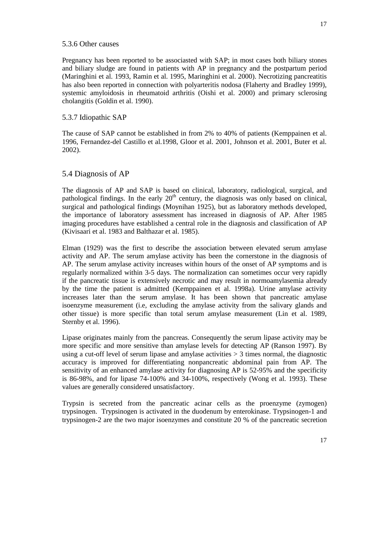#### 5.3.6 Other causes

Pregnancy has been reported to be associasted with SAP; in most cases both biliary stones and biliary sludge are found in patients with AP in pregnancy and the postpartum period (Maringhini et al. 1993, Ramin et al. 1995, Maringhini et al. 2000). Necrotizing pancreatitis has also been reported in connection with polyarteritis nodosa (Flaherty and Bradley 1999), systemic amyloidosis in rheumatoid arthritis (Oishi et al. 2000) and primary sclerosing cholangitis (Goldin et al. 1990).

#### 5.3.7 Idiopathic SAP

The cause of SAP cannot be established in from 2% to 40% of patients (Kemppainen et al. 1996, Fernandez-del Castillo et al.1998, Gloor et al. 2001, Johnson et al. 2001, Buter et al. 2002).

#### 5.4 Diagnosis of AP

The diagnosis of AP and SAP is based on clinical, laboratory, radiological, surgical, and pathological findings. In the early  $20<sup>th</sup>$  century, the diagnosis was only based on clinical, surgical and pathological findings (Moynihan 1925), but as laboratory methods developed, the importance of laboratory assessment has increased in diagnosis of AP. After 1985 imaging procedures have established a central role in the diagnosis and classification of AP (Kivisaari et al. 1983 and Balthazar et al. 1985).

Elman (1929) was the first to describe the association between elevated serum amylase activity and AP. The serum amylase activity has been the cornerstone in the diagnosis of AP. The serum amylase activity increases within hours of the onset of AP symptoms and is regularly normalized within 3-5 days. The normalization can sometimes occur very rapidly if the pancreatic tissue is extensively necrotic and may result in normoamylasemia already by the time the patient is admitted (Kemppainen et al. 1998a). Urine amylase activity increases later than the serum amylase. It has been shown that pancreatic amylase isoenzyme measurement (i.e, excluding the amylase activity from the salivary glands and other tissue) is more specific than total serum amylase measurement (Lin et al. 1989, Sternby et al. 1996).

Lipase originates mainly from the pancreas. Consequently the serum lipase activity may be more specific and more sensitive than amylase levels for detecting AP (Ranson 1997). By using a cut-off level of serum lipase and amylase activities  $>$  3 times normal, the diagnostic accuracy is improved for differentiating nonpancreatic abdominal pain from AP. The sensitivity of an enhanced amylase activity for diagnosing AP is 52-95% and the specificity is 86-98%, and for lipase 74-100% and 34-100%, respectively (Wong et al. 1993). These values are generally considered unsatisfactory.

Trypsin is secreted from the pancreatic acinar cells as the proenzyme (zymogen) trypsinogen. Trypsinogen is activated in the duodenum by enterokinase. Trypsinogen-1 and trypsinogen-2 are the two major isoenzymes and constitute 20 % of the pancreatic secretion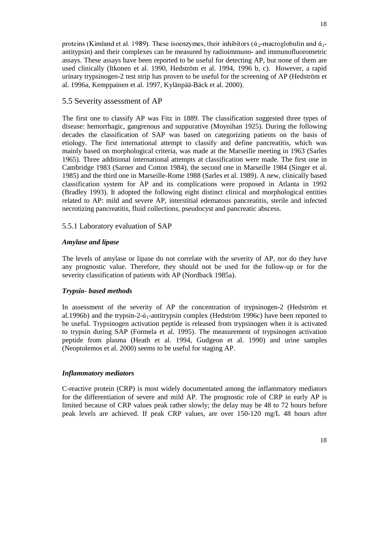proteins (Kimland et al. 1989). These isoenzymes, their inhibitors ( $\alpha_{2}$ -macroglobulin and  $\alpha_{1}$ antitypsin) and their complexes can be measured by radioimmuno- and immunofluorometric assays. These assays have been reported to be useful for detecting AP, but none of them are used clinically (Itkonen et al. 1990, Hedström et al. 1994, 1996 b, c). However, a rapid urinary trypsinogen-2 test strip has proven to be useful for the screening of AP (Hedström et al. 1996a, Kemppainen et al. 1997, Kylänpää-Bäck et al. 2000).

## 5.5 Severity assessment of AP

The first one to classify AP was Fitz in 1889. The classification suggested three types of disease: hemorrhagic, gangrenous and suppurative (Moynihan 1925). During the following decades the classification of SAP was based on categorizing patients on the basis of etiology. The first international attempt to classify and define pancreatitis, which was mainly based on morphological criteria, was made at the Marseille meeting in 1963 (Sarles 1965). Three additional international attempts at classification were made. The first one in Cambridge 1983 (Sarner and Cotton 1984), the second one in Marseille 1984 (Singer et al. 1985) and the third one in Marseille-Rome 1988 (Sarles et al. 1989). A new, clinically based classification system for AP and its complications were proposed in Atlanta in 1992 (Bradley 1993). It adopted the following eight distinct clinical and morphological entities related to AP: mild and severe AP, interstitial edematous pancreatitis, sterile and infected necrotizing pancreatitis, fluid collections, pseudocyst and pancreatic abscess.

## 5.5.1 Laboratory evaluation of SAP

#### *Amylase and lipase*

The levels of amylase or lipase do not correlate with the severity of AP, nor do they have any prognostic value. Therefore, they should not be used for the follow-up or for the severity classification of patients with AP (Nordback 1985a).

#### *Trypsin- based methods*

In assessment of the severity of AP the concentration of trypsinogen-2 (Hedström et al.1996b) and the trypsin-2- $\alpha_1$ -antitrypsin complex (Hedström 1996c) have been reported to be useful. Trypsinogen activation peptide is released from trypsinogen when it is activated to trypsin during SAP (Formela et al. 1995). The measurement of trypsinogen activation peptide from plasma (Heath et al. 1994, Gudgeon et al. 1990) and urine samples (Neoptolemos et al. 2000) seems to be useful for staging AP.

#### *Inflammatory mediators*

C-reactive protein (CRP) is most widely documentated among the inflammatory mediators for the differentiation of severe and mild AP. The prognostic role of CRP in early AP is limited because of CRP values peak rather slowly; the delay may be 48 to 72 hours before peak levels are achieved. If peak CRP values, are over 150-120 mg/L 48 hours after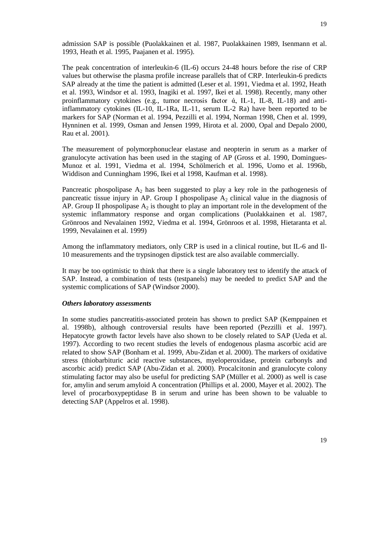admission SAP is possible (Puolakkainen et al. 1987, Puolakkainen 1989, Isenmann et al. 1993, Heath et al. 1995, Paajanen et al. 1995).

The peak concentration of interleukin-6 (IL-6) occurs 24-48 hours before the rise of CRP values but otherwise the plasma profile increase parallels that of CRP. Interleukin-6 predicts SAP already at the time the patient is admitted (Leser et al. 1991, Viedma et al. 1992, Heath et al. 1993, Windsor et al. 1993, Inagiki et al. 1997, Ikei et al. 1998). Recently, many other proinflammatory cytokines (e.g., tumor necrosis factor  $\dot{\alpha}$ , IL-1, IL-8, IL-18) and antiinflammatory cytokines (IL-10, IL-1Ra, IL-11, serum IL-2 Ra) have been reported to be markers for SAP (Norman et al. 1994, Pezzilli et al. 1994, Norman 1998, Chen et al. 1999, Hynninen et al. 1999, Osman and Jensen 1999, Hirota et al. 2000, Opal and Depalo 2000, Rau et al. 2001).

The measurement of polymorphonuclear elastase and neopterin in serum as a marker of granulocyte activation has been used in the staging of AP (Gross et al. 1990, Domingues-Munoz et al. 1991, Viedma et al. 1994, Schölmerich et al. 1996, Uomo et al. 1996b, Widdison and Cunningham 1996, Ikei et al 1998, Kaufman et al. 1998).

Pancreatic phospolipase  $A_2$  has been suggested to play a key role in the pathogenesis of pancreatic tissue injury in AP. Group I phospolipase  $A_2$  clinical value in the diagnosis of AP. Group II phospolipase  $A_2$  is thought to play an important role in the development of the systemic inflammatory response and organ complications (Puolakkainen et al. 1987, Grönroos and Nevalainen 1992, Viedma et al. 1994, Grönroos et al. 1998, Hietaranta et al. 1999, Nevalainen et al. 1999)

Among the inflammatory mediators, only CRP is used in a clinical routine, but IL-6 and Il-10 measurements and the trypsinogen dipstick test are also available commercially.

It may be too optimistic to think that there is a single laboratory test to identify the attack of SAP. Instead, a combination of tests (testpanels) may be needed to predict SAP and the systemic complications of SAP (Windsor 2000).

#### *Others laboratory assessments*

In some studies pancreatitis-associated protein has shown to predict SAP (Kemppainen et al. 1998b), although controversial results have been reported (Pezzilli et al. 1997). Hepatocyte growth factor levels have also shown to be closely related to SAP (Ueda et al. 1997). According to two recent studies the levels of endogenous plasma ascorbic acid are related to show SAP (Bonham et al. 1999, Abu-Zidan et al. 2000). The markers of oxidative stress (thiobarbituric acid reactive substances, myeloperoxidase, protein carbonyls and ascorbic acid) predict SAP (Abu-Zidan et al. 2000). Procalcitonin and granulocyte colony stimulating factor may also be useful for predicting SAP (Müller et al. 2000) as well is case for, amylin and serum amyloid A concentration (Phillips et al. 2000, Mayer et al. 2002). The level of procarboxypeptidase B in serum and urine has been shown to be valuable to detecting SAP (Appelros et al. 1998).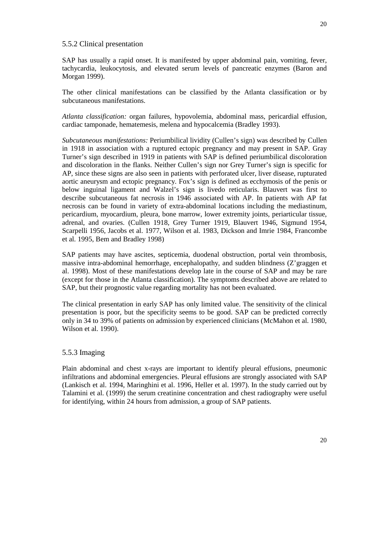SAP has usually a rapid onset. It is manifested by upper abdominal pain, vomiting, fever, tachycardia, leukocytosis, and elevated serum levels of pancreatic enzymes (Baron and Morgan 1999).

The other clinical manifestations can be classified by the Atlanta classification or by subcutaneous manifestations.

*Atlanta classification:* organ failures, hypovolemia, abdominal mass, pericardial effusion, cardiac tamponade, hematemesis, melena and hypocalcemia (Bradley 1993).

*Subcutaneous manifestations:* Periumbilical lividity (Cullen's sign) was described by Cullen in 1918 in association with a ruptured ectopic pregnancy and may present in SAP. Gray Turner's sign described in 1919 in patients with SAP is defined periumbilical discoloration and discoloration in the flanks. Neither Cullen's sign nor Grey Turner's sign is specific for AP, since these signs are also seen in patients with perforated ulcer, liver disease, rupturated aortic aneurysm and ectopic pregnancy. Fox's sign is defined as ecchymosis of the penis or below inguinal ligament and Walzel's sign is livedo reticularis. Blauvert was first to describe subcutaneous fat necrosis in 1946 associated with AP. In patients with AP fat necrosis can be found in variety of extra-abdominal locations including the mediastinum, pericardium, myocardium, pleura, bone marrow, lower extremity joints, periarticular tissue, adrenal, and ovaries. (Cullen 1918, Grey Turner 1919, Blauvert 1946, Sigmund 1954, Scarpelli 1956, Jacobs et al. 1977, Wilson et al. 1983, Dickson and Imrie 1984, Francombe et al. 1995, Bem and Bradley 1998)

SAP patients may have ascites, septicemia, duodenal obstruction, portal vein thrombosis, massive intra-abdominal hemorrhage, encephalopathy, and sudden blindness (Z'graggen et al. 1998). Most of these manifestations develop late in the course of SAP and may be rare (except for those in the Atlanta classification). The symptoms described above are related to SAP, but their prognostic value regarding mortality has not been evaluated.

The clinical presentation in early SAP has only limited value. The sensitivity of the clinical presentation is poor, but the specificity seems to be good. SAP can be predicted correctly only in 34 to 39% of patients on admission by experienced clinicians (McMahon et al. 1980, Wilson et al. 1990).

#### 5.5.3 Imaging

Plain abdominal and chest x-rays are important to identify pleural effusions, pneumonic infiltrations and abdominal emergencies. Pleural effusions are strongly associated with SAP (Lankisch et al. 1994, Maringhini et al. 1996, Heller et al. 1997). In the study carried out by Talamini et al. (1999) the serum creatinine concentration and chest radiography were useful for identifying, within 24 hours from admission, a group of SAP patients.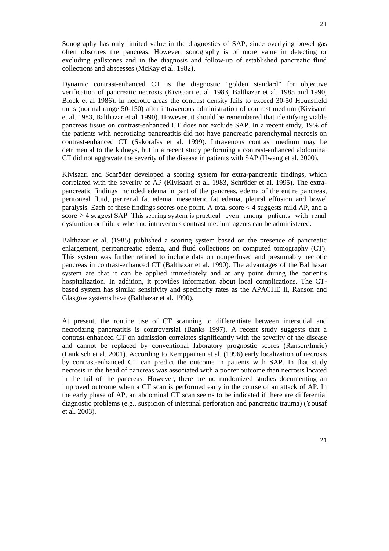Sonography has only limited value in the diagnostics of SAP, since overlying bowel gas often obscures the pancreas. However, sonography is of more value in detecting or excluding gallstones and in the diagnosis and follow-up of established pancreatic fluid collections and abscesses (McKay et al. 1982).

Dynamic contrast-enhanced CT is the diagnostic "golden standard" for objective verification of pancreatic necrosis (Kivisaari et al. 1983, Balthazar et al. 1985 and 1990, Block et al 1986). In necrotic areas the contrast density fails to exceed 30-50 Hounsfield units (normal range 50-150) after intravenous administration of contrast medium (Kivisaari et al. 1983, Balthazar et al. 1990). However, it should be remembered that identifying viable pancreas tissue on contrast-enhanced CT does not exclude SAP. In a recent study, 19% of the patients with necrotizing pancreatitis did not have pancreatic parenchymal necrosis on contrast-enhanced CT (Sakorafas et al. 1999). Intravenous contrast medium may be detrimental to the kidneys, but in a recent study performing a contrast-enhanced abdominal CT did not aggravate the severity of the disease in patients with SAP (Hwang et al. 2000).

Kivisaari and Schröder developed a scoring system for extra-pancreatic findings, which correlated with the severity of AP (Kivisaari et al. 1983, Schröder et al. 1995). The extrapancreatic findings included edema in part of the pancreas, edema of the entire pancreas, peritoneal fluid, perirenal fat edema, mesenteric fat edema, pleural effusion and bowel paralysis. Each of these findings scores one point. A total score < 4 suggests mild AP, and a score  $\geq$  4 suggest SAP. This scoring system is practical even among patients with renal dysfuntion or failure when no intravenous contrast medium agents can be administered.

Balthazar et al. (1985) published a scoring system based on the presence of pancreatic enlargement, peripancreatic edema, and fluid collections on computed tomography (CT). This system was further refined to include data on nonperfused and presumably necrotic pancreas in contrast-enhanced CT (Balthazar et al. 1990). The advantages of the Balthazar system are that it can be applied immediately and at any point during the patient's hospitalization. In addition, it provides information about local complications. The CTbased system has similar sensitivity and specificity rates as the APACHE II, Ranson and Glasgow systems have (Balthazar et al. 1990).

At present, the routine use of CT scanning to differentiate between interstitial and necrotizing pancreatitis is controversial (Banks 1997). A recent study suggests that a contrast-enhanced CT on admission correlates significantly with the severity of the disease and cannot be replaced by conventional laboratory prognostic scores (Ranson/Imrie) (Lankisch et al. 2001). According to Kemppainen et al. (1996) early localization of necrosis by contrast-enhanced CT can predict the outcome in patients with SAP. In that study necrosis in the head of pancreas was associated with a poorer outcome than necrosis located in the tail of the pancreas. However, there are no randomized studies documenting an improved outcome when a CT scan is performed early in the course of an attack of AP. In the early phase of AP, an abdominal CT scan seems to be indicated if there are differential diagnostic problems (e.g., suspicion of intestinal perforation and pancreatic trauma) (Yousaf et al. 2003).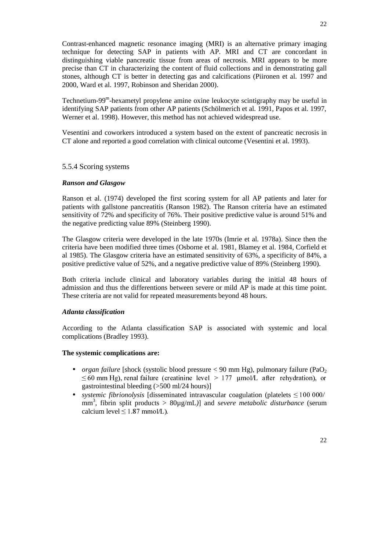Contrast-enhanced magnetic resonance imaging (MRI) is an alternative primary imaging technique for detecting SAP in patients with AP. MRI and CT are concordant in distinguishing viable pancreatic tissue from areas of necrosis. MRI appears to be more precise than CT in characterizing the content of fluid collections and in demonstrating gall stones, although CT is better in detecting gas and calcifications (Piironen et al. 1997 and 2000, Ward et al. 1997, Robinson and Sheridan 2000).

Technetium-99<sup>m</sup>-hexametyl propylene amine oxine leukocyte scintigraphy may be useful in identifying SAP patients from other AP patients (Schölmerich et al. 1991, Papos et al. 1997, Werner et al. 1998). However, this method has not achieved widespread use.

Vesentini and coworkers introduced a system based on the extent of pancreatic necrosis in CT alone and reported a good correlation with clinical outcome (Vesentini et al. 1993).

## 5.5.4 Scoring systems

## *Ranson and Glasgow*

Ranson et al. (1974) developed the first scoring system for all AP patients and later for patients with gallstone pancreatitis (Ranson 1982). The Ranson criteria have an estimated sensitivity of 72% and specificity of 76%. Their positive predictive value is around 51% and the negative predicting value 89% (Steinberg 1990).

The Glasgow criteria were developed in the late 1970s (Imrie et al. 1978a). Since then the criteria have been modified three times (Osborne et al. 1981, Blamey et al. 1984, Corfield et al 1985). The Glasgow criteria have an estimated sensitivity of 63%, a specificity of 84%, a positive predictive value of 52%, and a negative predictive value of 89% (Steinberg 1990).

Both criteria include clinical and laboratory variables during the initial 48 hours of admission and thus the differentions between severe or mild AP is made at this time point. These criteria are not valid for repeated measurements beyond 48 hours.

#### *Atlanta classification*

According to the Atlanta classification SAP is associated with systemic and local complications (Bradley 1993).

#### **The systemic complications are:**

- *organ failure* [shock (systolic blood pressure  $\lt 90$  mm Hg), pulmonary failure (PaO<sub>2</sub>)  $\leq$  60 mm Hg), renal failure (creatinine level > 177 µmol/L after rehydration), or gastrointestinal bleeding (>500 ml/24 hours)]
- *systemic fibrionolysis* [disseminated intravascular coagulation (platelets  $\leq 100000$ / mm3 , fibrin split products > 80µg/mL*)*] and *severe metabolic disturbance* (serum calcium level  $\leq 1.87$  mmol/L).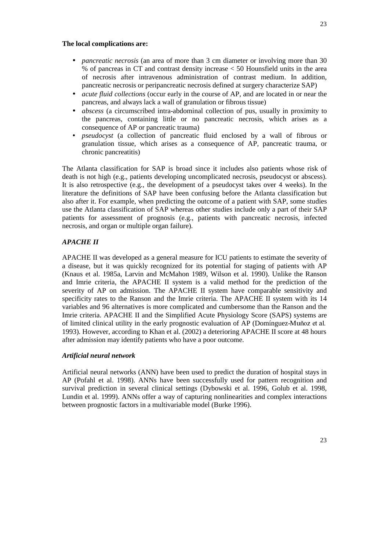#### **The local complications are:**

- *pancreatic necrosis* (an area of more than 3 cm diameter or involving more than 30 % of pancreas in CT and contrast density increase < 50 Hounsfield units in the area of necrosis after intravenous administration of contrast medium. In addition, pancreatic necrosis or peripancreatic necrosis defined at surgery characterize SAP)
- *acute fluid collections* (occur early in the course of AP, and are located in or near the pancreas, and always lack a wall of granulation or fibrous tissue)
- *abscess* (a circumscribed intra-abdominal collection of pus, usually in proximity to the pancreas, containing little or no pancreatic necrosis, which arises as a consequence of AP or pancreatic trauma)
- *pseudocyst* (a collection of pancreatic fluid enclosed by a wall of fibrous or granulation tissue, which arises as a consequence of AP, pancreatic trauma, or chronic pancreatitis)

The Atlanta classification for SAP is broad since it includes also patients whose risk of death is not high (e.g., patients developing uncomplicated necrosis, pseudocyst or abscess). It is also retrospective (e.g., the development of a pseudocyst takes over 4 weeks). In the literature the definitions of SAP have been confusing before the Atlanta classification but also after it. For example, when predicting the outcome of a patient with SAP, some studies use the Atlanta classification of SAP whereas other studies include only a part of their SAP patients for assessment of prognosis (e.g., patients with pancreatic necrosis, infected necrosis, and organ or multiple organ failure).

#### *APACHE II*

APACHE II was developed as a general measure for ICU patients to estimate the severity of a disease, but it was quickly recognized for its potential for staging of patients with AP (Knaus et al. 1985a, Larvin and McMahon 1989, Wilson et al. 1990). Unlike the Ranson and Imrie criteria, the APACHE II system is a valid method for the prediction of the severity of AP on admission. The APACHE II system have comparable sensitivity and specificity rates to the Ranson and the Imrie criteria. The APACHE II system with its 14 variables and 96 alternatives is more complicated and cumbersome than the Ranson and the Imrie criteria. APACHE II and the Simplified Acute Physiology Score (SAPS) systems are of limited clinical utility in the early prognostic evaluation of AP (Domínguez-Munoz et al. 1993). However, according to Khan et al. (2002) a deterioring APACHE II score at 48 hours after admission may identify patients who have a poor outcome.

#### *Artificial neural network*

Artificial neural networks (ANN) have been used to predict the duration of hospital stays in AP (Pofahl et al. 1998). ANNs have been successfully used for pattern recognition and survival prediction in several clinical settings (Dybowski et al. 1996, Golub et al. 1998, Lundin et al. 1999). ANNs offer a way of capturing nonlinearities and complex interactions between prognostic factors in a multivariable model (Burke 1996).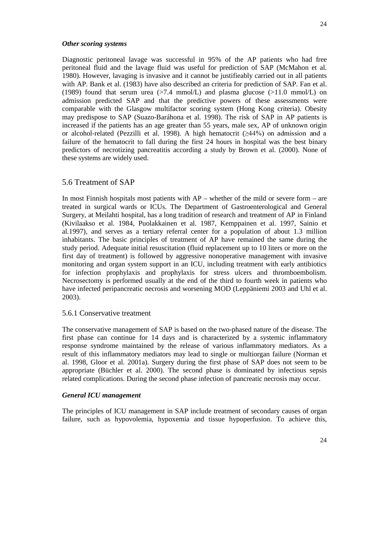#### *Other scoring systems*

Diagnostic peritoneal lavage was successful in 95% of the AP patients who had free peritoneal fluid and the lavage fluid was useful for prediction of SAP (McMahon et al. 1980). However, lavaging is invasive and it cannot be justifieably carried out in all patients with AP. Bank et al. (1983) have also described an criteria for prediction of SAP. Fan et al. (1989) found that serum urea ( $>7.4$  mmol/L) and plasma glucose ( $>11.0$  mmol/L) on admission predicted SAP and that the predictive powers of these assessments were comparable with the Glasgow multifactor scoring system (Hong Kong criteria). Obesity may predispose to SAP (Suazo-Baráhona et al. 1998). The risk of SAP in AP patients is increased if the patients has an age greater than 55 years, male sex, AP of unknown origin or alcohol-related (Pezzilli et al. 1998). A high hematocrit  $(\geq 44\%)$  on admission and a failure of the hematocrit to fall during the first 24 hours in hospital was the best binary predictors of necrotizing pancreatitis according a study by Brown et al. (2000). None of these systems are widely used.

## 5.6 Treatment of SAP

In most Finnish hospitals most patients with  $AP -$  whether of the mild or severe form – are treated in surgical wards or ICUs. The Department of Gastroenterological and General Surgery, at Meilahti hospital, has a long tradition of research and treatment of AP in Finland (Kivilaakso et al. 1984, Puolakkainen et al. 1987, Kemppainen et al. 1997, Sainio et al.1997), and serves as a tertiary referral center for a population of about 1.3 million inhabitants. The basic principles of treatment of AP have remained the same during the study period. Adequate initial resuscitation (fluid replacement up to 10 liters or more on the first day of treatment) is followed by aggressive nonoperative management with invasive monitoring and organ system support in an ICU, including treatment with early antibiotics for infection prophylaxis and prophylaxis for stress ulcers and thromboembolism. Necrosectomy is performed usually at the end of the third to fourth week in patients who have infected peripancreatic necrosis and worsening MOD (Leppäniemi 2003 and Uhl et al. 2003).

#### 5.6.1 Conservative treatment

The conservative management of SAP is based on the two-phased nature of the disease. The first phase can continue for 14 days and is characterized by a systemic inflammatory response syndrome maintained by the release of various inflammatory mediators. As a result of this inflammatory mediators may lead to single or multiorgan failure (Norman et al. 1998, Gloor et al. 2001a). Surgery during the first phase of SAP does not seem to be appropriate (Büchler et al. 2000). The second phase is dominated by infectious sepsis related complications. During the second phase infection of pancreatic necrosis may occur.

#### *General ICU management*

The principles of ICU management in SAP include treatment of secondary causes of organ failure, such as hypovolemia, hypoxemia and tissue hypoperfusion. To achieve this,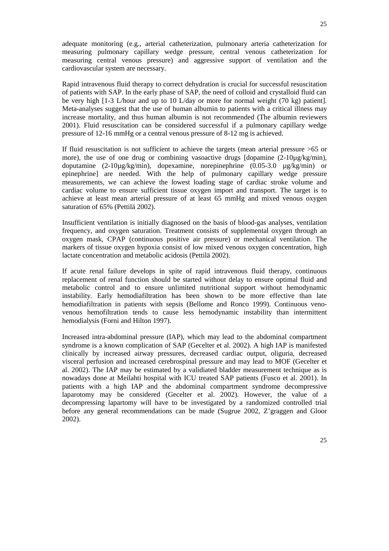adequate monitoring (e.g., arterial catheterization, pulmonary arteria catheterization for measuring pulmonary capillary wedge pressure, central venous catheterization for measuring central venous pressure) and aggressive support of ventilation and the cardiovascular system are necessary.

Rapid intravenous fluid therapy to correct dehydration is crucial for successful resuscitation of patients with SAP. In the early phase of SAP, the need of colloid and crystalloid fluid can be very high [1-3 L/hour and up to 10 L/day or more for normal weight (70 kg) patient]. Meta-analyses suggest that the use of human albumin to patients with a critical illness may increase mortality, and thus human albumin is not recommended (The albumin reviewers 2001). Fluid resuscitation can be considered successful if a pulmonary capillary wedge pressure of 12-16 mmHg or a central venous pressure of 8-12 mg is achieved.

If fluid resuscitation is not sufficient to achieve the targets (mean arterial pressure >65 or more), the use of one drug or combining vasoactive drugs  $\frac{\text{d}q}{\text{d}q}$  (2-10 $\frac{\text{d}q}{\text{d}q}$ ), doputamine  $(2-10\mu g/kg/min)$ , dopexamine, norepinephrine  $(0.05-3.0 \mu g/kg/min)$  or epinephrine] are needed. With the help of pulmonary capillary wedge pressure measurements, we can achieve the lowest loading stage of cardiac stroke volume and cardiac volume to ensure sufficient tissue oxygen import and transport. The target is to achieve at least mean arterial pressure of at least 65 mmHg and mixed venous oxygen saturation of 65% (Pettilä 2002).

Insufficient ventilation is initially diagnosed on the basis of blood-gas analyses, ventilation frequency, and oxygen saturation. Treatment consists of supplemental oxygen through an oxygen mask, CPAP (continuous positive air pressure) or mechanical ventilation. The markers of tissue oxygen hypoxia consist of low mixed venous oxygen concentration, high lactate concentration and metabolic acidosis (Pettilä 2002).

If acute renal failure develops in spite of rapid intravenous fluid therapy, continuous replacement of renal function should be started without delay to ensure optimal fluid and metabolic control and to ensure unlimited nutritional support without hemodynamic instability. Early hemodiafiltration has been shown to be more effective than late hemodiafiltration in patients with sepsis (Bellome and Ronco 1999). Continuous venovenous hemofiltration tends to cause less hemodynamic instability than intermittent hemodialysis (Forni and Hilton 1997).

Increased intra-abdominal pressure (IAP), which may lead to the abdominal compartment syndrome is a known complication of SAP (Gecelter et al. 2002). A high IAP is manifested clinically by increased airway pressures, decreased cardiac output, oliguria, decreased visceral perfusion and increased cerebrospinal pressure and may lead to MOF (Gecelter et al. 2002). The IAP may be estimated by a validiated bladder measurement technique as is nowadays done at Meilahti hospital with ICU treated SAP patients (Fusco et al. 2001). In patients with a high IAP and the abdominal compartment syndrome decompressive laparotomy may be considered (Gecelter et al. 2002). However, the value of a decompressing lapartomy will have to be investigated by a randomized controlled trial before any general recommendations can be made (Sugrue 2002, Z'graggen and Gloor 2002).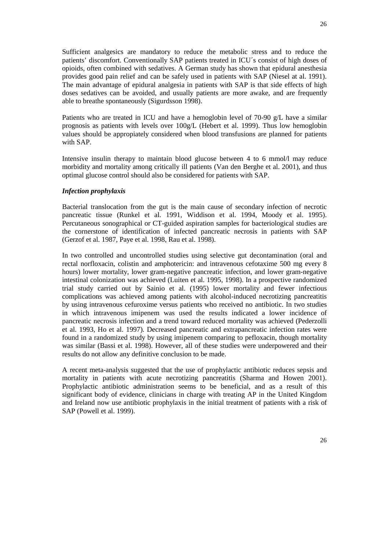Sufficient analgesics are mandatory to reduce the metabolic stress and to reduce the patients' discomfort. Conventionally SAP patients treated in ICU´s consist of high doses of opioids, often combined with sedatives. A German study has shown that epidural anesthesia provides good pain relief and can be safely used in patients with SAP (Niesel at al. 1991). The main advantage of epidural analgesia in patients with SAP is that side effects of high doses sedatives can be avoided, and usually patients are more awake, and are frequently able to breathe spontaneously (Sigurdsson 1998).

Patients who are treated in ICU and have a hemoglobin level of 70-90 g/L have a similar prognosis as patients with levels over  $100g/L$  (Hebert et al. 1999). Thus low hemoglobin values should be appropiately considered when blood transfusions are planned for patients with SAP.

Intensive insulin therapy to maintain blood glucose between 4 to 6 mmol/l may reduce morbidity and mortality among critically ill patients (Van den Berghe et al. 2001), and thus optimal glucose control should also be considered for patients with SAP.

## *Infection prophylaxis*

Bacterial translocation from the gut is the main cause of secondary infection of necrotic pancreatic tissue (Runkel et al. 1991, Widdison et al. 1994, Moody et al. 1995). Percutaneous sonographical or CT-guided aspiration samples for bacteriological studies are the cornerstone of identification of infected pancreatic necrosis in patients with SAP (Gerzof et al. 1987, Paye et al. 1998, Rau et al. 1998).

In two controlled and uncontrolled studies using selective gut decontamination (oral and rectal norfloxacin, colistin and amphotericin: and intravenous cefotaxime 500 mg every 8 hours) lower mortality, lower gram-negative pancreatic infection, and lower gram-negative intestinal colonization was achieved (Luiten et al. 1995, 1998). In a prospective randomized trial study carried out by Sainio et al. (1995) lower mortality and fewer infectious complications was achieved among patients with alcohol-induced necrotizing pancreatitis by using intravenous cefuroxime versus patients who received no antibiotic. In two studies in which intravenous imipenem was used the results indicated a lower incidence of pancreatic necrosis infection and a trend toward reduced mortality was achieved (Pederzolli et al. 1993, Ho et al. 1997). Decreased pancreatic and extrapancreatic infection rates were found in a randomized study by using imipenem comparing to pefloxacin, though mortality was similar (Bassi et al. 1998). However, all of these studies were underpowered and their results do not allow any definitive conclusion to be made.

A recent meta-analysis suggested that the use of prophylactic antibiotic reduces sepsis and mortality in patients with acute necrotizing pancreatitis (Sharma and Howen 2001). Prophylactic antibiotic administration seems to be beneficial, and as a result of this significant body of evidence, clinicians in charge with treating AP in the United Kingdom and Ireland now use antibiotic prophylaxis in the initial treatment of patients with a risk of SAP (Powell et al. 1999).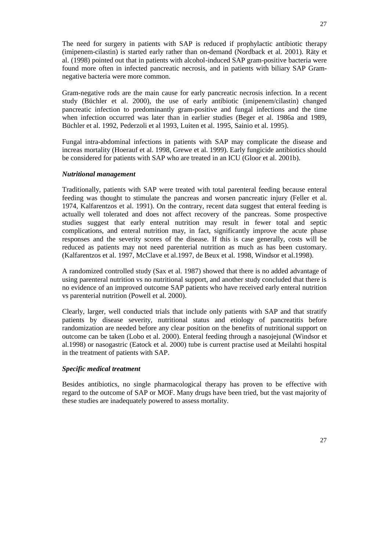The need for surgery in patients with SAP is reduced if prophylactic antibiotic therapy (imipenem-cilastin) is started early rather than on-demand (Nordback et al. 2001). Räty et al. (1998) pointed out that in patients with alcohol-induced SAP gram-positive bacteria were found more often in infected pancreatic necrosis, and in patients with biliary SAP Gramnegative bacteria were more common.

Gram-negative rods are the main cause for early pancreatic necrosis infection. In a recent study (Büchler et al. 2000), the use of early antibiotic (imipenem/cilastin) changed pancreatic infection to predominantly gram-positive and fungal infections and the time when infection occurred was later than in earlier studies (Beger et al. 1986a and 1989, Büchler et al. 1992, Pederzoli et al 1993, Luiten et al. 1995, Sainio et al. 1995).

Fungal intra-abdominal infections in patients with SAP may complicate the disease and increas mortality (Hoerauf et al. 1998, Grewe et al. 1999). Early fungicide antibiotics should be considered for patients with SAP who are treated in an ICU (Gloor et al. 2001b).

#### *Nutritional management*

Traditionally, patients with SAP were treated with total parenteral feeding because enteral feeding was thought to stimulate the pancreas and worsen pancreatic injury (Feller et al. 1974, Kalfarentzos et al. 1991). On the contrary, recent data suggest that enteral feeding is actually well tolerated and does not affect recovery of the pancreas. Some prospective studies suggest that early enteral nutrition may result in fewer total and septic complications, and enteral nutrition may, in fact, significantly improve the acute phase responses and the severity scores of the disease. If this is case generally, costs will be reduced as patients may not need parenterial nutrition as much as has been customary. (Kalfarentzos et al. 1997, McClave et al.1997, de Beux et al. 1998, Windsor et al.1998).

A randomized controlled study (Sax et al. 1987) showed that there is no added advantage of using parenteral nutrition vs no nutritional support, and another study concluded that there is no evidence of an improved outcome SAP patients who have received early enteral nutrition vs parenterial nutrition (Powell et al. 2000).

Clearly, larger, well conducted trials that include only patients with SAP and that stratify patients by disease severity, nutritional status and etiology of pancreatitis before randomization are needed before any clear position on the benefits of nutritional support on outcome can be taken (Lobo et al. 2000). Enteral feeding through a nasojejunal (Windsor et al.1998) or nasogastric (Eatock et al. 2000) tube is current practise used at Meilahti hospital in the treatment of patients with SAP.

#### *Specific medical treatment*

Besides antibiotics, no single pharmacological therapy has proven to be effective with regard to the outcome of SAP or MOF. Many drugs have been tried, but the vast majority of these studies are inadequately powered to assess mortality.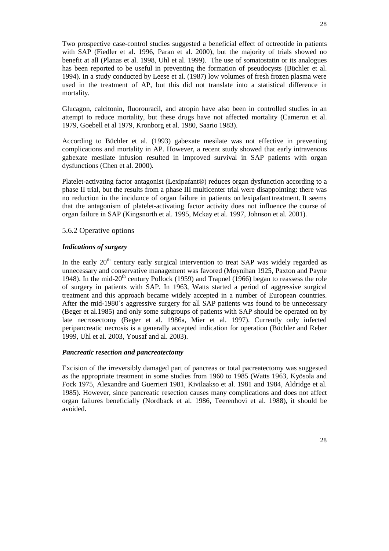Two prospective case-control studies suggested a beneficial effect of octreotide in patients with SAP (Fiedler et al. 1996, Paran et al. 2000), but the majority of trials showed no benefit at all (Planas et al. 1998, Uhl et al. 1999). The use of somatostatin or its analogues has been reported to be useful in preventing the formation of pseudocysts (Büchler et al. 1994). In a study conducted by Leese et al. (1987) low volumes of fresh frozen plasma were used in the treatment of AP, but this did not translate into a statistical difference in mortality.

Glucagon, calcitonin, fluorouracil, and atropin have also been in controlled studies in an attempt to reduce mortality, but these drugs have not affected mortality (Cameron et al. 1979, Goebell et al 1979, Kronborg et al. 1980, Saario 1983).

According to Büchler et al. (1993) gabexate mesilate was not effective in preventing complications and mortality in AP. However, a recent study showed that early intravenous gabexate mesilate infusion resulted in improved survival in SAP patients with organ dysfunctions (Chen et al. 2000).

Platelet-activating factor antagonist (Lexipafant®) reduces organ dysfunction according to a phase II trial, but the results from a phase III multicenter trial were disappointing: there was no reduction in the incidence of organ failure in patients on lexipafant treatment. It seems that the antagonism of platelet-activating factor activity does not influence the course of organ failure in SAP (Kingsnorth et al. 1995, Mckay et al. 1997, Johnson et al. 2001).

## 5.6.2 Operative options

## *Indications of surgery*

In the early  $20<sup>th</sup>$  century early surgical intervention to treat SAP was widely regarded as unnecessary and conservative management was favored (Moynihan 1925, Paxton and Payne 1948). In the mid-20<sup>th</sup> century Pollock (1959) and Trapnel (1966) began to reassess the role of surgery in patients with SAP. In 1963, Watts started a period of aggressive surgical treatment and this approach became widely accepted in a number of European countries. After the mid-1980´s aggressive surgery for all SAP patients was found to be unnecessary (Beger et al.1985) and only some subgroups of patients with SAP should be operated on by late necrosectomy (Beger et al. 1986a, Mier et al. 1997). Currently only infected peripancreatic necrosis is a generally accepted indication for operation (Büchler and Reber 1999, Uhl et al. 2003, Yousaf and al. 2003).

#### *Pancreatic resection and pancreatectomy*

Excision of the irreversibly damaged part of pancreas or total pacreatectomy was suggested as the appropriate treatment in some studies from 1960 to 1985 (Watts 1963, Kyösola and Fock 1975, Alexandre and Guerrieri 1981, Kivilaakso et al. 1981 and 1984, Aldridge et al. 1985). However, since pancreatic resection causes many complications and does not affect organ failures beneficially (Nordback et al. 1986, Teerenhovi et al. 1988), it should be avoided.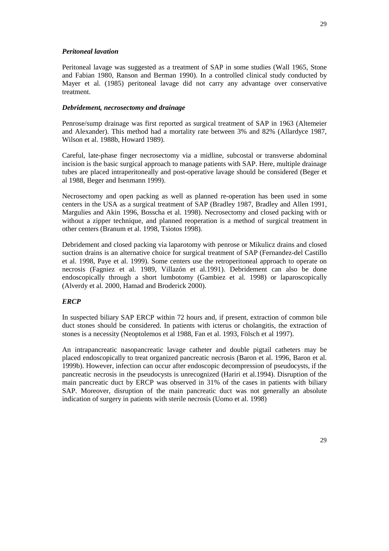## *Peritoneal lavation*

Peritoneal lavage was suggested as a treatment of SAP in some studies (Wall 1965, Stone and Fabian 1980, Ranson and Berman 1990). In a controlled clinical study conducted by Mayer et al. (1985) peritoneal lavage did not carry any advantage over conservative treatment.

#### *Debridement, necrosectomy and drainage*

Penrose/sump drainage was first reported as surgical treatment of SAP in 1963 (Altemeier and Alexander). This method had a mortality rate between 3% and 82% (Allardyce 1987, Wilson et al. 1988b, Howard 1989).

Careful, late-phase finger necrosectomy via a midline, subcostal or transverse abdominal incision is the basic surgical approach to manage patients with SAP. Here, multiple drainage tubes are placed intraperitoneally and post-operative lavage should be considered (Beger et al 1988, Beger and Isenmann 1999).

Necrosectomy and open packing as well as planned re-operation has been used in some centers in the USA as a surgical treatment of SAP (Bradley 1987, Bradley and Allen 1991, Margulies and Akin 1996, Bosscha et al. 1998). Necrosectomy and closed packing with or without a zipper technique, and planned reoperation is a method of surgical treatment in other centers (Branum et al. 1998, Tsiotos 1998).

Debridement and closed packing via laparotomy with penrose or Mikulicz drains and closed suction drains is an alternative choice for surgical treatment of SAP (Fernandez-del Castillo et al. 1998, Paye et al. 1999). Some centers use the retroperitoneal approach to operate on necrosis (Fagniez et al. 1989, Villazón et al.1991). Debridement can also be done endoscopically through a short lumbotomy (Gambiez et al. 1998) or laparoscopically (Alverdy et al. 2000, Hamad and Broderick 2000).

## *ERCP*

In suspected biliary SAP ERCP within 72 hours and, if present, extraction of common bile duct stones should be considered. In patients with icterus or cholangitis, the extraction of stones is a necessity (Neoptolemos et al 1988, Fan et al. 1993, Fölsch et al 1997).

An intrapancreatic nasopancreatic lavage catheter and double pigtail catheters may be placed endoscopically to treat organized pancreatic necrosis (Baron et al. 1996, Baron et al. 1999b). However, infection can occur after endoscopic decompression of pseudocysts, if the pancreatic necrosis in the pseudocysts is unrecognized (Hariri et al.1994). Disruption of the main pancreatic duct by ERCP was observed in 31% of the cases in patients with biliary SAP. Moreover, disruption of the main pancreatic duct was not generally an absolute indication of surgery in patients with sterile necrosis (Uomo et al. 1998)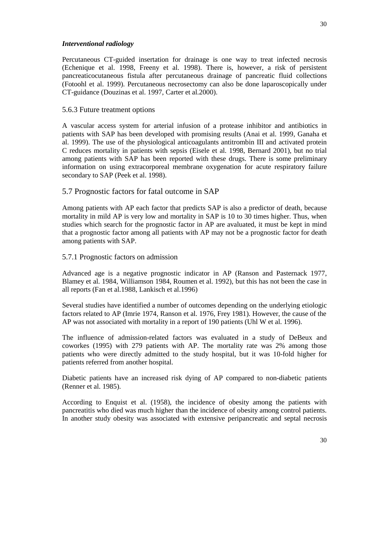Percutaneous CT-guided insertation for drainage is one way to treat infected necrosis (Echenique et al. 1998, Freeny et al. 1998). There is, however, a risk of persistent pancreaticocutaneous fistula after percutaneous drainage of pancreatic fluid collections (Fotoohl et al. 1999). Percutaneous necrosectomy can also be done laparoscopically under CT-guidance (Douzinas et al. 1997, Carter et al.2000).

## 5.6.3 Future treatment options

A vascular access system for arterial infusion of a protease inhibitor and antibiotics in patients with SAP has been developed with promising results (Anai et al. 1999, Ganaha et al. 1999). The use of the physiological anticoagulants antitrombin III and activated protein C reduces mortality in patients with sepsis (Eisele et al. 1998, Bernard 2001), but no trial among patients with SAP has been reported with these drugs. There is some preliminary information on using extracorporeal membrane oxygenation for acute respiratory failure secondary to SAP (Peek et al. 1998).

## 5.7 Prognostic factors for fatal outcome in SAP

Among patients with AP each factor that predicts SAP is also a predictor of death, because mortality in mild AP is very low and mortality in SAP is 10 to 30 times higher. Thus, when studies which search for the prognostic factor in AP are avaluated, it must be kept in mind that a prognostic factor among all patients with AP may not be a prognostic factor for death among patients with SAP.

#### 5.7.1 Prognostic factors on admission

Advanced age is a negative prognostic indicator in AP (Ranson and Pasternack 1977, Blamey et al. 1984, Williamson 1984, Roumen et al. 1992), but this has not been the case in all reports (Fan et al.1988, Lankisch et al.1996)

Several studies have identified a number of outcomes depending on the underlying etiologic factors related to AP (Imrie 1974, Ranson et al. 1976, Frey 1981). However, the cause of the AP was not associated with mortality in a report of 190 patients (Uhl W et al. 1996).

The influence of admission-related factors was evaluated in a study of DeBeux and coworkes (1995) with 279 patients with AP. The mortality rate was 2% among those patients who were directly admitted to the study hospital, but it was 10-fold higher for patients referred from another hospital.

Diabetic patients have an increased risk dying of AP compared to non-diabetic patients (Renner et al. 1985).

According to Enquist et al. (1958), the incidence of obesity among the patients with pancreatitis who died was much higher than the incidence of obesity among control patients. In another study obesity was associated with extensive peripancreatic and septal necrosis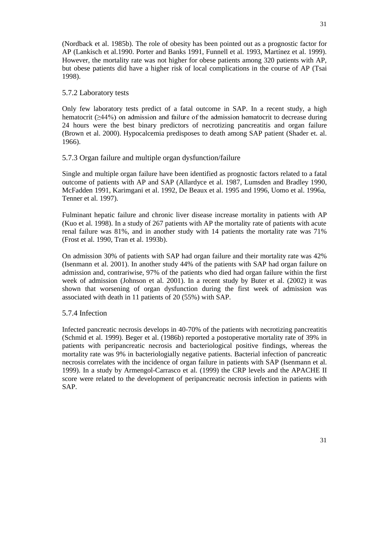(Nordback et al. 1985b). The role of obesity has been pointed out as a prognostic factor for AP (Lankisch et al.1990. Porter and Banks 1991, Funnell et al. 1993, Martínez et al. 1999). However, the mortality rate was not higher for obese patients among 320 patients with AP, but obese patients did have a higher risk of local complications in the course of AP (Tsai 1998).

## 5.7.2 Laboratory tests

Only few laboratory tests predict of a fatal outcome in SAP. In a recent study, a high hematocrit  $(≥44%)$  on admission and failure of the admission hematocrit to decrease during 24 hours were the best binary predictors of necrotizing pancreatitis and organ failure (Brown et al. 2000). Hypocalcemia predisposes to death among SAP patient (Shader et. al. 1966).

## 5.7.3 Organ failure and multiple organ dysfunction/failure

Single and multiple organ failure have been identified as prognostic factors related to a fatal outcome of patients with AP and SAP (Allardyce et al. 1987, Lumsden and Bradley 1990, McFadden 1991, Karimgani et al. 1992, De Beaux et al. 1995 and 1996, Uomo et al. 1996a, Tenner et al. 1997).

Fulminant hepatic failure and chronic liver disease increase mortality in patients with AP (Kuo et al. 1998). In a study of 267 patients with AP the mortality rate of patients with acute renal failure was 81%, and in another study with 14 patients the mortality rate was 71% (Frost et al. 1990, Tran et al. 1993b).

On admission 30% of patients with SAP had organ failure and their mortality rate was 42% (Isenmann et al. 2001). In another study 44% of the patients with SAP had organ failure on admission and, contrariwise, 97% of the patients who died had organ failure within the first week of admission (Johnson et al. 2001). In a recent study by Buter et al. (2002) it was shown that worsening of organ dysfunction during the first week of admission was associated with death in 11 patients of 20 (55%) with SAP.

#### 5.7.4 Infection

Infected pancreatic necrosis develops in 40-70% of the patients with necrotizing pancreatitis (Schmid et al. 1999). Beger et al. (1986b) reported a postoperative mortality rate of 39% in patients with peripancreatic necrosis and bacteriological positive findings, whereas the mortality rate was 9% in bacteriologially negative patients. Bacterial infection of pancreatic necrosis correlates with the incidence of organ failure in patients with SAP (Isenmann et al. 1999). In a study by Armengol-Carrasco et al. (1999) the CRP levels and the APACHE II score were related to the development of peripancreatic necrosis infection in patients with SAP.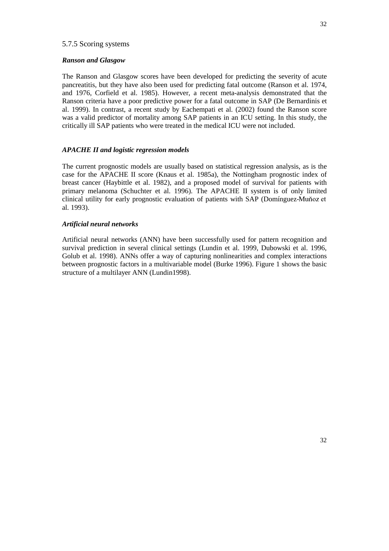#### 5.7.5 Scoring systems

#### *Ranson and Glasgow*

The Ranson and Glasgow scores have been developed for predicting the severity of acute pancreatitis, but they have also been used for predicting fatal outcome (Ranson et al. 1974, and 1976, Corfield et al. 1985). However, a recent meta-analysis demonstrated that the Ranson criteria have a poor predictive power for a fatal outcome in SAP (De Bernardinis et al. 1999). In contrast, a recent study by Eachempati et al. (2002) found the Ranson score was a valid predictor of mortality among SAP patients in an ICU setting. In this study, the critically ill SAP patients who were treated in the medical ICU were not included.

#### *APACHE II and logistic regression models*

The current prognostic models are usually based on statistical regression analysis, as is the case for the APACHE II score (Knaus et al. 1985a), the Nottingham prognostic index of breast cancer (Haybittle et al. 1982), and a proposed model of survival for patients with primary melanoma (Schuchter et al. 1996). The APACHE II system is of only limited clinical utility for early prognostic evaluation of patients with SAP (Domínguez-Muňoz et al. 1993).

#### *Artificial neural networks*

Artificial neural networks (ANN) have been successfully used for pattern recognition and survival prediction in several clinical settings (Lundin et al. 1999, Dubowski et al. 1996, Golub et al. 1998). ANNs offer a way of capturing nonlinearities and complex interactions between prognostic factors in a multivariable model (Burke 1996). Figure 1 shows the basic structure of a multilayer ANN (Lundin1998).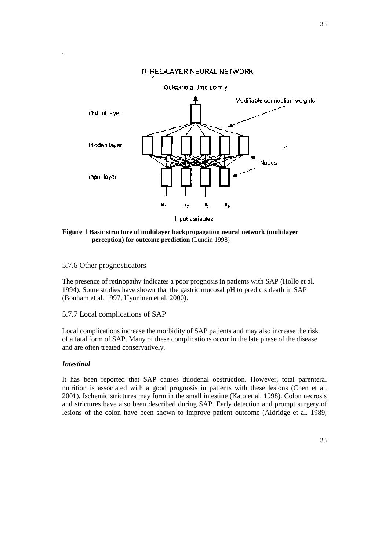#### THREE-LAYER NEURAL NETWORK



**Figure 1 Basic structure of multilayer backpropagation neural network (multilayer perception) for outcome prediction** (Lundin 1998)

#### 5.7.6 Other prognosticators

The presence of retinopathy indicates a poor prognosis in patients with SAP (Hollo et al. 1994). Some studies have shown that the gastric mucosal pH to predicts death in SAP (Bonham et al. 1997, Hynninen et al. 2000).

5.7.7 Local complications of SAP

Local complications increase the morbidity of SAP patients and may also increase the risk of a fatal form of SAP. Many of these complications occur in the late phase of the disease and are often treated conservatively.

#### *Intestinal*

.

It has been reported that SAP causes duodenal obstruction. However, total parenteral nutrition is associated with a good prognosis in patients with these lesions (Chen et al. 2001). Ischemic strictures may form in the small intestine (Kato et al. 1998). Colon necrosis and strictures have also been described during SAP. Early detection and prompt surgery of lesions of the colon have been shown to improve patient outcome (Aldridge et al. 1989,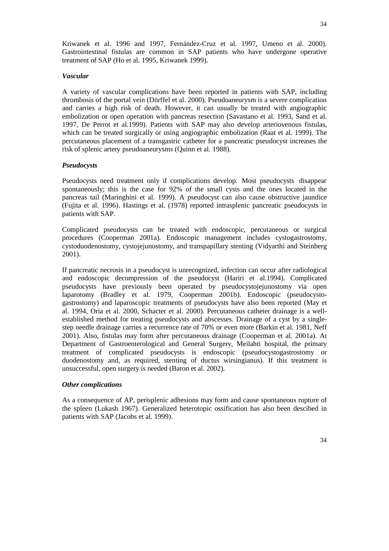34

Kriwanek et al. 1996 and 1997, Fernández-Cruz et al. 1997, Umeno et al. 2000). Gastrointestinal fistulas are common in SAP patients who have undergone operative treatment of SAP (Ho et al. 1995, Kriwanek 1999).

## *Vascular*

A variety of vascular complications have been reported in patients with SAP, including thrombosis of the portal vein (Dörffel et al. 2000). Pseudoaneurysm is a severe complication and carries a high risk of death. However, it can usually be treated with angiographic embolization or open operation with pancreas resection (Savastano et al. 1993, Sand et al. 1997, De Perrot et al.1999). Patients with SAP may also develop arteriovenous fistulas, which can be treated surgically or using angiographic embolization (Raat et al. 1999). The percutaneous placement of a transgastric catheter for a pancreatic pseudocyst increases the risk of splenic artery pseudoaneurysms (Quinn et al. 1988).

## *Pseudocysts*

Pseudocysts need treatment only if complications develop. Most pseudocysts disappear spontaneously; this is the case for 92% of the small cysts and the ones located in the pancreas tail (Maringhini et al. 1999). A pseudocyst can also cause obstructive jaundice (Fujita et al. 1996). Hastings et al. (1978) reported intrasplenic pancreatic pseudocysts in patients with SAP.

Complicated pseudocysts can be treated with endoscopic, percutaneous or surgical procedures (Cooperman 2001a). Endoscopic management includes cystogastrostomy, cystoduodenostomy, cystojejunostomy, and transpapillary stenting (Vidyarthi and Steinberg 2001).

If pancreatic necrosis in a pseudocyst is unrecognized, infection can occur after radiological and endoscopic decompression of the pseudocyst (Hariri et al.1994). Complicated pseudocysts have previously been operated by pseudocystojejunostomy via open laparotomy (Bradley et al. 1979, Cooperman 2001b). Endoscopic (pseudocystogastrostomy) and laparoscopic treatments of pseudocysts have also been reported (May et al. 1994, Oria et al. 2000, Schacter et al. 2000). Percutaneous catheter drainage is a wellestablished method for treating pseudocysts and abscesses. Drainage of a cyst by a singlestep needle drainage carries a recurrence rate of 70% or even more (Barkin et al. 1981, Neff 2001). Also, fistulas may form after percutaneous drainage (Cooperman et al. 2001a). At Department of Gastroenterological and General Surgery, Meilahti hospital, the primary treatment of complicated pseudocysts is endoscopic (pseudocystogastrostomy or duodenostomy and, as required, stenting of ductus wirsingianus). If this treatment is unsuccessful, open surgery is needed (Baron et al. 2002).

## *Other complications*

As a consequence of AP, perisplenic adhesions may form and cause spontaneous rupture of the spleen (Lukash 1967). Generalized heterotopic ossification has also been descibed in patients with SAP (Jacobs et al. 1999).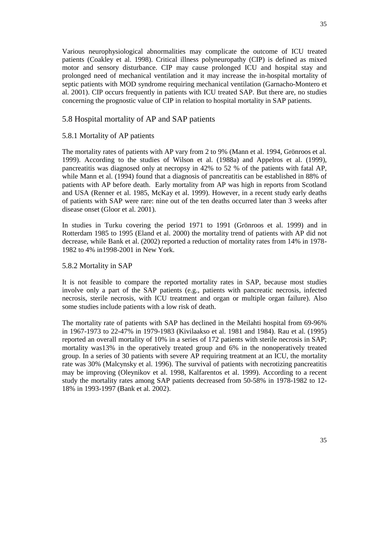Various neurophysiological abnormalities may complicate the outcome of ICU treated patients (Coakley et al. 1998). Critical illness polyneuropathy (CIP) is defined as mixed motor and sensory disturbance. CIP may cause prolonged ICU and hospital stay and prolonged need of mechanical ventilation and it may increase the in-hospital mortality of septic patients with MOD syndrome requiring mechanical ventilation (Garnacho-Montero et al. 2001). CIP occurs frequently in patients with ICU treated SAP. But there are, no studies concerning the prognostic value of CIP in relation to hospital mortality in SAP patients.

## 5.8 Hospital mortality of AP and SAP patients

## 5.8.1 Mortality of AP patients

The mortality rates of patients with AP vary from 2 to 9% (Mann et al. 1994, Grönroos et al. 1999). According to the studies of Wilson et al. (1988a) and Appelros et al. (1999), pancreatitis was diagnosed only at necropsy in 42% to 52 % of the patients with fatal AP, while Mann et al. (1994) found that a diagnosis of pancreatitis can be established in 88% of patients with AP before death. Early mortality from AP was high in reports from Scotland and USA (Renner et al. 1985, McKay et al. 1999). However, in a recent study early deaths of patients with SAP were rare: nine out of the ten deaths occurred later than 3 weeks after disease onset (Gloor et al. 2001).

In studies in Turku covering the period 1971 to 1991 (Grönroos et al. 1999) and in Rotterdam 1985 to 1995 (Eland et al. 2000) the mortality trend of patients with AP did not decrease, while Bank et al. (2002) reported a reduction of mortality rates from 14% in 1978- 1982 to 4% in1998-2001 in New York.

## 5.8.2 Mortality in SAP

It is not feasible to compare the reported mortality rates in SAP, because most studies involve only a part of the SAP patients (e.g., patients with pancreatic necrosis, infected necrosis, sterile necrosis, with ICU treatment and organ or multiple organ failure). Also some studies include patients with a low risk of death.

The mortality rate of patients with SAP has declined in the Meilahti hospital from 69-96% in 1967-1973 to 22-47% in 1979-1983 (Kivilaakso et al. 1981 and 1984). Rau et al. (1995) reported an overall mortality of 10% in a series of 172 patients with sterile necrosis in SAP; mortality was13% in the operatively treated group and 6% in the nonoperatively treated group. In a series of 30 patients with severe AP requiring treatment at an ICU, the mortality rate was 30% (Malcynsky et al. 1996). The survival of patients with necrotizing pancreatitis may be improving (Oleynikov et al. 1998, Kalfarentos et al. 1999). According to a recent study the mortality rates among SAP patients decreased from 50-58% in 1978-1982 to 12- 18% in 1993-1997 (Bank et al. 2002).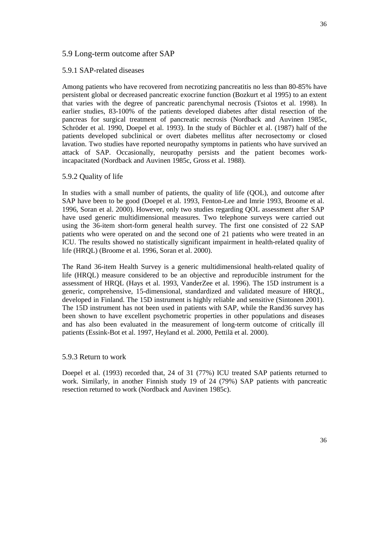## 5.9 Long-term outcome after SAP

#### 5.9.1 SAP-related diseases

Among patients who have recovered from necrotizing pancreatitis no less than 80-85% have persistent global or decreased pancreatic exocrine function (Bozkurt et al 1995) to an extent that varies with the degree of pancreatic parenchymal necrosis (Tsiotos et al. 1998). In earlier studies, 83-100% of the patients developed diabetes after distal resection of the pancreas for surgical treatment of pancreatic necrosis (Nordback and Auvinen 1985c, Schröder et al. 1990, Doepel et al. 1993). In the study of Büchler et al. (1987) half of the patients developed subclinical or overt diabetes mellitus after necrosectomy or closed lavation. Two studies have reported neuropathy symptoms in patients who have survived an attack of SAP. Occasionally, neuropathy persists and the patient becomes workincapacitated (Nordback and Auvinen 1985c, Gross et al. 1988).

#### 5.9.2 Quality of life

In studies with a small number of patients, the quality of life (QOL), and outcome after SAP have been to be good (Doepel et al. 1993, Fenton-Lee and Imrie 1993, Broome et al. 1996, Soran et al. 2000). However, only two studies regarding QOL assessment after SAP have used generic multidimensional measures. Two telephone surveys were carried out using the 36-item short-form general health survey. The first one consisted of 22 SAP patients who were operated on and the second one of 21 patients who were treated in an ICU. The results showed no statistically significant impairment in health-related quality of life (HRQL) (Broome et al. 1996, Soran et al. 2000).

The Rand 36-item Health Survey is a generic multidimensional health-related quality of life (HRQL) measure considered to be an objective and reproducible instrument for the assessment of HRQL (Hays et al. 1993, VanderZee et al. 1996). The 15D instrument is a generic, comprehensive, 15-dimensional, standardized and validated measure of HRQL, developed in Finland. The 15D instrument is highly reliable and sensitive (Sintonen 2001). The 15D instrument has not been used in patients with SAP, while the Rand36 survey has been shown to have excellent psychometric properties in other populations and diseases and has also been evaluated in the measurement of long-term outcome of critically ill patients (Essink-Bot et al. 1997, Heyland et al. 2000, Pettilä et al. 2000).

#### 5.9.3 Return to work

Doepel et al. (1993) recorded that, 24 of 31 (77%) ICU treated SAP patients returned to work. Similarly, in another Finnish study 19 of 24 (79%) SAP patients with pancreatic resection returned to work (Nordback and Auvinen 1985c).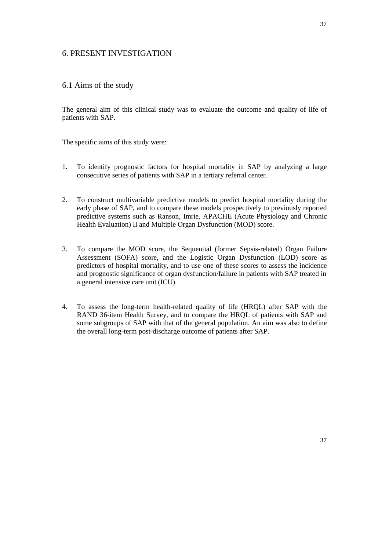# 6. PRESENT INVESTIGATION

### 6.1 Aims of the study

The general aim of this clinical study was to evaluate the outcome and quality of life of patients with SAP.

The specific aims of this study were:

- 1**.** To identify prognostic factors for hospital mortality in SAP by analyzing a large consecutive series of patients with SAP in a tertiary referral center.
- 2. To construct multivariable predictive models to predict hospital mortality during the early phase of SAP, and to compare these models prospectively to previously reported predictive systems such as Ranson, Imrie, APACHE (Acute Physiology and Chronic Health Evaluation) II and Multiple Organ Dysfunction (MOD) score.
- 3. To compare the MOD score, the Sequential (former Sepsis-related) Organ Failure Assessment (SOFA) score, and the Logistic Organ Dysfunction (LOD) score as predictors of hospital mortality, and to use one of these scores to assess the incidence and prognostic significance of organ dysfunction/failure in patients with SAP treated in a general intensive care unit (ICU).
- 4. To assess the long-term health-related quality of life (HRQL) after SAP with the RAND 36-item Health Survey, and to compare the HRQL of patients with SAP and some subgroups of SAP with that of the general population. An aim was also to define the overall long-term post-discharge outcome of patients after SAP.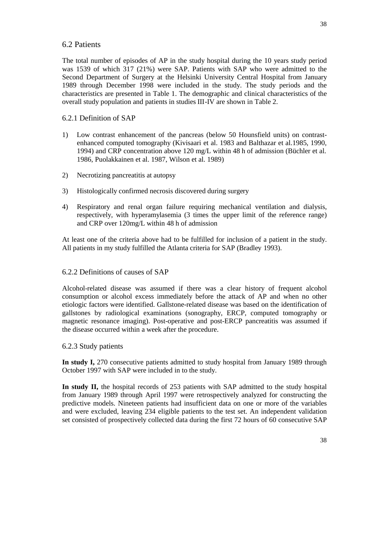The total number of episodes of AP in the study hospital during the 10 years study period was 1539 of which 317 (21%) were SAP. Patients with SAP who were admitted to the Second Department of Surgery at the Helsinki University Central Hospital from January 1989 through December 1998 were included in the study. The study periods and the characteristics are presented in Table 1. The demographic and clinical characteristics of the overall study population and patients in studies III-IV are shown in Table 2.

## 6.2.1 Definition of SAP

6.2 Patients

- 1) Low contrast enhancement of the pancreas (below 50 Hounsfield units) on contrastenhanced computed tomography (Kivisaari et al. 1983 and Balthazar et al.1985, 1990, 1994) and CRP concentration above 120 mg/L within 48 h of admission (Büchler et al. 1986, Puolakkainen et al. 1987, Wilson et al. 1989)
- 2) Necrotizing pancreatitis at autopsy
- 3) Histologically confirmed necrosis discovered during surgery
- 4) Respiratory and renal organ failure requiring mechanical ventilation and dialysis, respectively, with hyperamylasemia (3 times the upper limit of the reference range) and CRP over 120mg/L within 48 h of admission

At least one of the criteria above had to be fulfilled for inclusion of a patient in the study. All patients in my study fulfilled the Atlanta criteria for SAP (Bradley 1993).

# 6.2.2 Definitions of causes of SAP

Alcohol-related disease was assumed if there was a clear history of frequent alcohol consumption or alcohol excess immediately before the attack of AP and when no other etiologic factors were identified. Gallstone-related disease was based on the identification of gallstones by radiological examinations (sonography, ERCP, computed tomography or magnetic resonance imaging). Post-operative and post-ERCP pancreatitis was assumed if the disease occurred within a week after the procedure.

#### 6.2.3 Study patients

**In study I,** 270 consecutive patients admitted to study hospital from January 1989 through October 1997 with SAP were included in to the study.

**In study II,** the hospital records of 253 patients with SAP admitted to the study hospital from January 1989 through April 1997 were retrospectively analyzed for constructing the predictive models. Nineteen patients had insufficient data on one or more of the variables and were excluded, leaving 234 eligible patients to the test set. An independent validation set consisted of prospectively collected data during the first 72 hours of 60 consecutive SAP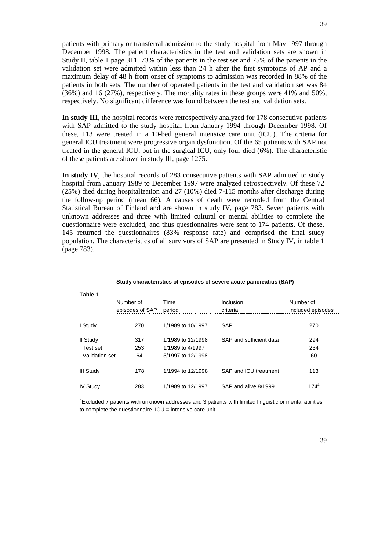patients with primary or transferral admission to the study hospital from May 1997 through December 1998. The patient characteristics in the test and validation sets are shown in Study II, table 1 page 311. 73% of the patients in the test set and 75% of the patients in the validation set were admitted within less than 24 h after the first symptoms of AP and a maximum delay of 48 h from onset of symptoms to admission was recorded in 88% of the patients in both sets. The number of operated patients in the test and validation set was 84 (36%) and 16 (27%), respectively. The mortality rates in these groups were 41% and 50%, respectively. No significant difference was found between the test and validation sets.

**In study III,** the hospital records were retrospectively analyzed for 178 consecutive patients with SAP admitted to the study hospital from January 1994 through December 1998. Of these, 113 were treated in a 10-bed general intensive care unit (ICU). The criteria for general ICU treatment were progressive organ dysfunction. Of the 65 patients with SAP not treated in the general ICU, but in the surgical ICU, only four died (6%). The characteristic of these patients are shown in study III, page 1275.

**In study IV**, the hospital records of 283 consecutive patients with SAP admitted to study hospital from January 1989 to December 1997 were analyzed retrospectively. Of these 72 (25%) died during hospitalization and 27 (10%) died 7-115 months after discharge during the follow-up period (mean 66). A causes of death were recorded from the Central Statistical Bureau of Finland and are shown in study IV, page 783. Seven patients with unknown addresses and three with limited cultural or mental abilities to complete the questionnaire were excluded, and thus questionnaires were sent to 174 patients. Of these, 145 returned the questionnaires (83% response rate) and comprised the final study population. The characteristics of all survivors of SAP are presented in Study IV, in table 1 (page 783).

| Study characteristics of episodes of severe acute pancreatitis (SAP) |                 |                   |                         |                   |  |  |  |  |  |
|----------------------------------------------------------------------|-----------------|-------------------|-------------------------|-------------------|--|--|--|--|--|
| Table 1                                                              |                 |                   |                         |                   |  |  |  |  |  |
|                                                                      | Number of       | Time              | Inclusion               | Number of         |  |  |  |  |  |
|                                                                      | episodes of SAP | period            | criteria                | included episodes |  |  |  |  |  |
| I Study                                                              | 270             | 1/1989 to 10/1997 | SAP                     | 270               |  |  |  |  |  |
| II Study                                                             | 317             | 1/1989 to 12/1998 | SAP and sufficient data | 294               |  |  |  |  |  |
| Test set                                                             | 253             | 1/1989 to 4/1997  |                         | 234               |  |  |  |  |  |
| Validation set                                                       | 64              | 5/1997 to 12/1998 |                         | 60                |  |  |  |  |  |
| <b>III Study</b>                                                     | 178             | 1/1994 to 12/1998 | SAP and ICU treatment   | 113               |  |  |  |  |  |
| <b>IV Study</b>                                                      | 283             | 1/1989 to 12/1997 | SAP and alive 8/1999    | $174^a$           |  |  |  |  |  |

<sup>a</sup>Excluded 7 patients with unknown addresses and 3 patients with limited linguistic or mental abilities to complete the questionnaire. ICU = intensive care unit.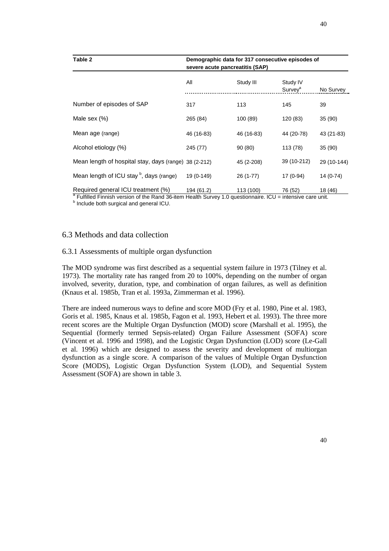| Table 2                                               | Demographic data for 317 consecutive episodes of<br>severe acute pancreatitis (SAP) |            |                                 |             |  |  |  |  |  |
|-------------------------------------------------------|-------------------------------------------------------------------------------------|------------|---------------------------------|-------------|--|--|--|--|--|
|                                                       | All                                                                                 | Study III  | Study IV<br>Survey <sup>a</sup> | No Survey   |  |  |  |  |  |
| Number of episodes of SAP                             | 317                                                                                 | 113        | 145                             | 39          |  |  |  |  |  |
| Male sex (%)                                          | 265 (84)                                                                            | 100 (89)   | 120 (83)                        | 35 (90)     |  |  |  |  |  |
| Mean age (range)                                      | 46 (16-83)                                                                          | 46 (16-83) | 44 (20-78)                      | 43 (21-83)  |  |  |  |  |  |
| Alcohol etiology (%)                                  | 245 (77)                                                                            | 90(80)     | 113 (78)                        | 35(90)      |  |  |  |  |  |
| Mean length of hospital stay, days (range) 38 (2-212) |                                                                                     | 45 (2-208) | 39 (10-212)                     | 29 (10-144) |  |  |  |  |  |
| Mean length of ICU stay <sup>b</sup> , days (range)   | 19 (0-149)                                                                          | $26(1-77)$ | 17 (0-94)                       | $14(0-74)$  |  |  |  |  |  |
| Required general ICU treatment (%)                    | 194 (61.2)                                                                          | 113 (100)  | 76 (52)                         | 18 (46)     |  |  |  |  |  |

 $^{\text{a}}$  Fulfilled Finnish version of the Rand 36-item Health Survey 1.0 questionnaire. ICU = intensive care unit.<br>b loclude beth surgical and general ICU  $<sup>b</sup>$  Include both surgical and general ICU.</sup>

# 6.3 Methods and data collection

# 6.3.1 Assessments of multiple organ dysfunction

The MOD syndrome was first described as a sequential system failure in 1973 (Tilney et al. 1973). The mortality rate has ranged from 20 to 100%, depending on the number of organ involved, severity, duration, type, and combination of organ failures, as well as definition (Knaus et al. 1985b, Tran et al. 1993a, Zimmerman et al. 1996).

There are indeed numerous ways to define and score MOD (Fry et al. 1980, Pine et al. 1983, Goris et al. 1985, Knaus et al. 1985b, Fagon et al. 1993, Hebert et al. 1993). The three more recent scores are the Multiple Organ Dysfunction (MOD) score (Marshall et al. 1995), the Sequential (formerly termed Sepsis-related) Organ Failure Assessment (SOFA) score (Vincent et al. 1996 and 1998), and the Logistic Organ Dysfunction (LOD) score (Le-Gall et al. 1996) which are designed to assess the severity and development of multiorgan dysfunction as a single score. A comparison of the values of Multiple Organ Dysfunction Score (MODS), Logistic Organ Dysfunction System (LOD), and Sequential System Assessment (SOFA) are shown in table 3.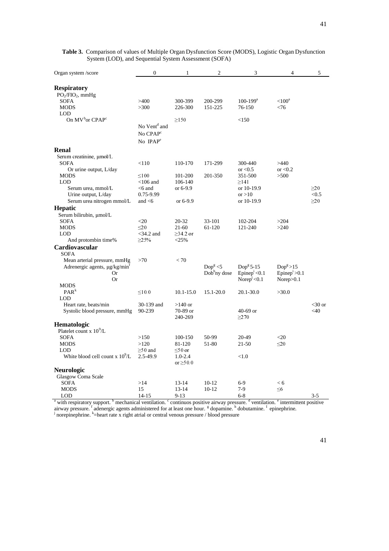| Organ system /score                                                                                                                                                          | $\theta$                                                       | 1                             | $\overline{2}$           | 3                                              | $\overline{\mathcal{L}}$         | 5         |
|------------------------------------------------------------------------------------------------------------------------------------------------------------------------------|----------------------------------------------------------------|-------------------------------|--------------------------|------------------------------------------------|----------------------------------|-----------|
| <b>Respiratory</b><br>$PO2/FIO2$ , mmHg                                                                                                                                      |                                                                |                               |                          |                                                |                                  |           |
| <b>SOFA</b><br><b>MODS</b>                                                                                                                                                   | >400<br>>300                                                   | 300-399<br>226-300            | 200-299<br>151-225       | $100 - 199^a$<br>76-150                        | $<$ $100^{\mathrm{a}}$<br>$<$ 76 |           |
| LOD<br>On $MV^b$ or $CPAP^c$                                                                                                                                                 | No Vent <sup>d</sup> and<br>No CPAP <sup>c</sup><br>No $IPAPe$ | >150                          |                          | < 150                                          |                                  |           |
| Renal                                                                                                                                                                        |                                                                |                               |                          |                                                |                                  |           |
|                                                                                                                                                                              |                                                                |                               |                          |                                                |                                  |           |
| Serum creatinine, µmol/L<br>SOFA                                                                                                                                             | < 110                                                          | 110-170                       | 171-299                  | 300-440                                        | >440                             |           |
| Or urine output, L/day                                                                                                                                                       |                                                                |                               |                          | or $< 0.5$                                     | or $< 0.2$                       |           |
| <b>MODS</b>                                                                                                                                                                  | < 100                                                          | 101-200                       | 201-350                  | 351-500                                        | >500                             |           |
| <b>LOD</b>                                                                                                                                                                   | $<$ 106 and                                                    | 106-140                       |                          | >141                                           |                                  |           |
| Serum urea, mmol/L                                                                                                                                                           | $<$ 6 and                                                      | or 6-9.9                      |                          | or 10-19.9                                     |                                  | >20       |
| Urine output, L/day                                                                                                                                                          | 0.75-9.99                                                      |                               |                          | or $>10$                                       |                                  | < 0.5     |
| Serum urea nitrogen mmol/L                                                                                                                                                   | and $<$ 6                                                      | or 6-9.9                      |                          | or 10-19.9                                     |                                  | >20       |
| Hepatic                                                                                                                                                                      |                                                                |                               |                          |                                                |                                  |           |
| Serum bilirubin, µmol/L                                                                                                                                                      |                                                                |                               |                          |                                                |                                  |           |
| <b>SOFA</b>                                                                                                                                                                  | $20$                                                           | 20-32                         | 33-101                   | 102-204                                        | >204                             |           |
| <b>MODS</b>                                                                                                                                                                  | $20$                                                           | 21-60                         | 61-120                   | 121-240                                        | >240                             |           |
| <b>LOD</b>                                                                                                                                                                   | $<$ 34.2 and                                                   | $>34.2$ or                    |                          |                                                |                                  |           |
| And protombin time%                                                                                                                                                          | $\geq$ 25%                                                     | $<$ 25%                       |                          |                                                |                                  |           |
| <b>Cardiovascular</b>                                                                                                                                                        |                                                                |                               |                          |                                                |                                  |           |
| <b>SOFA</b>                                                                                                                                                                  |                                                                |                               |                          |                                                |                                  |           |
| Mean arterial pressure, mmHg                                                                                                                                                 | >70                                                            | < 70                          |                          |                                                |                                  |           |
| Adrenergic agents, µg/kg/min <sup>t</sup>                                                                                                                                    |                                                                |                               | Dop <sup>g</sup> < 5     | $Dopg 5-15$                                    | $Dop^g > 15$                     |           |
| <b>Or</b>                                                                                                                                                                    |                                                                |                               | Dob <sup>h</sup> ny dose | Epinep <sup><math>\mathrm{i}</math></sup> <0.1 | $Epinep^1>0.1$                   |           |
| <b>Or</b>                                                                                                                                                                    |                                                                |                               |                          | Norep $\approx 0.1$                            | Norep > 0.1                      |           |
| <b>MODS</b>                                                                                                                                                                  |                                                                |                               |                          |                                                |                                  |           |
| PAR <sup>k</sup><br>LOD                                                                                                                                                      | ${}_{\leq 10.0}$                                               | $10.1 - 15.0$                 | 15.1-20.0                | $20.1 - 30.0$                                  | >30.0                            |           |
| Heart rate, beats/min                                                                                                                                                        | 30-139 and                                                     | $>140$ or                     |                          |                                                |                                  | $<$ 30 or |
| Systolic blood pressure, mmHg                                                                                                                                                | 90-239                                                         | 70-89 or<br>240-269           |                          | $40-69$ or<br>>270                             |                                  | <40       |
| Hematologic                                                                                                                                                                  |                                                                |                               |                          |                                                |                                  |           |
| Platelet count x 10 <sup>9</sup> /L                                                                                                                                          |                                                                |                               |                          |                                                |                                  |           |
| <b>SOFA</b>                                                                                                                                                                  | >150                                                           | 100-150                       | 50-99                    | 20-49                                          | $20$                             |           |
| <b>MODS</b>                                                                                                                                                                  | >120                                                           | 81-120                        | 51-80                    | 21-50                                          | $20$                             |           |
| LOD                                                                                                                                                                          | $>50$ and                                                      | $\leq 50$ or                  |                          |                                                |                                  |           |
| White blood cell count x $10^9$ /L                                                                                                                                           | 2.5-49.9                                                       | $1.0 - 2.4$<br>or $\geq 50.0$ |                          | < 1.0                                          |                                  |           |
| Neurologic                                                                                                                                                                   |                                                                |                               |                          |                                                |                                  |           |
| Glasgow Coma Scale                                                                                                                                                           |                                                                |                               |                          |                                                |                                  |           |
| <b>SOFA</b>                                                                                                                                                                  | >14                                                            | 13-14                         | $10-12$                  | $6-9$                                          | < 6                              |           |
| <b>MODS</b>                                                                                                                                                                  | 15                                                             | $13 - 14$                     | $10-12$                  | $7-9$                                          | $<$ 6                            |           |
| <b>LOD</b>                                                                                                                                                                   | $14 - 15$                                                      | $9 - 13$                      |                          | $6 - 8$                                        |                                  | $3 - 5$   |
| with respiratory support. <sup>b</sup> mechanical ventilation. <sup>c</sup> continuos positive airway pressure. <sup>d</sup> ventilation. <sup>e</sup> intermittent positive |                                                                |                               |                          |                                                |                                  |           |

**Table 3.** Comparison of values of Multiple Organ Dysfunction Score (MODS), Logistic Organ Dysfunction System (LOD), and Sequential System Assessment (SOFA)

airway pressure. <sup>f</sup> adenergic agents administered for at least one hour. <sup>g</sup> dopamine. <sup>h</sup> dobutamine. <sup>I</sup> epinephrine.<br><sup>j</sup> norepinephrine. <sup>k</sup>=heart rate x right atrial or central venous pressure / blood pressure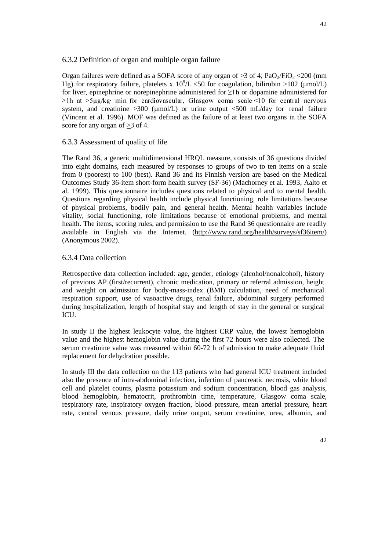Organ failures were defined as a SOFA score of any organ of  $>3$  of 4; PaO<sub>2</sub>/FiO<sub>2</sub> <200 (mm) Hg) for respiratory failure, platelets x  $10^{9}/L < 50$  for coagulation, bilirubin >102 (µmol/L) for liver, epinephrine or norepinephrine administered for  $\geq$ 1h or dopamine administered for  $\geq$ 1h at  $>$ 5µg/kg· min for cardiovascular, Glasgow coma scale <10 for central nervous  $\frac{25}{10}$  at  $\frac{9}{10}$   $\frac{10}{10}$  cannot called a state of  $\frac{10}{10}$  for central fields system, and creatinine  $\frac{500}{10}$  ( $\frac{100}{10}$  or urine output  $\frac{500}{10}$  mL/day for renal failure (Vincent et al. 1996). MOF was defined as the failure of at least two organs in the SOFA score for any organ of  $>3$  of 4.

# 6.3.3 Assessment of quality of life

The Rand 36, a generic multidimensional HRQL measure, consists of 36 questions divided into eight domains, each measured by responses to groups of two to ten items on a scale from 0 (poorest) to 100 (best). Rand 36 and its Finnish version are based on the Medical Outcomes Study 36-item short-form health survey (SF-36) (Machorney et al. 1993, Aalto et al. 1999). This questionnaire includes questions related to physical and to mental health. Questions regarding physical health include physical functioning, role limitations because of physical problems, bodily pain, and general health. Mental health variables include vitality, social functioning, role limitations because of emotional problems, and mental health. The items, scoring rules, and permission to use the Rand 36 questionnaire are readily available in English via the Internet. (http://www.rand.org/health/surveys/sf36item/) (Anonymous 2002).

# 6.3.4 Data collection

Retrospective data collection included: age, gender, etiology (alcohol/nonalcohol), history of previous AP (first/recurrent), chronic medication, primary or referral admission, height and weight on admission for body-mass-index (BMI) calculation, need of mechanical respiration support, use of vasoactive drugs, renal failure, abdominal surgery performed during hospitalization, length of hospital stay and length of stay in the general or surgical ICU.

In study II the highest leukocyte value, the highest CRP value, the lowest hemoglobin value and the highest hemoglobin value during the first 72 hours were also collected. The serum creatinine value was measured within 60-72 h of admission to make adequate fluid replacement for dehydration possible.

In study III the data collection on the 113 patients who had general ICU treatment included also the presence of intra-abdominal infection, infection of pancreatic necrosis, white blood cell and platelet counts, plasma potassium and sodium concentration, blood gas analysis, blood hemoglobin, hematocrit, prothrombin time, temperature, Glasgow coma scale, respiratory rate, inspiratory oxygen fraction, blood pressure, mean arterial pressure, heart rate, central venous pressure, daily urine output, serum creatinine, urea, albumin, and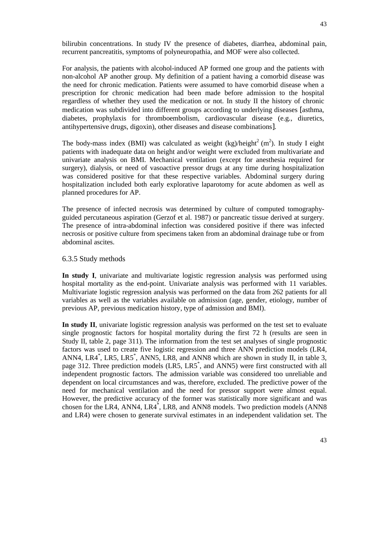bilirubin concentrations. In study IV the presence of diabetes, diarrhea, abdominal pain, recurrent pancreatitis, symptoms of polyneuropathia, and MOF were also collected.

For analysis, the patients with alcohol-induced AP formed one group and the patients with non-alcohol AP another group. My definition of a patient having a comorbid disease was the need for chronic medication. Patients were assumed to have comorbid disease when a prescription for chronic medication had been made before admission to the hospital regardless of whether they used the medication or not. In study II the history of chronic medication was subdivided into different groups according to underlying diseases [asthma, diabetes, prophylaxis for thromboembolism, cardiovascular disease (e.g., diuretics, antihypertensive drugs, digoxin), other diseases and disease combinations].

The body-mass index (BMI) was calculated as weight  $(kg)/height<sup>2</sup> (m<sup>2</sup>)$ . In study I eight patients with inadequate data on height and/or weight were excluded from multivariate and univariate analysis on BMI. Mechanical ventilation (except for anesthesia required for surgery), dialysis, or need of vasoactive pressor drugs at any time during hospitalization was considered positive for that these respective variables. Abdominal surgery during hospitalization included both early explorative laparotomy for acute abdomen as well as planned procedures for AP.

The presence of infected necrosis was determined by culture of computed tomographyguided percutaneous aspiration (Gerzof et al. 1987) or pancreatic tissue derived at surgery. The presence of intra-abdominal infection was considered positive if there was infected necrosis or positive culture from specimens taken from an abdominal drainage tube or from abdominal ascites.

# 6.3.5 Study methods

**In study I**, univariate and multivariate logistic regression analysis was performed using hospital mortality as the end-point. Univariate analysis was performed with 11 variables. Multivariate logistic regression analysis was performed on the data from 262 patients for all variables as well as the variables available on admission (age, gender, etiology, number of previous AP, previous medication history, type of admission and BMI).

**In study II**, univariate logistic regression analysis was performed on the test set to evaluate single prognostic factors for hospital mortality during the first 72 h (results are seen in Study II, table 2, page 311). The information from the test set analyses of single prognostic factors was used to create five logistic regression and three ANN prediction models (LR4, ANN4, LR4<sup>\*</sup>, LR5, LR5<sup>\*</sup>, ANN5, LR8, and ANN8 which are shown in study II, in table 3, page 312. Three prediction models (LR5, LR5<sup>\*</sup>, and ANN5) were first constructed with all independent prognostic factors. The admission variable was considered too unreliable and dependent on local circumstances and was, therefore, excluded. The predictive power of the need for mechanical ventilation and the need for pressor support were almost equal. However, the predictive accuracy of the former was statistically more significant and was chosen for the LR4, ANN4, LR4<sup>\*</sup>, LR8, and ANN8 models. Two prediction models (ANN8 and LR4) were chosen to generate survival estimates in an independent validation set. The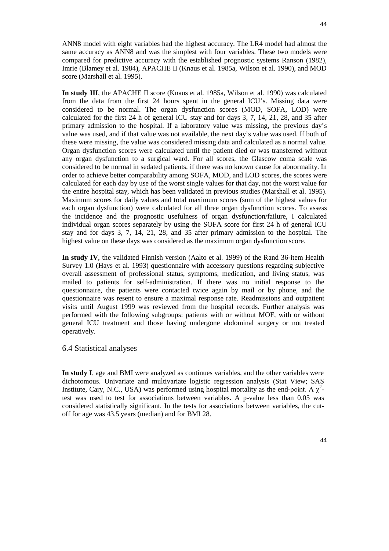ANN8 model with eight variables had the highest accuracy. The LR4 model had almost the same accuracy as ANN8 and was the simplest with four variables. These two models were compared for predictive accuracy with the established prognostic systems Ranson (1982), Imrie (Blamey et al. 1984), APACHE II (Knaus et al. 1985a, Wilson et al. 1990), and MOD score (Marshall et al. 1995).

**In study III**, the APACHE II score (Knaus et al. 1985a, Wilson et al. 1990) was calculated from the data from the first 24 hours spent in the general ICU's. Missing data were considered to be normal. The organ dysfunction scores (MOD, SOFA, LOD) were calculated for the first 24 h of general ICU stay and for days 3, 7, 14, 21, 28, and 35 after primary admission to the hospital. If a laboratory value was missing, the previous day's value was used, and if that value was not available, the next day's value was used. If both of these were missing, the value was considered missing data and calculated as a normal value. Organ dysfunction scores were calculated until the patient died or was transferred without any organ dysfunction to a surgical ward. For all scores, the Glascow coma scale was considered to be normal in sedated patients, if there was no known cause for abnormality. In order to achieve better comparability among SOFA, MOD, and LOD scores, the scores were calculated for each day by use of the worst single values for that day, not the worst value for the entire hospital stay, which has been validated in previous studies (Marshall et al. 1995). Maximum scores for daily values and total maximum scores (sum of the highest values for each organ dysfunction) were calculated for all three organ dysfunction scores. To assess the incidence and the prognostic usefulness of organ dysfunction/failure, I calculated individual organ scores separately by using the SOFA score for first 24 h of general ICU stay and for days 3, 7, 14, 21, 28, and 35 after primary admission to the hospital. The highest value on these days was considered as the maximum organ dysfunction score.

**In study IV**, the validated Finnish version (Aalto et al. 1999) of the Rand 36-item Health Survey 1.0 (Hays et al. 1993) questionnaire with accessory questions regarding subjective overall assessment of professional status, symptoms, medication, and living status, was mailed to patients for self-administration. If there was no initial response to the questionnaire, the patients were contacted twice again by mail or by phone, and the questionnaire was resent to ensure a maximal response rate. Readmissions and outpatient visits until August 1999 was reviewed from the hospital records. Further analysis was performed with the following subgroups: patients with or without MOF, with or without general ICU treatment and those having undergone abdominal surgery or not treated operatively.

# 6.4 Statistical analyses

**In study I**, age and BMI were analyzed as continues variables, and the other variables were dichotomous. Univariate and multivariate logistic regression analysis (Stat View; SAS Institute, Cary, N.C., USA) was performed using hospital mortality as the end-point. A  $\chi^2$ test was used to test for associations between variables. A p-value less than 0.05 was considered statistically significant. In the tests for associations between variables, the cutoff for age was 43.5 years (median) and for BMI 28.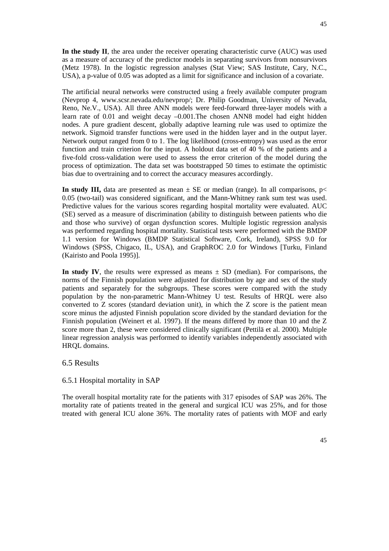**In the study II**, the area under the receiver operating characteristic curve (AUC) was used as a measure of accuracy of the predictor models in separating survivors from nonsurvivors (Metz 1978). In the logistic regression analyses (Stat View; SAS Institute, Cary, N.C., USA), a p-value of 0.05 was adopted as a limit for significance and inclusion of a covariate.

The artificial neural networks were constructed using a freely available computer program (Nevprop 4, www.scsr.nevada.edu/nevprop/; Dr. Philip Goodman, University of Nevada, Reno, Ne.V., USA). All three ANN models were feed-forward three-layer models with a learn rate of 0.01 and weight decay –0.001.The chosen ANN8 model had eight hidden nodes. A pure gradient descent, globally adaptive learning rule was used to optimize the network. Sigmoid transfer functions were used in the hidden layer and in the output layer. Network output ranged from 0 to 1. The log likelihood (cross-entropy) was used as the error function and train criterion for the input. A holdout data set of 40 % of the patients and a five-fold cross-validation were used to assess the error criterion of the model during the process of optimization. The data set was bootstrapped 50 times to estimate the optimistic bias due to overtraining and to correct the accuracy measures accordingly.

**In study III,** data are presented as mean  $\pm$  SE or median (range). In all comparisons, p< 0.05 (two-tail) was considered significant, and the Mann-Whitney rank sum test was used. Predictive values for the various scores regarding hospital mortality were evaluated. AUC (SE) served as a measure of discrimination (ability to distinguish between patients who die and those who survive) of organ dysfunction scores. Multiple logistic regression analysis was performed regarding hospital mortality. Statistical tests were performed with the BMDP 1.1 version for Windows (BMDP Statistical Software, Cork, Ireland), SPSS 9.0 for Windows (SPSS, Chigaco, IL, USA), and GraphROC 2.0 for Windows [Turku, Finland (Kairisto and Poola 1995)].

**In study IV**, the results were expressed as means  $\pm$  SD (median). For comparisons, the norms of the Finnish population were adjusted for distribution by age and sex of the study patients and separately for the subgroups. These scores were compared with the study population by the non-parametric Mann-Whitney U test. Results of HRQL were also converted to Z scores (standard deviation unit), in which the Z score is the patient mean score minus the adjusted Finnish population score divided by the standard deviation for the Finnish population (Weinert et al. 1997). If the means differed by more than 10 and the Z score more than 2, these were considered clinically significant (Pettilä et al. 2000). Multiple linear regression analysis was performed to identify variables independently associated with HRQL domains.

# 6.5 Results

# 6.5.1 Hospital mortality in SAP

The overall hospital mortality rate for the patients with 317 episodes of SAP was 26%. The mortality rate of patients treated in the general and surgical ICU was 25%, and for those treated with general ICU alone 36%. The mortality rates of patients with MOF and early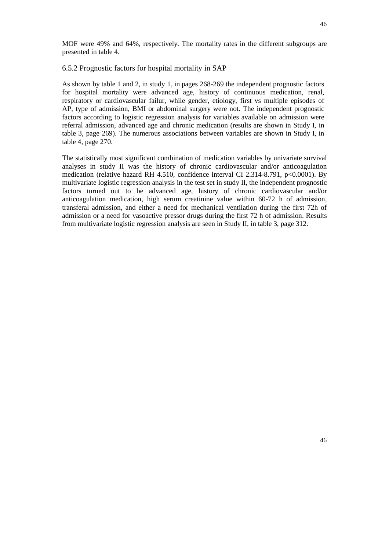46

MOF were 49% and 64%, respectively. The mortality rates in the different subgroups are presented in table 4.

# 6.5.2 Prognostic factors for hospital mortality in SAP

As shown by table 1 and 2, in study 1, in pages 268-269 the independent prognostic factors for hospital mortality were advanced age, history of continuous medication, renal, respiratory or cardiovascular failur, while gender, etiology, first vs multiple episodes of AP, type of admission, BMI or abdominal surgery were not. The independent prognostic factors according to logistic regression analysis for variables available on admission were referral admission, advanced age and chronic medication (results are shown in Study I, in table 3, page 269). The numerous associations between variables are shown in Study I, in table 4, page 270.

The statistically most significant combination of medication variables by univariate survival analyses in study II was the history of chronic cardiovascular and/or anticoagulation medication (relative hazard RH 4.510, confidence interval CI 2.314-8.791,  $p<0.0001$ ). By multivariate logistic regression analysis in the test set in study II, the independent prognostic factors turned out to be advanced age, history of chronic cardiovascular and/or anticoagulation medication, high serum creatinine value within 60-72 h of admission, transferal admission, and either a need for mechanical ventilation during the first 72h of admission or a need for vasoactive pressor drugs during the first 72 h of admission. Results from multivariate logistic regression analysis are seen in Study II, in table 3, page 312.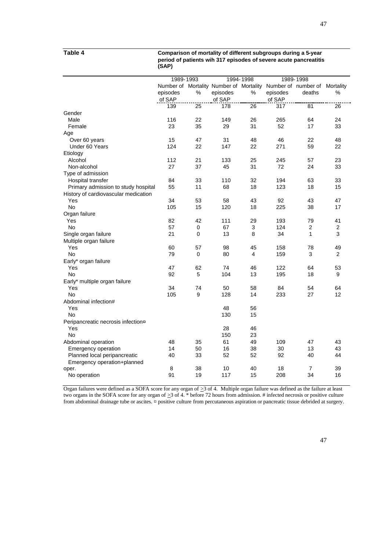#### **Table 4 Comparison of mortality of different subgroups during a 5-year period of patients wih 317 episodes of severe acute pancreatitis (SAP)**

|                                      | 1989-1993 |    |          | 1994-1998 | 1989-1998                                                   |        |                |
|--------------------------------------|-----------|----|----------|-----------|-------------------------------------------------------------|--------|----------------|
|                                      |           |    |          |           | Number of Mortality Number of Mortality Number of number of |        | Mortality      |
|                                      | episodes  | %  | episodes | ℅         | episodes                                                    | deaths | %              |
|                                      | of SAP    |    | of SAP   |           | of SAP                                                      |        |                |
|                                      | 139       | 25 | 178      | 26        | 317                                                         | 81     | 26             |
| Gender                               |           |    |          |           |                                                             |        |                |
| Male                                 | 116       | 22 | 149      | 26        | 265                                                         | 64     | 24             |
| Female                               | 23        | 35 | 29       | 31        | 52                                                          | 17     | 33             |
| Age                                  |           |    |          |           |                                                             |        |                |
| Over 60 years                        | 15        | 47 | 31       | 48        | 46                                                          | 22     | 48             |
| Under 60 Years                       | 124       | 22 | 147      | 22        | 271                                                         | 59     | 22             |
| Etiology                             |           |    |          |           |                                                             |        |                |
| Alcohol                              | 112       | 21 | 133      | 25        | 245                                                         | 57     | 23             |
| Non-alcohol                          | 27        | 37 | 45       | 31        | 72                                                          | 24     | 33             |
| Type of admission                    |           |    |          |           |                                                             |        |                |
| Hospital transfer                    | 84        | 33 | 110      | 32        | 194                                                         | 63     | 33             |
| Primary admission to study hospital  | 55        | 11 | 68       | 18        | 123                                                         | 18     | 15             |
| History of cardiovascular medication |           |    |          |           |                                                             |        |                |
| Yes                                  | 34        | 53 | 58       | 43        | 92                                                          | 43     | 47             |
| No                                   | 105       | 15 | 120      | 18        | 225                                                         | 38     | 17             |
| Organ failure                        |           |    |          |           |                                                             |        |                |
| Yes                                  | 82        | 42 | 111      | 29        | 193                                                         | 79     | 41             |
| No                                   | 57        | 0  | 67       | 3         | 124                                                         | 2      | 2              |
| Single organ failure                 | 21        | 0  | 13       | 8         | 34                                                          | 1      | 3              |
| Multiple organ failure               |           |    |          |           |                                                             |        |                |
| Yes                                  | 60        | 57 | 98       | 45        | 158                                                         | 78     | 49             |
| No                                   | 79        | 0  | 80       | 4         | 159                                                         | 3      | $\overline{c}$ |
| Early* organ failure                 |           |    |          |           |                                                             |        |                |
| Yes                                  | 47        | 62 | 74       | 46        | 122                                                         | 64     | 53             |
| No                                   | 92        | 5  | 104      | 13        | 195                                                         | 18     | 9              |
| Early* multiple organ failure        |           |    |          |           |                                                             |        |                |
| Yes                                  | 34        | 74 | 50       | 58        | 84                                                          | 54     | 64             |
| No                                   | 105       | 9  | 128      | 14        | 233                                                         | 27     | 12             |
| Abdominal infection#                 |           |    |          |           |                                                             |        |                |
| Yes                                  |           |    | 48       | 56        |                                                             |        |                |
| No                                   |           |    | 130      | 15        |                                                             |        |                |
| Peripancreatic necrosis infection¤   |           |    |          |           |                                                             |        |                |
| Yes                                  |           |    | 28       | 46        |                                                             |        |                |
| No                                   |           |    | 150      | 23        |                                                             |        |                |
| Abdominal operation                  | 48        | 35 | 61       | 49        | 109                                                         | 47     | 43             |
| Emergency operation                  | 14        | 50 | 16       | 38        | 30                                                          | 13     | 43             |
| Planned local peripancreatic         | 40        | 33 | 52       | 52        | 92                                                          | 40     | 44             |
| Emergency operation+planned          |           |    |          |           |                                                             |        |                |
| oper.                                | 8         | 38 | 10       | 40        | 18                                                          | 7      | 39             |
| No operation                         | 91        | 19 | 117      | 15        | 208                                                         | 34     | 16             |

Organ failures were defined as a SOFA score for any organ of  $\geq$ 3 of 4. Multiple organ failure was defined as the failure at least two organs in the SOFA score for any organ of  $\geq 3$  of 4. \* before 72 hours from admission. # infected necrosis or positive culture from abdominal drainage tube or ascites. ¤ positive culture from percutaneous aspiration or pancreatic tissue debrided at surgery.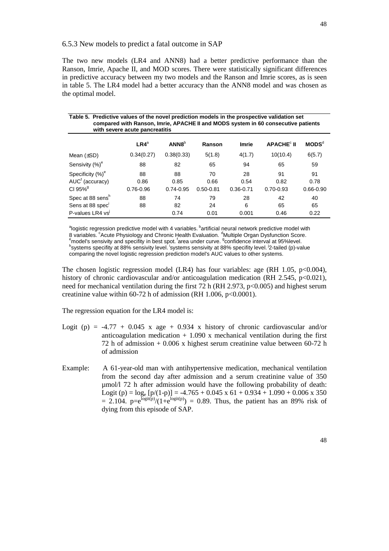#### 6.5.3 New models to predict a fatal outcome in SAP

The two new models (LR4 and ANN8) had a better predictive performance than the Ranson, Imrie, Apache II, and MOD scores. There were statistically significant differences in predictive accuracy between my two models and the Ranson and Imrie scores, as is seen in table 5. The LR4 model had a better accuracy than the ANN8 model and was chosen as the optimal model.

| Table 5. Predictive values of the novel prediction models in the prospective validation set<br>compared with Ranson, Imrie, APACHE II and MODS system in 60 consecutive patients<br>with severe acute pancreatitis |            |                   |               |              |                              |                   |  |  |  |  |  |
|--------------------------------------------------------------------------------------------------------------------------------------------------------------------------------------------------------------------|------------|-------------------|---------------|--------------|------------------------------|-------------------|--|--|--|--|--|
|                                                                                                                                                                                                                    | $LR4^a$    | ANN8 <sup>b</sup> | Ranson        | <b>Imrie</b> | <b>APACHE<sup>c</sup> II</b> | MODS <sup>d</sup> |  |  |  |  |  |
| Mean $(\pm SD)$                                                                                                                                                                                                    | 0.34(0.27) | 0.38(0.33)        | 5(1.8)        | 4(1.7)       | 10(10.4)                     | 6(5.7)            |  |  |  |  |  |
| Sensivity (%) <sup>e</sup>                                                                                                                                                                                         | 88         | 82                | 65            | 94           | 65                           | 59                |  |  |  |  |  |
| Specificity $(\%)^e$                                                                                                                                                                                               | 88         | 88                | 70            | 28           | 91                           | 91                |  |  |  |  |  |
| AUC <sup>f</sup> (accuracy)                                                                                                                                                                                        | 0.86       | 0.85              | 0.66          | 0.54         | 0.82                         | 0.78              |  |  |  |  |  |
| CI $95\%$ <sup>9</sup>                                                                                                                                                                                             | 0.76-0.96  | $0.74 - 0.95$     | $0.50 - 0.81$ | 0.36-0.71    | $0.70 - 0.93$                | $0.66 - 0.90$     |  |  |  |  |  |
| Spec at 88 sens <sup>h</sup>                                                                                                                                                                                       | 88         | 74                | 79            | 28           | 42                           | 40                |  |  |  |  |  |
| Sens at 88 spec                                                                                                                                                                                                    | 88         | 82                | 24            | 6            | 65                           | 65                |  |  |  |  |  |
| P-values LR4 vs                                                                                                                                                                                                    |            | 0.74              | 0.01          | 0.001        | 0.46                         | 0.22              |  |  |  |  |  |

a<br>logistic regression predictive model with 4 variables. <sup>b</sup>artificial neural network predictive model with? 8 variables. <sup>c</sup>Acute Physiology and Chronic Health Evaluation. <sup>d</sup>Multiple Organ Dysfunction Score.<br><sup>e</sup>modelle sensivity and apositity in heat apet <sup>f</sup>aree under surve, <sup>g</sup>eoptidence intenval at 05% lovel. <sup>e</sup>model's sensivity and specifity in best spot. <sup>f</sup>area under curve. <sup>g</sup>confidence interval at 95% level.<br><sup>h</sup>aveterne apositive at 88% consigity lavel, austana sensigity at 88% apositive lavel. <sup>[2</sup>] tailed (a) yo systems specifity at 88% sensivity level. Systems sensivity at 88% specifity level. <sup>j</sup>2-tailed (p)-value comparing the novel logistic regression prediction model's AUC values to other systems.

The chosen logistic regression model (LR4) has four variables: age (RH 1.05,  $p<0.004$ ), history of chronic cardiovascular and/or anticoagulation medication (RH 2.545,  $p<0.021$ ), need for mechanical ventilation during the first 72 h (RH 2.973,  $p<0.005$ ) and highest serum creatinine value within 60-72 h of admission (RH 1.006,  $p<0.0001$ ).

The regression equation for the LR4 model is:

- Logit (p) =  $-4.77 + 0.045$  x age + 0.934 x history of chronic cardiovascular and/or anticoagulation medication  $+1.090 \times$  mechanical ventilation during the first 72 h of admission  $+ 0.006$  x highest serum creatinine value between 60-72 h of admission
- Example: A 61-year-old man with antihypertensive medication, mechanical ventilation from the second day after admission and a serum creatinine value of 350 µmol/l 72 h after admission would have the following probability of death: Logit (p) =  $log_e [p/(1-p)] = -4.765 + 0.045 \times 61 + 0.934 + 1.090 + 0.006 \times 350$  $= 2.104.$  p=elogit(p)/(1+elogit(p)) = 0.89. Thus, the patient has an 89% risk of dying from this episode of SAP.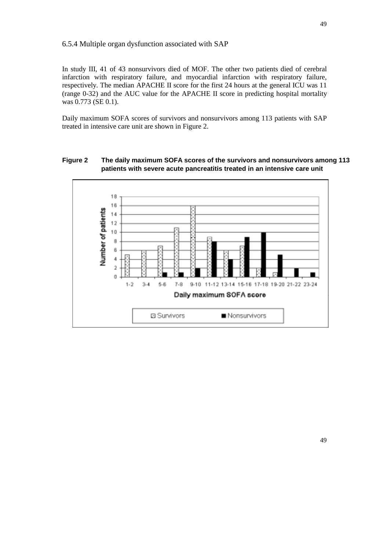# 6.5.4 Multiple organ dysfunction associated with SAP

In study III, 41 of 43 nonsurvivors died of MOF. The other two patients died of cerebral infarction with respiratory failure, and myocardial infarction with respiratory failure, respectively. The median APACHE II score for the first 24 hours at the general ICU was 11 (range 0-32) and the AUC value for the APACHE II score in predicting hospital mortality was 0.773 (SE 0.1).

Daily maximum SOFA scores of survivors and nonsurvivors among 113 patients with SAP treated in intensive care unit are shown in Figure 2.

## **Figure 2 The daily maximum SOFA scores of the survivors and nonsurvivors among 113 patients with severe acute pancreatitis treated in an intensive care unit**

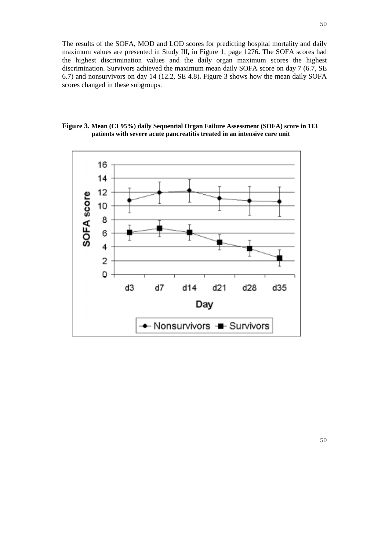The results of the SOFA, MOD and LOD scores for predicting hospital mortality and daily maximum values are presented in Study III**,** in Figure 1, page 1276**.** The SOFA scores had the highest discrimination values and the daily organ maximum scores the highest discrimination. Survivors achieved the maximum mean daily SOFA score on day 7 (6.7, SE 6.7) and nonsurvivors on day 14 (12.2, SE 4.8)**.** Figure 3 shows how the mean daily SOFA scores changed in these subgroups.

## **Figure 3. Mean (CI 95%) daily Sequential Organ Failure Assessment (SOFA) score in 113 patients with severe acute pancreatitis treated in an intensive care unit**

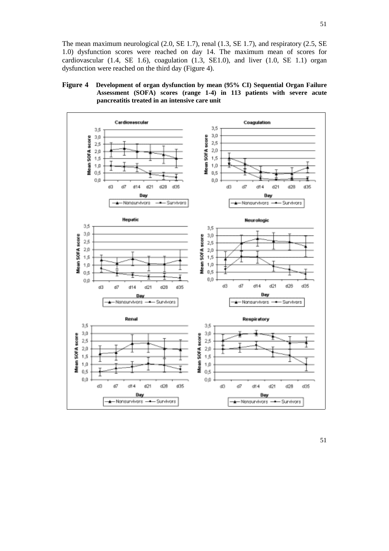The mean maximum neurological  $(2.0, SE 1.7)$ , renal  $(1.3, SE 1.7)$ , and respiratory  $(2.5, SE 1.7)$ 1.0) dysfunction scores were reached on day 14. The maximum mean of scores for cardiovascular  $(1.4, SE 1.6)$ , coagulation  $(1.3, SE1.0)$ , and liver  $(1.0, SE 1.1)$  organ dysfunction were reached on the third day (Figure 4).

#### **Figure 4 Development of organ dysfunction by mean (95% CI) Sequential Organ Failure Assessment (SOFA) scores (range 1-4) in 113 patients with severe acute pancreatitis treated in an intensive care unit**

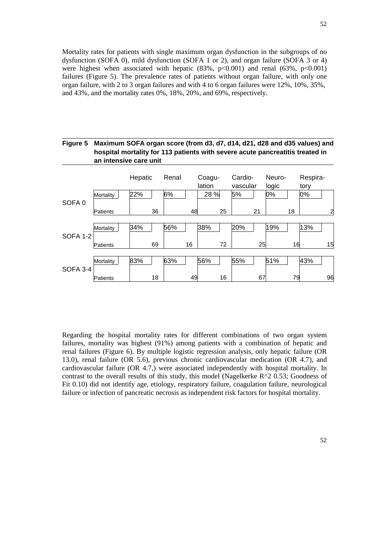Mortality rates for patients with single maximum organ dysfunction in the subgroups of no dysfunction (SOFA 0), mild dysfunction (SOFA 1 or 2), and organ failure (SOFA 3 or 4) were highest when associated with hepatic  $(83\%, p<0.001)$  and renal  $(63\%, p<0.001)$ failures (Figure 5). The prevalence rates of patients without organ failure, with only one organ failure, with 2 to 3 organ failures and with 4 to 6 organ failures were 12%, 10%, 35%, and 43%, and the mortality rates 0%, 18%, 20%, and 69%, respectively.

# **Figure 5 Maximum SOFA organ score (from d3, d7, d14, d21, d28 and d35 values) and hospital mortality for 113 patients with severe acute pancreatitis treated in an intensive care unit**

|                   |           | Hepatic |    | Renal |    | Coagu-<br>lation |    | Cardio-<br>vascular |    | Neuro-<br>logic |    | Respira-<br>tory |                |
|-------------------|-----------|---------|----|-------|----|------------------|----|---------------------|----|-----------------|----|------------------|----------------|
| SOFA <sub>0</sub> | Mortality | 22%     |    | 6%    |    | 28 %             |    | 5%                  |    | 0%              |    | 0%               |                |
|                   | Patients  |         | 36 |       | 48 |                  | 25 |                     | 21 |                 | 18 |                  | $\overline{c}$ |
| <b>SOFA 1-2</b>   | Mortality | 34%     |    | 56%   |    | 38%              |    | 20%                 |    | 19%             |    | 13%              |                |
|                   | Patients  |         | 69 |       | 16 |                  | 72 |                     | 25 |                 | 16 |                  | 15             |
| <b>SOFA 3-4</b>   | Mortality | 83%     |    | 63%   |    | 56%              |    | 55%                 |    | 51%             |    | 43%              |                |
|                   | Patients  |         | 18 |       | 49 |                  | 16 |                     | 67 |                 | 79 |                  | 96             |

Regarding the hospital mortality rates for different combinations of two organ system failures, mortality was highest (91%) among patients with a combination of hepatic and renal failures (Figure 6). By multiple logistic regression analysis, only hepatic failure (OR 13.0), renal failure (OR 5.6), previous chronic cardiovascular medication (OR 4.7), and cardiovascular failure (OR 4.7,) were associated independently with hospital mortality. In contrast to the overall results of this study, this model (Nagelkerke  $R^2$  0.53; Goodness of Fit 0.10) did not identify age, etiology, respiratory failure, coagulation failure, neurological failure or infection of pancreatic necrosis as independent risk factors for hospital mortality.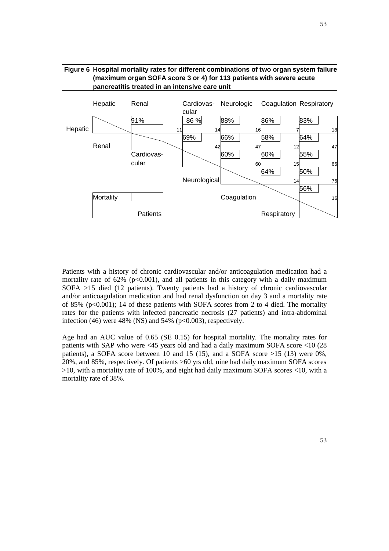



Patients with a history of chronic cardiovascular and/or anticoagulation medication had a mortality rate of  $62\%$  (p<0.001), and all patients in this category with a daily maximum SOFA >15 died (12 patients). Twenty patients had a history of chronic cardiovascular and/or anticoagulation medication and had renal dysfunction on day 3 and a mortality rate of 85% ( $p < 0.001$ ); 14 of these patients with SOFA scores from 2 to 4 died. The mortality rates for the patients with infected pancreatic necrosis (27 patients) and intra-abdominal infection (46) were 48% (NS) and 54% ( $p<0.003$ ), respectively.

Age had an AUC value of 0.65 (SE 0.15) for hospital mortality. The mortality rates for patients with SAP who were <45 years old and had a daily maximum SOFA score <10 (28 patients), a SOFA score between 10 and 15 (15), and a SOFA score  $>15$  (13) were 0%, 20%, and 85%, respectively. Of patients >60 yrs old, nine had daily maximum SOFA scores >10, with a mortality rate of 100%, and eight had daily maximum SOFA scores <10, with a mortality rate of 38%.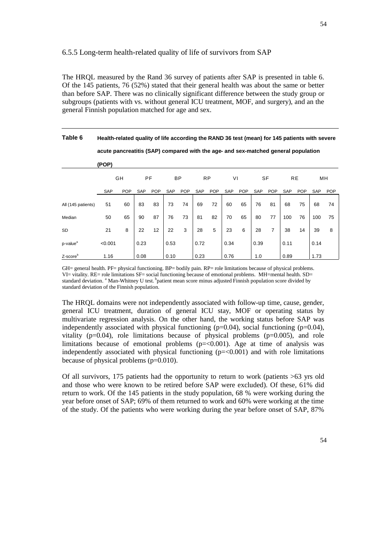# 6.5.5 Long-term health-related quality of life of survivors from SAP

The HRQL measured by the Rand 36 survey of patients after SAP is presented in table 6. Of the 145 patients, 76 (52%) stated that their general health was about the same or better than before SAP. There was no clinically significant difference between the study group or subgroups (patients with vs. without general ICU treatment, MOF, and surgery), and an the general Finnish population matched for age and sex.

|                      | (POP)   |            |            |            |            |            |           |     |      |            |      |                |      |            |      |            |
|----------------------|---------|------------|------------|------------|------------|------------|-----------|-----|------|------------|------|----------------|------|------------|------|------------|
|                      |         | GH         | PF         |            |            | <b>BP</b>  | <b>RP</b> |     | VI   |            | SF   |                |      | <b>RE</b>  | MН   |            |
|                      | SAP     | <b>POP</b> | <b>SAP</b> | <b>POP</b> | <b>SAP</b> | <b>POP</b> | SAP       | POP | SAP  | <b>POP</b> | SAP  | <b>POP</b>     | SAP  | <b>POP</b> | SAP  | <b>POP</b> |
| All (145 patients)   | 51      | 60         | 83         | 83         | 73         | 74         | 69        | 72  | 60   | 65         | 76   | 81             | 68   | 75         | 68   | 74         |
| Median               | 50      | 65         | 90         | 87         | 76         | 73         | 81        | 82  | 70   | 65         | 80   | 77             | 100  | 76         | 100  | 75         |
| <b>SD</b>            | 21      | 8          | 22         | 12         | 22         | 3          | 28        | 5   | 23   | 6          | 28   | $\overline{7}$ | 38   | 14         | 39   | 8          |
| $p$ -value $a$       | < 0.001 |            | 0.23       |            | 0.53       |            | 0.72      |     | 0.34 |            | 0.39 |                | 0.11 |            | 0.14 |            |
| Z-score <sup>b</sup> | 1.16    |            | 0.08       |            | 0.10       |            | 0.23      |     | 0.76 |            | 1.0  |                | 0.89 |            | 1.73 |            |

# **Table 6 Health-related quality of life according the RAND 36 test (mean) for 145 patients with severe acute pancreatitis (SAP) compared with the age- and sex-matched general population**

GH= general health. PF= physical functioning. BP= bodily pain. RP= role limitations because of physical problems. VI= vitality. RE= role limitations SF= social functioning because of emotional problems. MH=mental health. SD= standard deviation. <sup>a</sup> Man-Whitney U test. <sup>b</sup>patient mean score minus adjusted Finnish population score divided by standard deviation of the Finnish population.

The HRQL domains were not independently associated with follow-up time, cause, gender, general ICU treatment, duration of general ICU stay, MOF or operating status by multivariate regression analysis. On the other hand, the working status before SAP was independently associated with physical functioning  $(p=0.04)$ , social functioning  $(p=0.04)$ , vitality  $(p=0.04)$ , role limitations because of physical problems  $(p=0.005)$ , and role limitations because of emotional problems  $(p = 0.001)$ . Age at time of analysis was independently associated with physical functioning  $(p=<0.001)$  and with role limitations because of physical problems (p=0.010).

Of all survivors, 175 patients had the opportunity to return to work (patients >63 yrs old and those who were known to be retired before SAP were excluded). Of these, 61% did return to work. Of the 145 patients in the study population, 68 % were working during the year before onset of SAP; 69% of them returned to work and 60% were working at the time of the study. Of the patients who were working during the year before onset of SAP, 87%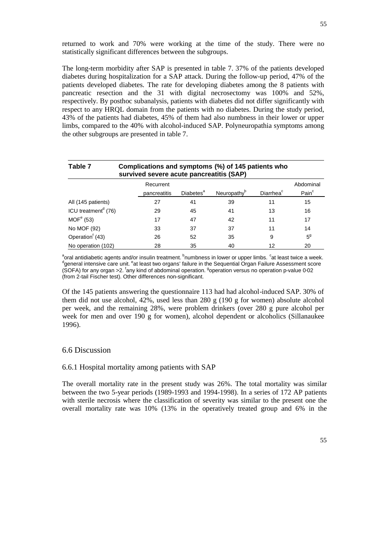returned to work and 70% were working at the time of the study. There were no statistically significant differences between the subgroups.

The long-term morbidity after SAP is presented in table 7. 37% of the patients developed diabetes during hospitalization for a SAP attack. During the follow-up period, 47% of the patients developed diabetes. The rate for developing diabetes among the 8 patients with pancreatic resection and the 31 with digital necrosectomy was 100% and 52%, respectively. By posthoc subanalysis, patients with diabetes did not differ significantly with respect to any HRQL domain from the patients with no diabetes. During the study period, 43% of the patients had diabetes, 45% of them had also numbness in their lower or upper limbs, compared to the 40% with alcohol-induced SAP. Polyneuropathia symptoms among the other subgroups are presented in table 7.

| Table 7                         | Complications and symptoms (%) of 145 patients who<br>survived severe acute pancreatitis (SAP) |                       |                         |                       |                                |
|---------------------------------|------------------------------------------------------------------------------------------------|-----------------------|-------------------------|-----------------------|--------------------------------|
|                                 | Recurrent<br>pancreatitis                                                                      | Diabetes <sup>a</sup> | Neuropathy <sup>b</sup> | Diarrhea <sup>c</sup> | Abdominal<br>Pain <sup>c</sup> |
| All (145 patients)              | 27                                                                                             | 41                    | 39                      | 11                    | 15                             |
| ICU treatment <sup>d</sup> (76) | 29                                                                                             | 45                    | 41                      | 13                    | 16                             |
| MOF <sup>e</sup> (53)           | 17                                                                                             | 47                    | 42                      | 11                    | 17                             |
| No MOF (92)                     | 33                                                                                             | 37                    | 37                      | 11                    | 14                             |
| Operation <sup>f</sup> (43)     | 26                                                                                             | 52                    | 35                      | 9                     | $5^9$                          |
| No operation (102)              | 28                                                                                             | 35                    | 40                      | 12                    | 20                             |

<sup>a</sup>oral antidiabetic agents and/or insulin treatment. <sup>b</sup>numbness in lower or upper limbs. <sup>c</sup>at least twice a week.<br><sup>d</sup>aanarel intensive agre unit <sup>o</sup>nt loost two arganel follure in the Sequential Organ Foilure Assessment general intensive care unit. <sup>e</sup>at least two organs' failure in the Sequential Organ Failure Assessment score (SOFA) for any organ >2. <sup>f</sup>any kind of abdominal operation. <sup>g</sup>operation versus no operation p-value 0⋅02 (from 2-tail Fischer test). Other differences non-significant.

Of the 145 patients answering the questionnaire 113 had had alcohol-induced SAP. 30% of them did not use alcohol,  $42\%$ , used less than 280 g (190 g for women) absolute alcohol per week, and the remaining 28%, were problem drinkers (over 280 g pure alcohol per week for men and over 190 g for women), alcohol dependent or alcoholics (Sillanaukee 1996).

# 6.6 Discussion

#### 6.6.1 Hospital mortality among patients with SAP

The overall mortality rate in the present study was 26%. The total mortality was similar between the two 5-year periods (1989-1993 and 1994-1998). In a series of 172 AP patients with sterile necrosis where the classification of severity was similar to the present one the overall mortality rate was 10% (13% in the operatively treated group and 6% in the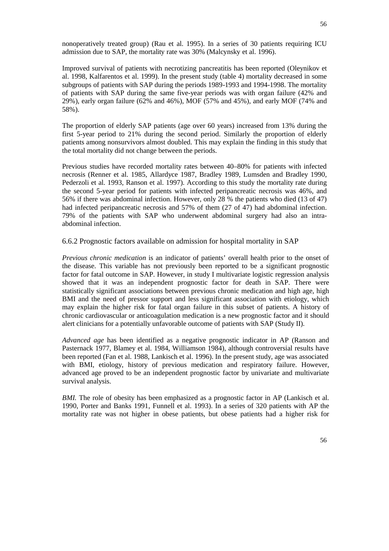nonoperatively treated group) (Rau et al. 1995). In a series of 30 patients requiring ICU admission due to SAP, the mortality rate was 30% (Malcynsky et al. 1996).

Improved survival of patients with necrotizing pancreatitis has been reported (Oleynikov et al. 1998, Kalfarentos et al. 1999). In the present study (table 4) mortality decreased in some subgroups of patients with SAP during the periods 1989-1993 and 1994-1998. The mortality of patients with SAP during the same five-year periods was with organ failure (42% and 29%), early organ failure (62% and 46%), MOF (57% and 45%), and early MOF (74% and 58%).

The proportion of elderly SAP patients (age over 60 years) increased from 13% during the first 5-year period to 21% during the second period. Similarly the proportion of elderly patients among nonsurvivors almost doubled. This may explain the finding in this study that the total mortality did not change between the periods.

Previous studies have recorded mortality rates between 40–80% for patients with infected necrosis (Renner et al. 1985, Allardyce 1987, Bradley 1989, Lumsden and Bradley 1990, Pederzoli et al. 1993, Ranson et al. 1997). According to this study the mortality rate during the second 5-year period for patients with infected peripancreatic necrosis was 46%, and 56% if there was abdominal infection. However, only 28 % the patients who died (13 of 47) had infected peripancreatic necrosis and 57% of them (27 of 47) had abdominal infection. 79% of the patients with SAP who underwent abdominal surgery had also an intraabdominal infection.

6.6.2 Prognostic factors available on admission for hospital mortality in SAP

*Previous chronic medication* is an indicator of patients' overall health prior to the onset of the disease. This variable has not previously been reported to be a significant prognostic factor for fatal outcome in SAP. However, in study I multivariate logistic regression analysis showed that it was an independent prognostic factor for death in SAP. There were statistically significant associations between previous chronic medication and high age, high BMI and the need of pressor support and less significant association with etiology, which may explain the higher risk for fatal organ failure in this subset of patients. A history of chronic cardiovascular or anticoagulation medication is a new prognostic factor and it should alert clinicians for a potentially unfavorable outcome of patients with SAP (Study II).

*Advanced age* has been identified as a negative prognostic indicator in AP (Ranson and Pasternack 1977, Blamey et al. 1984, Williamson 1984), although controversial results have been reported (Fan et al. 1988, Lankisch et al. 1996). In the present study, age was associated with BMI, etiology, history of previous medication and respiratory failure. However, advanced age proved to be an independent prognostic factor by univariate and multivariate survival analysis.

*BMI*. The role of obesity has been emphasized as a prognostic factor in AP (Lankisch et al. 1990, Porter and Banks 1991, Funnell et al. 1993). In a series of 320 patients with AP the mortality rate was not higher in obese patients, but obese patients had a higher risk for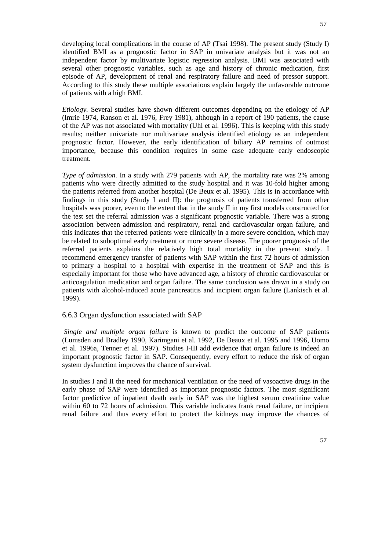developing local complications in the course of AP (Tsai 1998). The present study (Study I) identified BMI as a prognostic factor in SAP in univariate analysis but it was not an independent factor by multivariate logistic regression analysis. BMI was associated with several other prognostic variables, such as age and history of chronic medication, first episode of AP, development of renal and respiratory failure and need of pressor support. According to this study these multiple associations explain largely the unfavorable outcome of patients with a high BMI.

*Etiology.* Several studies have shown different outcomes depending on the etiology of AP (Imrie 1974, Ranson et al. 1976, Frey 1981), although in a report of 190 patients, the cause of the AP was not associated with mortality (Uhl et al. 1996). This is keeping with this study results; neither univariate nor multivariate analysis identified etiology as an independent prognostic factor. However, the early identification of biliary AP remains of outmost importance, because this condition requires in some case adequate early endoscopic treatment.

*Type of admission*. In a study with 279 patients with AP, the mortality rate was 2% among patients who were directly admitted to the study hospital and it was 10-fold higher among the patients referred from another hospital (De Beux et al. 1995). This is in accordance with findings in this study (Study I and II): the prognosis of patients transferred from other hospitals was poorer, even to the extent that in the study II in my first models constructed for the test set the referral admission was a significant prognostic variable. There was a strong association between admission and respiratory, renal and cardiovascular organ failure, and this indicates that the referred patients were clinically in a more severe condition, which may be related to suboptimal early treatment or more severe disease. The poorer prognosis of the referred patients explains the relatively high total mortality in the present study. I recommend emergency transfer of patients with SAP within the first 72 hours of admission to primary a hospital to a hospital with expertise in the treatment of SAP and this is especially important for those who have advanced age, a history of chronic cardiovascular or anticoagulation medication and organ failure. The same conclusion was drawn in a study on patients with alcohol-induced acute pancreatitis and incipient organ failure (Lankisch et al. 1999).

# 6.6.3 Organ dysfunction associated with SAP

*Single and multiple organ failure* is known to predict the outcome of SAP patients (Lumsden and Bradley 1990, Karimgani et al. 1992, De Beaux et al. 1995 and 1996, Uomo et al. 1996a, Tenner et al. 1997). Studies I-III add evidence that organ failure is indeed an important prognostic factor in SAP. Consequently, every effort to reduce the risk of organ system dysfunction improves the chance of survival.

In studies I and II the need for mechanical ventilation or the need of vasoactive drugs in the early phase of SAP were identified as important prognostic factors. The most significant factor predictive of inpatient death early in SAP was the highest serum creatinine value within 60 to 72 hours of admission. This variable indicates frank renal failure, or incipient renal failure and thus every effort to protect the kidneys may improve the chances of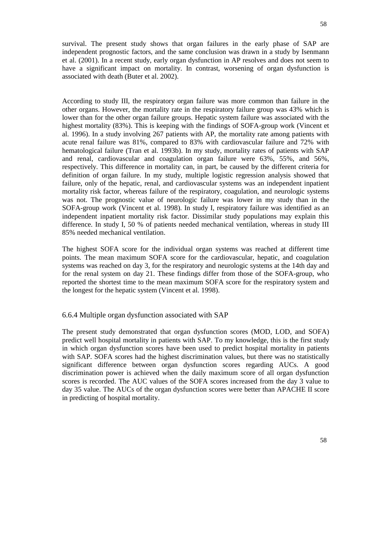survival. The present study shows that organ failures in the early phase of SAP are independent prognostic factors, and the same conclusion was drawn in a study by Isenmann et al. (2001). In a recent study, early organ dysfunction in AP resolves and does not seem to have a significant impact on mortality. In contrast, worsening of organ dysfunction is associated with death (Buter et al. 2002).

According to study III, the respiratory organ failure was more common than failure in the other organs. However, the mortality rate in the respiratory failure group was 43% which is lower than for the other organ failure groups. Hepatic system failure was associated with the highest mortality (83%). This is keeping with the findings of SOFA-group work (Vincent et al. 1996). In a study involving 267 patients with AP, the mortality rate among patients with acute renal failure was 81%, compared to 83% with cardiovascular failure and 72% with hematological failure (Tran et al. 1993b). In my study, mortality rates of patients with SAP and renal, cardiovascular and coagulation organ failure were 63%, 55%, and 56%, respectively. This difference in mortality can, in part, be caused by the different criteria for definition of organ failure. In my study, multiple logistic regression analysis showed that failure, only of the hepatic, renal, and cardiovascular systems was an independent inpatient mortality risk factor, whereas failure of the respiratory, coagulation, and neurologic systems was not. The prognostic value of neurologic failure was lower in my study than in the SOFA-group work (Vincent et al. 1998). In study I, respiratory failure was identified as an independent inpatient mortality risk factor. Dissimilar study populations may explain this difference. In study I, 50 % of patients needed mechanical ventilation, whereas in study III 85% needed mechanical ventilation.

The highest SOFA score for the individual organ systems was reached at different time points. The mean maximum SOFA score for the cardiovascular, hepatic, and coagulation systems was reached on day 3, for the respiratory and neurologic systems at the 14th day and for the renal system on day 21. These findings differ from those of the SOFA-group, who reported the shortest time to the mean maximum SOFA score for the respiratory system and the longest for the hepatic system (Vincent et al. 1998).

# 6.6.4 Multiple organ dysfunction associated with SAP

The present study demonstrated that organ dysfunction scores (MOD, LOD, and SOFA) predict well hospital mortality in patients with SAP. To my knowledge, this is the first study in which organ dysfunction scores have been used to predict hospital mortality in patients with SAP. SOFA scores had the highest discrimination values, but there was no statistically significant difference between organ dysfunction scores regarding AUCs. A good discrimination power is achieved when the daily maximum score of all organ dysfunction scores is recorded. The AUC values of the SOFA scores increased from the day 3 value to day 35 value. The AUCs of the organ dysfunction scores were better than APACHE II score in predicting of hospital mortality.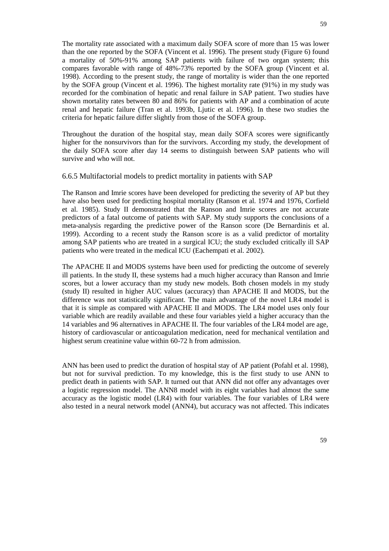The mortality rate associated with a maximum daily SOFA score of more than 15 was lower than the one reported by the SOFA (Vincent et al. 1996). The present study (Figure 6) found a mortality of 50%-91% among SAP patients with failure of two organ system; this compares favorable with range of 48%-73% reported by the SOFA group (Vincent et al. 1998). According to the present study, the range of mortality is wider than the one reported by the SOFA group (Vincent et al. 1996). The highest mortality rate (91%) in my study was recorded for the combination of hepatic and renal failure in SAP patient. Two studies have shown mortality rates between 80 and 86% for patients with AP and a combination of acute renal and hepatic failure (Tran et al. 1993b, Ljutic et al. 1996). In these two studies the criteria for hepatic failure differ slightly from those of the SOFA group.

Throughout the duration of the hospital stay, mean daily SOFA scores were significantly higher for the nonsurvivors than for the survivors. According my study, the development of the daily SOFA score after day 14 seems to distinguish between SAP patients who will survive and who will not.

# 6.6.5 Multifactorial models to predict mortality in patients with SAP

The Ranson and Imrie scores have been developed for predicting the severity of AP but they have also been used for predicting hospital mortality (Ranson et al. 1974 and 1976, Corfield et al. 1985). Study II demonstrated that the Ranson and Imrie scores are not accurate predictors of a fatal outcome of patients with SAP. My study supports the conclusions of a meta-analysis regarding the predictive power of the Ranson score (De Bernardinis et al. 1999). According to a recent study the Ranson score is as a valid predictor of mortality among SAP patients who are treated in a surgical ICU; the study excluded critically ill SAP patients who were treated in the medical ICU (Eachempati et al. 2002).

The APACHE II and MODS systems have been used for predicting the outcome of severely ill patients. In the study II, these systems had a much higher accuracy than Ranson and Imrie scores, but a lower accuracy than my study new models. Both chosen models in my study (study II) resulted in higher AUC values (accuracy) than APACHE II and MODS, but the difference was not statistically significant. The main advantage of the novel LR4 model is that it is simple as compared with APACHE II and MODS. The LR4 model uses only four variable which are readily available and these four variables yield a higher accuracy than the 14 variables and 96 alternatives in APACHE II. The four variables of the LR4 model are age, history of cardiovascular or anticoagulation medication, need for mechanical ventilation and highest serum creatinine value within 60-72 h from admission.

ANN has been used to predict the duration of hospital stay of AP patient (Pofahl et al. 1998), but not for survival prediction. To my knowledge, this is the first study to use ANN to predict death in patients with SAP. It turned out that ANN did not offer any advantages over a logistic regression model. The ANN8 model with its eight variables had almost the same accuracy as the logistic model (LR4) with four variables. The four variables of LR4 were also tested in a neural network model (ANN4), but accuracy was not affected. This indicates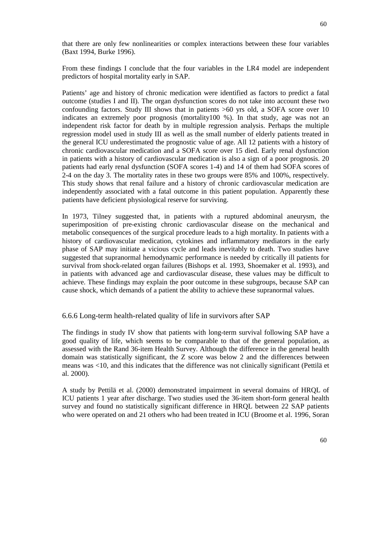that there are only few nonlinearities or complex interactions between these four variables (Baxt 1994, Burke 1996).

From these findings I conclude that the four variables in the LR4 model are independent predictors of hospital mortality early in SAP.

Patients' age and history of chronic medication were identified as factors to predict a fatal outcome (studies I and II). The organ dysfunction scores do not take into account these two confounding factors. Study III shows that in patients  $>60$  yrs old, a SOFA score over 10 indicates an extremely poor prognosis (mortality100 %). In that study, age was not an independent risk factor for death by in multiple regression analysis. Perhaps the multiple regression model used in study III as well as the small number of elderly patients treated in the general ICU underestimated the prognostic value of age. All 12 patients with a history of chronic cardiovascular medication and a SOFA score over 15 died. Early renal dysfunction in patients with a history of cardiovascular medication is also a sign of a poor prognosis. 20 patients had early renal dysfunction (SOFA scores 1-4) and 14 of them had SOFA scores of 2-4 on the day 3. The mortality rates in these two groups were 85% and 100%, respectively. This study shows that renal failure and a history of chronic cardiovascular medication are independently associated with a fatal outcome in this patient population. Apparently these patients have deficient physiological reserve for surviving.

In 1973, Tilney suggested that, in patients with a ruptured abdominal aneurysm, the superimposition of pre-existing chronic cardiovascular disease on the mechanical and metabolic consequences of the surgical procedure leads to a high mortality. In patients with a history of cardiovascular medication, cytokines and inflammatory mediators in the early phase of SAP may initiate a vicious cycle and leads inevitably to death. Two studies have suggested that supranormal hemodynamic performance is needed by critically ill patients for survival from shock-related organ failures (Bishops et al. 1993, Shoemaker et al. 1993), and in patients with advanced age and cardiovascular disease, these values may be difficult to achieve. These findings may explain the poor outcome in these subgroups, because SAP can cause shock, which demands of a patient the ability to achieve these supranormal values.

# 6.6.6 Long-term health-related quality of life in survivors after SAP

The findings in study IV show that patients with long-term survival following SAP have a good quality of life, which seems to be comparable to that of the general population, as assessed with the Rand 36-item Health Survey. Although the difference in the general health domain was statistically significant, the Z score was below 2 and the differences between means was <10, and this indicates that the difference was not clinically significant (Pettilä et al. 2000).

A study by Pettilä et al. (2000) demonstrated impairment in several domains of HRQL of ICU patients 1 year after discharge. Two studies used the 36-item short-form general health survey and found no statistically significant difference in HRQL between 22 SAP patients who were operated on and 21 others who had been treated in ICU (Broome et al. 1996, Soran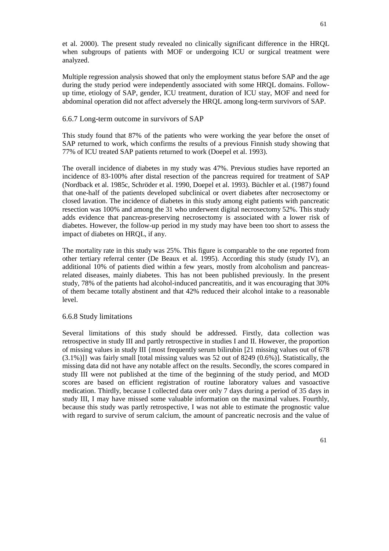et al. 2000). The present study revealed no clinically significant difference in the HRQL when subgroups of patients with MOF or undergoing ICU or surgical treatment were analyzed.

Multiple regression analysis showed that only the employment status before SAP and the age during the study period were independently associated with some HRQL domains. Followup time, etiology of SAP, gender, ICU treatment, duration of ICU stay, MOF and need for abdominal operation did not affect adversely the HRQL among long-term survivors of SAP.

# 6.6.7 Long-term outcome in survivors of SAP

This study found that 87% of the patients who were working the year before the onset of SAP returned to work, which confirms the results of a previous Finnish study showing that 77% of ICU treated SAP patients returned to work (Doepel et al. 1993).

The overall incidence of diabetes in my study was 47%. Previous studies have reported an incidence of 83-100% after distal resection of the pancreas required for treatment of SAP (Nordback et al. 1985c, Schröder et al. 1990, Doepel et al. 1993). Büchler et al. (1987) found that one-half of the patients developed subclinical or overt diabetes after necrosectomy or closed lavation. The incidence of diabetes in this study among eight patients with pancreatic resection was 100% and among the 31 who underwent digital necrosectomy 52%. This study adds evidence that pancreas-preserving necrosectomy is associated with a lower risk of diabetes. However, the follow-up period in my study may have been too short to assess the impact of diabetes on HRQL, if any.

The mortality rate in this study was 25%. This figure is comparable to the one reported from other tertiary referral center (De Beaux et al. 1995). According this study (study IV), an additional 10% of patients died within a few years, mostly from alcoholism and pancreasrelated diseases, mainly diabetes. This has not been published previously. In the present study, 78% of the patients had alcohol-induced pancreatitis, and it was encouraging that 30% of them became totally abstinent and that 42% reduced their alcohol intake to a reasonable level.

# 6.6.8 Study limitations

Several limitations of this study should be addressed. Firstly, data collection was retrospective in study III and partly retrospective in studies I and II. However, the proportion of missing values in study III {most frequently serum bilirubin [21 missing values out of 678 (3.1%)]} was fairly small [total missing values was 52 out of 8249 (0.6%)]. Statistically, the missing data did not have any notable affect on the results. Secondly, the scores compared in study III were not published at the time of the beginning of the study period, and MOD scores are based on efficient registration of routine laboratory values and vasoactive medication. Thirdly, because I collected data over only 7 days during a period of 35 days in study III, I may have missed some valuable information on the maximal values. Fourthly, because this study was partly retrospective, I was not able to estimate the prognostic value with regard to survive of serum calcium, the amount of pancreatic necrosis and the value of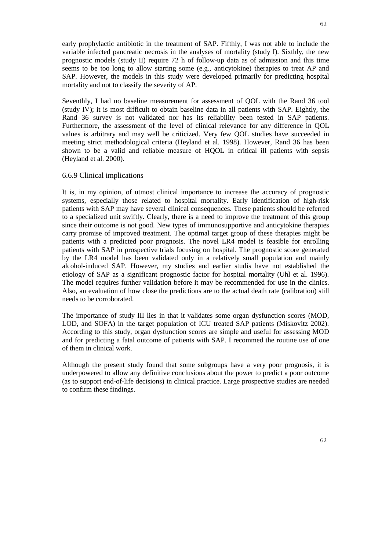early prophylactic antibiotic in the treatment of SAP. Fifthly, I was not able to include the variable infected pancreatic necrosis in the analyses of mortality (study I). Sixthly, the new prognostic models (study II) require 72 h of follow-up data as of admission and this time seems to be too long to allow starting some (e.g., anticytokine) therapies to treat AP and SAP. However, the models in this study were developed primarily for predicting hospital mortality and not to classify the severity of AP.

Seventhly, I had no baseline measurement for assessment of QOL with the Rand 36 tool (study IV); it is most difficult to obtain baseline data in all patients with SAP. Eightly, the Rand 36 survey is not validated nor has its reliability been tested in SAP patients. Furthermore, the assessment of the level of clinical relevance for any difference in QOL values is arbitrary and may well be criticized. Very few QOL studies have succeeded in meeting strict methodological criteria (Heyland et al. 1998). However, Rand 36 has been shown to be a valid and reliable measure of HQOL in critical ill patients with sepsis (Heyland et al. 2000).

# 6.6.9 Clinical implications

It is, in my opinion, of utmost clinical importance to increase the accuracy of prognostic systems, especially those related to hospital mortality. Early identification of high-risk patients with SAP may have several clinical consequences. These patients should be referred to a specialized unit swiftly. Clearly, there is a need to improve the treatment of this group since their outcome is not good. New types of immunosupportive and anticytokine therapies carry promise of improved treatment. The optimal target group of these therapies might be patients with a predicted poor prognosis. The novel LR4 model is feasible for enrolling patients with SAP in prospective trials focusing on hospital. The prognostic score generated by the LR4 model has been validated only in a relatively small population and mainly alcohol-induced SAP. However, my studies and earlier studis have not established the etiology of SAP as a significant prognostic factor for hospital mortality (Uhl et al. 1996). The model requires further validation before it may be recommended for use in the clinics. Also, an evaluation of how close the predictions are to the actual death rate (calibration) still needs to be corroborated.

The importance of study III lies in that it validates some organ dysfunction scores (MOD, LOD, and SOFA) in the target population of ICU treated SAP patients (Miskovitz 2002). According to this study, organ dysfunction scores are simple and useful for assessing MOD and for predicting a fatal outcome of patients with SAP. I recommed the routine use of one of them in clinical work.

Although the present study found that some subgroups have a very poor prognosis, it is underpowered to allow any definitive conclusions about the power to predict a poor outcome (as to support end-of-life decisions) in clinical practice. Large prospective studies are needed to confirm these findings.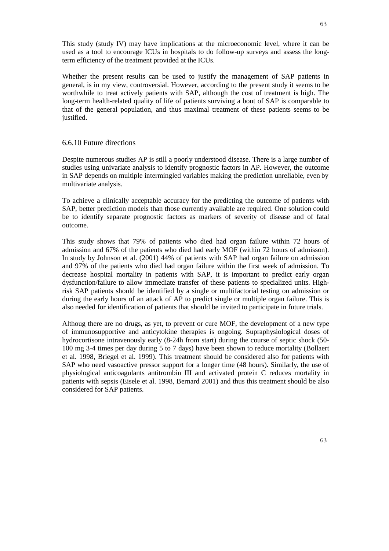This study (study IV) may have implications at the microeconomic level, where it can be used as a tool to encourage ICUs in hospitals to do follow-up surveys and assess the longterm efficiency of the treatment provided at the ICUs.

Whether the present results can be used to justify the management of SAP patients in general, is in my view, controversial. However, according to the present study it seems to be worthwhile to treat actively patients with SAP, although the cost of treatment is high. The long-term health-related quality of life of patients surviving a bout of SAP is comparable to that of the general population, and thus maximal treatment of these patients seems to be justified.

## 6.6.10 Future directions

Despite numerous studies AP is still a poorly understood disease. There is a large number of studies using univariate analysis to identify prognostic factors in AP. However, the outcome in SAP depends on multiple intermingled variables making the prediction unreliable, even by multivariate analysis.

To achieve a clinically acceptable accuracy for the predicting the outcome of patients with SAP, better prediction models than those currently available are required. One solution could be to identify separate prognostic factors as markers of severity of disease and of fatal outcome.

This study shows that 79% of patients who died had organ failure within 72 hours of admission and 67% of the patients who died had early MOF (within 72 hours of admisson). In study by Johnson et al. (2001) 44% of patients with SAP had organ failure on admission and 97% of the patients who died had organ failure within the first week of admission. To decrease hospital mortality in patients with SAP, it is important to predict early organ dysfunction/failure to allow immediate transfer of these patients to specialized units. Highrisk SAP patients should be identified by a single or multifactorial testing on admission or during the early hours of an attack of AP to predict single or multiple organ failure. This is also needed for identification of patients that should be invited to participate in future trials.

Althoug there are no drugs, as yet, to prevent or cure MOF, the development of a new type of immunosupportive and anticytokine therapies is ongoing. Supraphysiological doses of hydrocortisone intravenously early (8-24h from start) during the course of septic shock (50- 100 mg 3-4 times per day during 5 to 7 days) have been shown to reduce mortality (Bollaert et al. 1998, Briegel et al. 1999). This treatment should be considered also for patients with SAP who need vasoactive pressor support for a longer time (48 hours). Similarly, the use of physiological anticoagulants antitrombin III and activated protein C reduces mortality in patients with sepsis (Eisele et al. 1998, Bernard 2001) and thus this treatment should be also considered for SAP patients.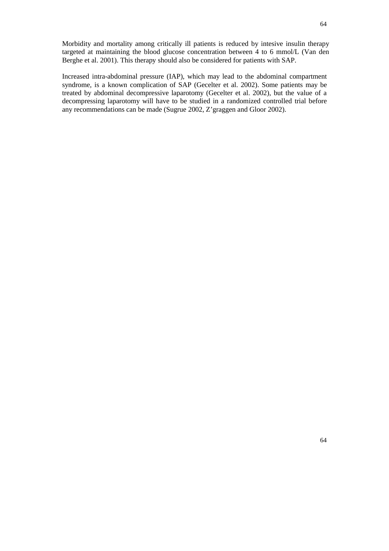Morbidity and mortality among critically ill patients is reduced by intesive insulin therapy targeted at maintaining the blood glucose concentration between 4 to 6 mmol/L (Van den Berghe et al. 2001). This therapy should also be considered for patients with SAP.

Increased intra-abdominal pressure (IAP), which may lead to the abdominal compartment syndrome, is a known complication of SAP (Gecelter et al. 2002). Some patients may be treated by abdominal decompressive laparotomy (Gecelter et al. 2002), but the value of a decompressing laparotomy will have to be studied in a randomized controlled trial before any recommendations can be made (Sugrue 2002, Z'graggen and Gloor 2002).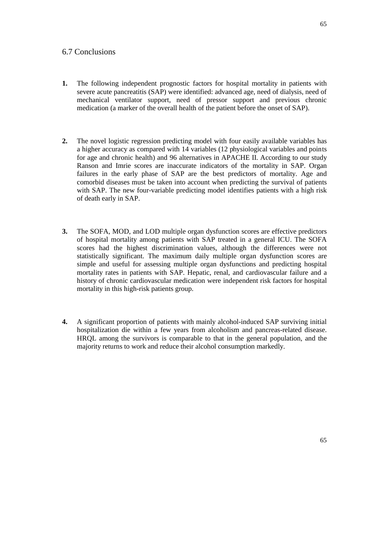# 6.7 Conclusions

- **1.** The following independent prognostic factors for hospital mortality in patients with severe acute pancreatitis (SAP) were identified: advanced age, need of dialysis, need of mechanical ventilator support, need of pressor support and previous chronic medication (a marker of the overall health of the patient before the onset of SAP).
- **2.** The novel logistic regression predicting model with four easily available variables has a higher accuracy as compared with 14 variables (12 physiological variables and points for age and chronic health) and 96 alternatives in APACHE II. According to our study Ranson and Imrie scores are inaccurate indicators of the mortality in SAP. Organ failures in the early phase of SAP are the best predictors of mortality. Age and comorbid diseases must be taken into account when predicting the survival of patients with SAP. The new four-variable predicting model identifies patients with a high risk of death early in SAP.
- **3.** The SOFA, MOD, and LOD multiple organ dysfunction scores are effective predictors of hospital mortality among patients with SAP treated in a general ICU. The SOFA scores had the highest discrimination values, although the differences were not statistically significant. The maximum daily multiple organ dysfunction scores are simple and useful for assessing multiple organ dysfunctions and predicting hospital mortality rates in patients with SAP. Hepatic, renal, and cardiovascular failure and a history of chronic cardiovascular medication were independent risk factors for hospital mortality in this high-risk patients group.
- **4.** A significant proportion of patients with mainly alcohol-induced SAP surviving initial hospitalization die within a few years from alcoholism and pancreas-related disease. HRQL among the survivors is comparable to that in the general population, and the majority returns to work and reduce their alcohol consumption markedly.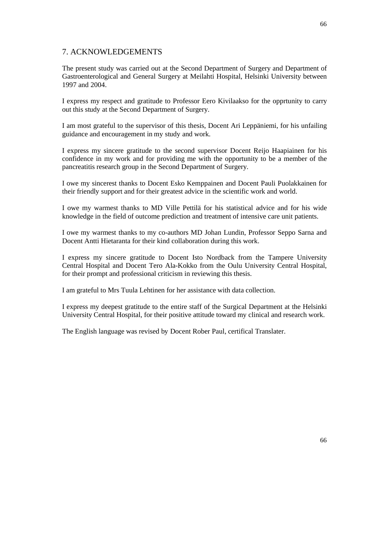# 7. ACKNOWLEDGEMENTS

The present study was carried out at the Second Department of Surgery and Department of Gastroenterological and General Surgery at Meilahti Hospital, Helsinki University between 1997 and 2004.

I express my respect and gratitude to Professor Eero Kivilaakso for the opprtunity to carry out this study at the Second Department of Surgery.

I am most grateful to the supervisor of this thesis, Docent Ari Leppäniemi, for his unfailing guidance and encouragement in my study and work.

I express my sincere gratitude to the second supervisor Docent Reijo Haapiainen for his confidence in my work and for providing me with the opportunity to be a member of the pancreatitis research group in the Second Department of Surgery.

I owe my sincerest thanks to Docent Esko Kemppainen and Docent Pauli Puolakkainen for their friendly support and for their greatest advice in the scientific work and world.

I owe my warmest thanks to MD Ville Pettilä for his statistical advice and for his wide knowledge in the field of outcome prediction and treatment of intensive care unit patients.

I owe my warmest thanks to my co-authors MD Johan Lundin, Professor Seppo Sarna and Docent Antti Hietaranta for their kind collaboration during this work.

I express my sincere gratitude to Docent Isto Nordback from the Tampere University Central Hospital and Docent Tero Ala-Kokko from the Oulu University Central Hospital, for their prompt and professional criticism in reviewing this thesis.

I am grateful to Mrs Tuula Lehtinen for her assistance with data collection.

I express my deepest gratitude to the entire staff of the Surgical Department at the Helsinki University Central Hospital, for their positive attitude toward my clinical and research work.

The English language was revised by Docent Rober Paul, certifical Translater.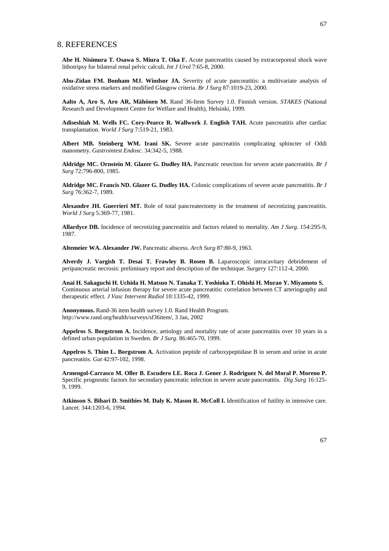### 8. REFERENCES

**Abe H. Nisimura T. Osawa S. Miura T. Oka F.** Acute pancreatitis caused by extracorporeal shock wave lithotripsy for bilateral renal pelvic calculi. *Int J Urol* 7:65-8, 2000.

**Abu-Zidan FM. Bonham MJ. Windsor JA.** Severity of acute pancreatitis: a multivariate analysis of oxidative stress markers and modified Glasgow criteria. *Br J Surg* 87:1019-23, 2000.

**Aalto A, Aro S, Aro AR, Mähönen M.** Rand 36-Item Survey 1.0. Finnish version. *STAKES* (National Research and Development Centre for Welfare and Health), Helsinki, 1999.

**Adiseshiah M. Wells FC. Cory-Pearce R. Wallwork J. English TAH.** Acute pancreatitis after cardiac transplantation. *World J Surg* 7:519-21, 1983.

**Albert MB. Steinberg WM. Irani SK.** Severe acute pancreatitis complicating sphincter of Oddi manometry. *Gastrointest Endosc*. 34:342-5, 1988.

**Aldridge MC. Ornstein M. Glazer G. Dudley HA.** Pancreatic resection for severe acute pancreatitis. *Br J Surg* 72:796-800, 1985.

**Aldridge MC. Francis ND. Glazer G. Dudley HA.** Colonic complications of severe acute pancreatitis. *Br J Surg* 76:362-7, 1989.

**Alexandre JH. Guerrieri MT.** Role of total pancreatectomy in the treatment of necrotizing pancreatitis. *World J Surg* 5:369-77, 1981.

**Allardyce DB.** Incidence of necrotizing pancreatitis and factors related to mortality. *Am J Surg.* 154:295-9, 1987.

**Altemeier WA. Alexander JW.** Pancreatic abscess. *Arch Surg* 87:80-9, 1963.

Alverdy J. Vargish T. Desai T. Frawley B. Rosen B. Laparoscopic intracavitary debridement of peripancreatic necrosis: preliminary report and description of the technique. *Surgery* 127:112-4, 2000.

**Anai H. Sakaguchi H. Uchida H. Matsuo N. Tanaka T. Yoshioka T. Ohishi H. Murao Y. Miyamoto S.**  Continuous arterial infusion therapy for severe acute pancreatitis: correlation between CT arteriography and therapeutic effect. *J Vasc Intervent Radiol* 10:1335-42, 1999.

**Anonymous.** Rand-36 item health survey 1.0. Rand Health Program. http://www.rand.org/health/surveys/sf36item/, 3 Jan, 2002

**Appelros S. Borgstrom A.** Incidence, aetiology and mortality rate of acute pancreatitis over 10 years in a defined urban population in Sweden. *Br J Surg.* 86:465-70, 1999.

**Appelros S. Thim L. Borgstrom A.** Activation peptide of carboxypeptidase B in serum and urine in acute pancreatitis. *Gut* 42:97-102, 1998.

**Armengol-Carrasco M. Oller B. Escudero LE. Roca J. Gener J. Rodriguez N. del Moral P. Moreno P.**  Specific prognostic factors for secondary pancreatic infection in severe acute pancreatitis. *Dig Surg* 16:125- 9, 1999.

Atkinson S. Bihari D. Smithies M. Daly K. Mason R. McColl I. Identification of futility in intensive care. Lancet. 344:1203-6, 1994.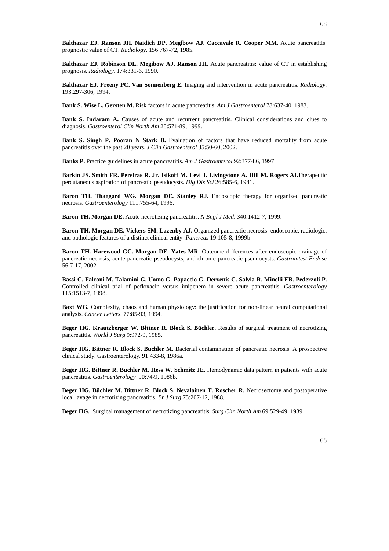**Balthazar EJ. Ranson JH. Naidich DP. Megibow AJ. Caccavale R. Cooper MM.** Acute pancreatitis: prognostic value of CT. *Radiology*. 156:767-72, 1985.

**Balthazar EJ. Robinson DL. Megibow AJ. Ranson JH.** Acute pancreatitis: value of CT in establishing prognosis. *Radiology*. 174:331-6, 1990.

**Balthazar EJ. Freeny PC. Van Sonnenberg E.** Imaging and intervention in acute pancreatitis. *Radiology*. 193:297-306, 1994.

**Bank S. Wise L. Gersten M.** Risk factors in acute pancreatitis. *Am J Gastroenterol* 78:637-40, 1983.

**Bank S. Indaram A.** Causes of acute and recurrent pancreatitis. Clinical considerations and clues to diagnosis. *Gastroenterol Clin North Am* 28:571-89, 1999.

**Bank S. Singh P. Pooran N Stark B.** Evaluation of factors that have reduced mortality from acute pancreatitis over the past 20 years. *J Clin Gastroenterol* 35:50-60, 2002.

**Banks P.** Practice guidelines in acute pancreatitis. *Am J Gastroenterol* 92:377-86, 1997.

**Barkin JS. Smith FR. Pereiras R. Jr. Isikoff M. Levi J. Livingstone A. Hill M. Rogers AI.**Therapeutic percutaneous aspiration of pancreatic pseudocysts. *Dig Dis Sci* 26:585-6, 1981.

**Baron TH. Thaggard WG. Morgan DE. Stanley RJ.** Endoscopic therapy for organized pancreatic necrosis. *Gastroenterology* 111:755-64, 1996.

**Baron TH. Morgan DE.** Acute necrotizing pancreatitis. *N Engl J Med.* 340:1412-7, 1999.

**Baron TH. Morgan DE. Vickers SM. Lazenby AJ.** Organized pancreatic necrosis: endoscopic, radiologic, and pathologic features of a distinct clinical entity. *Pancreas* 19:105-8, 1999b.

**Baron TH. Harewood GC. Morgan DE. Yates MR.** Outcome differences after endoscopic drainage of pancreatic necrosis, acute pancreatic pseudocysts, and chronic pancreatic pseudocysts. *Gastrointest Endosc* 56:7-17, 2002.

**Bassi C. Falconi M. Talamini G. Uomo G. Papaccio G. Dervenis C. Salvia R. Minelli EB. Pederzoli P.**  Controlled clinical trial of pefloxacin versus imipenem in severe acute pancreatitis. *Gastroenterology* 115:1513-7, 1998.

**Baxt WG.** Complexity, chaos and human physiology: the justification for non-linear neural computational analysis. *Cancer Letters*. 77:85-93, 1994.

**Beger HG. Krautzberger W. Bittner R. Block S. Büchler.** Results of surgical treatment of necrotizing pancreatitis. *World J Surg* 9:972-9, 1985.

**Beger HG. Bittner R. Block S. Büchler M.** Bacterial contamination of pancreatic necrosis. A prospective clinical study. Gastroenterology. 91:433-8, 1986a.

**Beger HG. Bittner R. Buchler M. Hess W. Schmitz JE.** Hemodynamic data pattern in patients with acute pancreatitis. *Gastroenterology* 90:74-9, 1986b*.*

**Beger HG. Büchler M. Bittner R. Block S. Nevalainen T. Roscher R.** Necrosectomy and postoperative local lavage in necrotizing pancreatitis. *Br J Surg* 75:207-12, 1988.

**Beger HG.** Surgical management of necrotizing pancreatitis. *Surg Clin North Am* 69:529-49, 1989.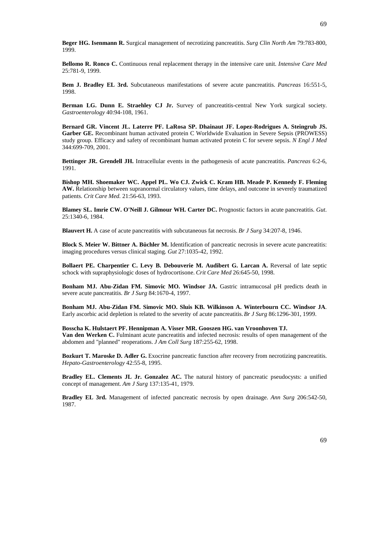**Beger HG. Isenmann R.** Surgical management of necrotizing pancreatitis. *Surg Clin North Am* 79:783-800,

**Bellomo R. Ronco C.** Continuous renal replacement therapy in the intensive care unit. *Intensive Care Med* 25:781-9, 1999.

1999.

**Bem J. Bradley EL 3rd.** Subcutaneous manifestations of severe acute pancreatitis. *Pancreas* 16:551-5, 1998.

**Berman LG. Dunn E. Straehley CJ Jr.** Survey of pancreatitis-central New York surgical society. *Gastroenterology* 40:94-108, 1961.

**Bernard GR. Vincent JL. Laterre PF. LaRosa SP. Dhainaut JF. Lopez-Rodrigues A. Steingrub JS. Garber GE.** Recombinant human activated protein C Worldwide Evaluation in Severe Sepsis (PROWESS) study group. Efficacy and safety of recombinant human activated protein C for severe sepsis. *N Engl J Med* 344:699-709, 2001.

**Bettinger JR. Grendell JH.** Intracellular events in the pathogenesis of acute pancreatitis. *Pancreas* 6:2-6, 1991.

**Bishop MH. Shoemaker WC. Appel PL. Wo CJ. Zwick C. Kram HB. Meade P. Kennedy F. Fleming AW.** Relationship between supranormal circulatory values, time delays, and outcome in severely traumatized patients. *Crit Care Med.* 21:56-63, 1993.

**Blamey SL. Imrie CW. O'Neill J. Gilmour WH. Carter DC.** Prognostic factors in acute pancreatitis. *Gut*. 25:1340-6, 1984.

**Blauvert H.** A case of acute pancreatitis with subcutaneous fat necrosis. *Br J Surg* 34:207-8, 1946.

**Block S. Meier W. Bittner A. Büchler M.** Identification of pancreatic necrosis in severe acute pancreatitis: imaging procedures versus clinical staging. *Gut* 27:1035-42, 1992.

**Bollaert PE. Charpentier C. Levy B. Debouverie M. Audibert G. Larcan A. Reversal of late septic** schock with supraphysiologic doses of hydrocortisone. *Crit Care Med* 26:645-50, 1998.

**Bonham MJ. Abu-Zidan FM. Simovic MO. Windsor JA.** Gastric intramucosal pH predicts death in severe acute pancreatitis. *Br J Surg* 84:1670-4, 1997.

**Bonham MJ. Abu-Zidan FM. Simovic MO. Sluis KB. Wilkinson A. Winterbourn CC. Windsor JA**. Early ascorbic acid depletion is related to the severity of acute pancreatitis. *Br J Surg* 86:1296-301, 1999.

**Bosscha K. Hulstaert PF. Hennipman A. Visser MR. Gooszen HG. van Vroonhoven TJ.**  Van den Werken C. Fulminant acute pancreatitis and infected necrosis: results of open management of the abdomen and "planned" reoperations. *J Am Coll Surg* 187:255-62, 1998.

**Bozkurt T. Maroske D. Adler G.** Exocrine pancreatic function after recovery from necrotizing pancreatitis. *Hepato-Gastroenterology* 42:55-8, 1995.

**Bradley EL. Clements JL Jr. Gonzalez AC.** The natural history of pancreatic pseudocysts: a unified concept of management. *Am J Surg* 137:135-41, 1979.

**Bradley EL 3rd.** Management of infected pancreatic necrosis by open drainage. *Ann Surg* 206:542-50, 1987.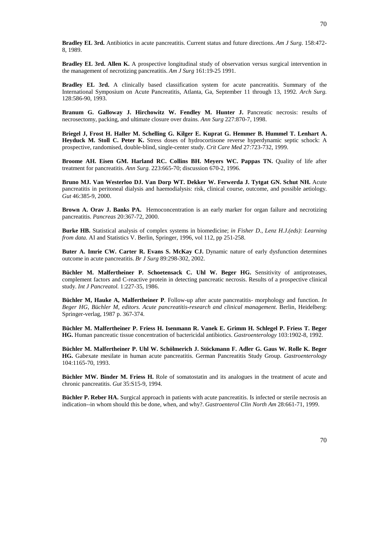70

**Bradley EL 3rd.** Antibiotics in acute pancreatitis. Current status and future directions. *Am J Surg*. 158:472- 8, 1989.

**Bradley EL 3rd. Allen K.** A prospective longitudinal study of observation versus surgical intervention in the management of necrotizing pancreatitis. *Am J Surg* 161:19-25 1991.

**Bradley EL 3rd.** A clinically based classification system for acute pancreatitis. Summary of the International Symposium on Acute Pancreatitis, Atlanta, Ga, September 11 through 13, 1992*. Arch Surg.* 128:586-90, 1993.

**Branum G. Galloway J. Hirchowitz W. Fendley M. Hunter J. Pancreatic necrosis: results of** necrosectomy, packing, and ultimate closure over drains. *Ann Surg* 227:870-7, 1998.

**Briegel J, Frost H. Haller M. Schelling G. Kilger E. Kuprat G. Hemmer B. Hummel T. Lenhart A. Heyduck M. Stoll C. Peter K.** Stress doses of hydrocortisone reverse hyperdynamic septic schock: A prospective, randomised, double-blind, single-center study. *Crit Care Med* 27:723-732, 1999.

Broome AH. Eisen GM. Harland RC. Collins BH. Meyers WC. Pappas TN. Quality of life after treatment for pancreatitis. *Ann Surg.* 223:665-70; discussion 670-2, 1996.

**Bruno MJ. Van Westerloo DJ. Van Dorp WT. Dekker W. Ferwerda J. Tytgat GN. Schut NH.** Acute pancreatitis in peritoneal dialysis and haemodialysis: risk, clinical course, outcome, and possible aetiology. *Gut* 46:385-9, 2000.

**Brown A. Orav J. Banks PA.** Hemoconcentration is an early marker for organ failure and necrotizing pancreatitis. *Pancreas* 20:367-72, 2000.

**Burke HB.** Statistical analysis of complex systems in biomedicine; *in Fisher D., Lenz H.J.(eds): Learning from data.* AI and Statistics V. Berlin, Springer, 1996, vol 112, pp 251-258.

**Buter A. Imrie CW. Carter R. Evans S. McKay CJ.** Dynamic nature of early dysfunction determines outcome in acute pancreatitis. *Br J Surg* 89:298-302, 2002.

**Büchler M. Malfertheiner P. Schoetensack C. Uhl W. Beger HG.** Sensitivity of antiproteases, complement factors and C-reactive protein in detecting pancreatic necrosis. Results of a prospective clinical study. *Int J Pancreatol.* 1:227-35, 1986.

**Büchler M, Hauke A, Malfertheiner P**. Follow-up after acute pancreatitis- morphology and function. *In Beger HG, Büchler M, editors. Acute pancreatitis-research and clinical management.* Berlin, Heidelberg: Springer-verlag, 1987 p. 367-374.

**Büchler M. Malfertheiner P. Friess H. Isenmann R. Vanek E. Grimm H. Schlegel P. Friess T. Beger HG.** Human pancreatic tissue concentration of bactericidal antibiotics. *Gastroenterology* 103:1902-8, 1992.

**Büchler M. Malfertheiner P. Uhl W. Schölmerich J. Stöckmann F. Adler G. Gaus W. Rolle K. Beger HG.** Gabexate mesilate in human acute pancreatitis. German Pancreatitis Study Group. *Gastroenterology* 104:1165-70, 1993.

**Büchler MW. Binder M. Friess H.** Role of somatostatin and its analogues in the treatment of acute and chronic pancreatitis. *Gut* 35:S15-9, 1994.

**Büchler P. Reber HA.** Surgical approach in patients with acute pancreatitis. Is infected or sterile necrosis an indication--in whom should this be done, when, and why?. *Gastroenterol Clin North Am* 28:661-71, 1999.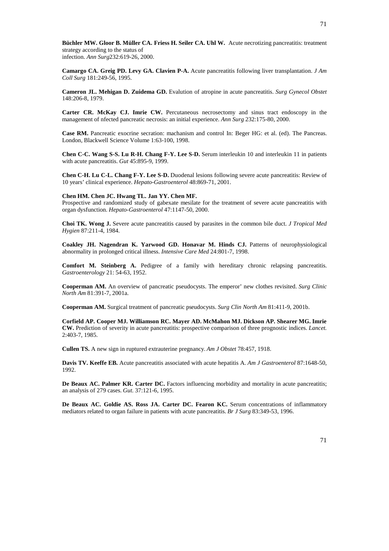**Büchler MW. Gloor B. Müller CA. Friess H. Seiler CA. Uhl W.** Acute necrotizing pancreatitis: treatment strategy according to the status of infection. *Ann Surg*232:619-26, 2000.

**Camargo CA. Greig PD. Levy GA. Clavien P-A.** Acute pancreatitis following liver transplantation. *J Am Coll Surg* 181:249-56, 1995.

**Cameron JL. Mehigan D. Zuidema GD.** Evalution of atropine in acute pancreatitis. *Surg Gynecol Obstet* 148:206-8, 1979.

**Carter CR. McKay CJ. Imrie CW.** Percutaneous necrosectomy and sinus tract endoscopy in the management of nfected pancreatic necrosis: an initial experience. *Ann Surg* 232:175-80, 2000.

**Case RM.** Pancreatic exocrine secration: machanism and control In: Beger HG: et al. (ed). The Pancreas. London, Blackwell Science Volume 1:63-100, 1998.

**Chen C-C. Wang S-S. Lu R-H. Chang F-Y. Lee S-D.** Serum interleukin 10 and interleukin 11 in patients with acute pancreatitis. *Gut* 45:895-9, 1999.

**Chen C-H. Lu C-L. Chang F-Y. Lee S-D.** Duodenal lesions following severe acute pancreatitis: Review of 10 years' clinical experience. *Hepato-Gastroenterol* 48:869-71, 2001.

#### **Chen HM. Chen JC. Hwang TL. Jan YY. Chen MF.**

Prospective and randomized study of gabexate mesilate for the treatment of severe acute pancreatitis with organ dysfunction. *Hepato-Gastroenterol* 47:1147-50, 2000.

**Choi TK. Wong J.** Severe acute pancreatitis caused by parasites in the common bile duct. *J Tropical Med Hygien* 87:211-4, 1984.

**Coakley JH. Nagendran K. Yarwood GD. Honavar M. Hinds CJ.** Patterns of neurophysiological abnormality in prolonged critical illness. *Intensive Care Med* 24:801-7, 1998.

**Comfort M. Steinberg A.** Pedigree of a family with hereditary chronic relapsing pancreatitis. *Gastroenterology* 21: 54-63, 1952.

**Cooperman AM.** An overview of pancreatic pseudocysts. The emperor' new clothes revisited. *Surg Clinic North Am* 81:391-7, 2001a.

**Cooperman AM.** Surgical treatment of pancreatic pseudocysts. *Surg Clin North Am* 81:411-9, 2001b.

**Corfield AP. Cooper MJ. Williamson RC. Mayer AD. McMahon MJ. Dickson AP. Shearer MG. Imrie CW.** Prediction of severity in acute pancreatitis: prospective comparison of three prognostic indices. *Lancet.* 2:403-7, 1985.

**Cullen TS.** A new sign in ruptured extrauterine pregnancy. *Am J Obstet* 78:457, 1918.

**Davis TV. Keeffe EB.** Acute pancreatitis associated with acute hepatitis A. *Am J Gastroenterol* 87:1648-50, 1992.

**De Beaux AC. Palmer KR. Carter DC.** Factors influencing morbidity and mortality in acute pancreatitis; an analysis of 279 cases. *Gut*. 37:121-6, 1995.

**De Beaux AC. Goldie AS. Ross JA. Carter DC. Fearon KC.** Serum concentrations of inflammatory mediators related to organ failure in patients with acute pancreatitis. *Br J Surg* 83:349-53, 1996.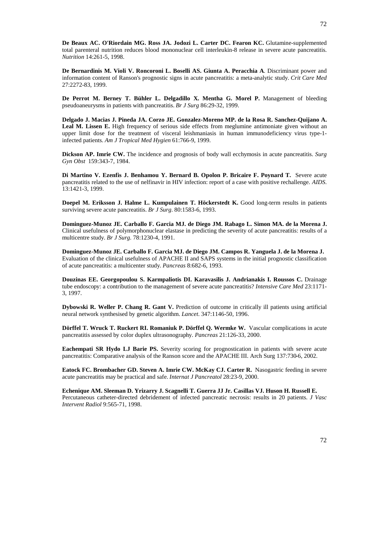**De Beaux AC. O'Riordain MG. Ross JA. Jodozi L. Carter DC. Fearon KC.** Glutamine-supplemented total parenteral nutrition reduces blood mononuclear cell interleukin-8 release in severe acute pancreatitis. *Nutrition* 14:261-5, 1998.

**De Bernardinis M. Violi V. Roncoroni L. Boselli AS. Giunta A. Peracchia A**. Discriminant power and information content of Ranson's prognostic signs in acute pancreatitis: a meta-analytic study. *Crit Care Med* 27:2272-83, 1999.

**De Perrot M. Berney T. Bühler L. Delgadillo X. Mentha G. Morel P.** Management of bleeding pseudoaneurysms in patients with pancreatitis. *Br J Surg* 86:29-32, 1999.

**Delgado J. Macias J. Pineda JA. Corzo JE. Gonzalez-Moreno MP. de la Rosa R. Sanchez-Quijano A. Leal M. Lissen E.** High frequency of serious side effects from meglumine antimoniate given without an upper limit dose for the treatment of visceral leishmaniasis in human immunodeficiency virus type-1 infected patients. *Am J Tropical Med Hygien* 61:766-9, 1999.

**Dickson AP. Imrie CW.** The incidence and prognosis of body wall ecchymosis in acute pancreatitis. *Surg Gyn Obst* 159:343-7, 1984.

**Di Martino V. Ezenfis J. Benhamou Y. Bernard B. Opolon P. Bricaire F. Poynard T.** Severe acute pancreatitis related to the use of nelfinavir in HIV infection: report of a case with positive rechallenge. *AIDS*. 13:1421-3, 1999.

**Doepel M. Eriksson J. Halme L. Kumpulainen T. Höckerstedt K.** Good long-term results in patients surviving severe acute pancreatitis. *Br J Surg*. 80:1583-6, 1993.

**Dominguez-Munoz JE. Carballo F. Garcia MJ. de Diego JM. Rabago L. Simon MA. de la Morena J.**  Clinical usefulness of polymorphonuclear elastase in predicting the severity of acute pancreatitis: results of a multicentre study. *Br J Surg.* 78:1230-4, 1991.

**Dominguez-Munoz JE. Carballo F. Garcia MJ. de Diego JM. Campos R. Yanguela J. de la Morena J.**  Evaluation of the clinical usefulness of APACHE II and SAPS systems in the initial prognostic classification of acute pancreatitis: a multicenter study. *Pancreas* 8:682-6, 1993.

**Douzinas EE. Georgopoulou S. Karmpaliotis DI. Karavasilis J. Andrianakis I. Roussos C.** Drainage tube endoscopy: a contribution to the management of severe acute pancreatitis? *Intensive Care Med* 23:1171- 3, 1997.

**Dybowski R. Weller P. Chang R. Gant V.** Prediction of outcome in critically ill patients using artificial neural network synthesised by genetic algorithm. *Lancet*. 347:1146-50, 1996.

**Dörffel T. Wruck T. Ruckert RI. Romaniuk P. Dörffel Q. Wermke W.** Vascular complications in acute pancreatitis assessed by color duplex ultrasonography. *Pancreas* 21:126-33, 2000.

**Eachempati SR Hydo LJ Barie PS.** Severity scoring for prognostication in patients with severe acute pancreatitis: Comparative analysis of the Ranson score and the APACHE III. Arch Surg 137:730-6, 2002.

**Eatock FC. Brombacher GD. Steven A. Imrie CW. McKay CJ. Carter R.** Nasogastric feeding in severe acute pancreatitis may be practical and safe. *Internat J Pancreatol* 28:23-9, 2000.

**Echenique AM. Sleeman D. Yrizarry J. Scagnelli T. Guerra JJ Jr. Casillas VJ. Huson H. Russell E.**  Percutaneous catheter-directed debridement of infected pancreatic necrosis: results in 20 patients. *J Vasc Intervent Radiol* 9:565-71, 1998.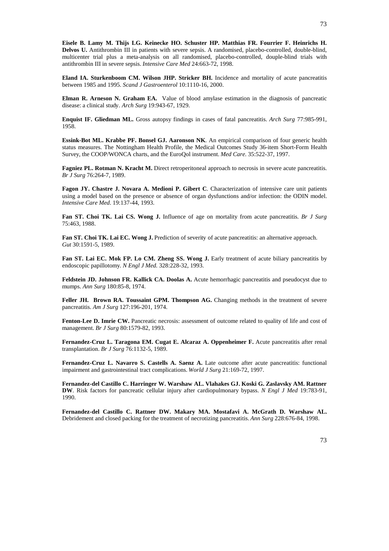**Eisele B. Lamy M. Thijs LG. Keinecke HO. Schuster HP. Matthias FR. Fourrier F. Heinrichs H. Delvos U.** Antithrombin III in patients with severe sepsis. A randomised, placebo-controlled, double-blind, multicenter trial plus a meta-analysis on all randomised, placebo-controlled, douple-blind trials with antithrombin III in severe sepsis. *Intensive Care Med* 24:663-72, 1998.

**Eland IA. Sturkenboom CM. Wilson JHP. Stricker BH.** Incidence and mortality of acute pancreatitis between 1985 and 1995. *Scand J Gastroenterol* 10:1110-16, 2000.

**Elman R. Arneson N. Graham EA.** Value of blood amylase estimation in the diagnosis of pancreatic disease: a clinical study. *Arch Surg* 19:943-67, 1929.

**Enquist IF. Gliedman ML.** Gross autopsy findings in cases of fatal pancreatitis. *Arch Surg* 77:985-991, 1958.

**Essink-Bot ML. Krabbe PF. Bonsel GJ. Aaronson NK**. An empirical comparison of four generic health status measures. The Nottingham Health Profile, the Medical Outcomes Study 36-item Short-Form Health Survey, the COOP/WONCA charts, and the EuroQol instrument. *Med Care*. 35:522-37, 1997.

**Fagniez PL. Rotman N. Kracht M.** Direct retroperitoneal approach to necrosis in severe acute pancreatitis. *Br J Surg* 76:264-7, 1989.

**Fagon JY. Chastre J. Novara A. Medioni P. Gibert C**. Characterization of intensive care unit patients using a model based on the presence or absence of organ dysfunctions and/or infection: the ODIN model. *Intensive Care Med*. 19:137-44, 1993.

**Fan ST. Choi TK. Lai CS. Wong J.** Influence of age on mortality from acute pancreatitis. *Br J Surg*  75:463, 1988.

**Fan ST. Choi TK. Lai EC. Wong J.** Prediction of severity of acute pancreatitis: an alternative approach. *Gut* 30:1591-5, 1989.

**Fan ST. Lai EC. Mok FP. Lo CM. Zheng SS. Wong J.** Early treatment of acute biliary pancreatitis by endoscopic papillotomy. *N Engl J Med.* 328:228-32, 1993.

**Feldstein JD. Johnson FR. Kallick CA. Doolas A.** Acute hemorrhagic pancreatitis and pseudocyst due to mumps. *Ann Surg* 180:85-8, 1974.

Feller JH. Brown RA. Toussaint GPM. Thompson AG. Changing methods in the treatment of severe pancreatitis. *Am J Surg* 127:196-201, 1974.

Fenton-Lee D. Imrie CW. Pancreatic necrosis: assessment of outcome related to quality of life and cost of management. *Br J Surg* 80:1579-82, 1993.

**Fernandez-Cruz L. Taragona EM. Cugat E. Alcaraz A. Oppenheimer F.** Acute pancreatitis after renal transplantation. *Br J Surg* 76:1132-5, 1989.

**Fernandez-Cruz L. Navarro S. Castells A. Saenz A.** Late outcome after acute pancreatitis: functional impairment and gastrointestinal tract complications. *World J Surg* 21:169-72, 1997.

**Fernandez-del Castillo C. Harringer W. Warshaw AL. Vlahakes GJ. Koski G. Zaslavsky AM. Rattner DW**. Risk factors for pancreatic cellular injury after cardiopulmonary bypass. *N Engl J Med* 19:783-91, 1990.

**Fernandez-del Castillo C. Rattner DW. Makary MA. Mostafavi A. McGrath D. Warshaw AL.**  Debridement and closed packing for the treatment of necrotizing pancreatitis. *Ann Surg* 228:676-84, 1998.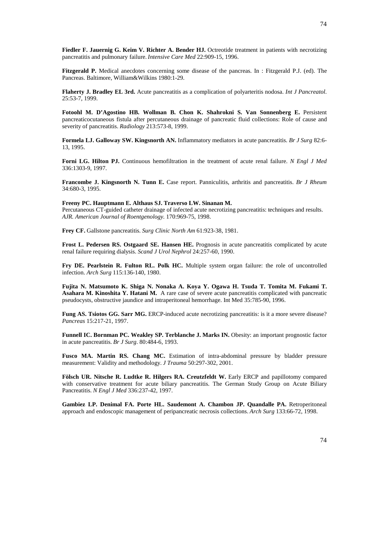Fiedler F. Jauernig G. Keim V. Richter A. Bender H.J. Octreotide treatment in patients with necrotizing pancreatitis and pulmonary failure. *Intensive Care Med* 22:909-15, 1996.

**Fitzgerald P.** Medical anecdotes concerning some disease of the pancreas. In : Fitzgerald P.J. (ed). The Pancreas. Baltimore, William&Wilkins 1980:1-29.

**Flaherty J. Bradley EL 3rd.** Acute pancreatitis as a complication of polyarteritis nodosa. *Int J Pancreatol*. 25:53-7, 1999.

**Fotoohl M. D'Agostino HB. Wollman B. Chon K. Shahrokni S. Van Sonnenberg E.** Persistent pancreaticocutaneous fistula after percutaneous drainage of pancreatic fluid collections: Role of cause and severity of pancreatitis. *Radiology* 213:573-8, 1999.

**Formela LJ. Galloway SW. Kingsnorth AN.** Inflammatory mediators in acute pancreatitis. *Br J Surg* 82:6- 13, 1995.

**Forni LG. Hilton PJ.** Continuous hemofiltration in the treatment of acute renal failure. *N Engl J Med* 336:1303-9, 1997.

**Francombe J. Kingsnorth N. Tunn E.** Case report. Panniculitis, arthritis and pancreatitis. *Br J Rheum*  34:680-3, 1995.

**Freeny PC. Hauptmann E. Althaus SJ. Traverso LW. Sinanan M.** 

Percutaneous CT-guided catheter drainage of infected acute necrotizing pancreatitis: techniques and results. *AJR. American Journal of Roentgenology.* 170:969-75, 1998.

**Frey CF.** Gallstone pancreatitis. *Surg Clinic North Am* 61:923-38, 1981.

**Frost L. Pedersen RS. Ostgaard SE. Hansen HE.** Prognosis in acute pancreatitis complicated by acute renal failure requiring dialysis. *Scand J Urol Nephrol* 24:257-60, 1990.

**Fry DE. Pearlstein R. Fulton RL. Polk HC.** Multiple system organ failure: the role of uncontrolled infection. *Arch Surg* 115:136-140, 1980.

**Fujita N. Matsumoto K. Shiga N. Nonaka A. Koya Y. Ogawa H. Tsuda T. Tomita M. Fukami T. Asahara M. Kinoshita Y. Hatani M.** A rare case of severe acute pancreatitis complicated with pancreatic pseudocysts, obstructive jaundice and intraperitoneal hemorrhage. Int Med 35:785-90, 1996.

Fung AS. Tsiotos GG. Sarr MG. ERCP-induced acute necrotizing pancreatitis: is it a more severe disease? *Pancreas* 15:217-21, 1997.

Funnell IC. Bornman PC. Weakley SP. Terblanche J. Marks IN. Obesity: an important prognostic factor in acute pancreatitis. *Br J Surg*. 80:484-6, 1993.

Fusco MA. Martin RS. Chang MC. Estimation of intra-abdominal pressure by bladder pressure measurement: Validity and methodology. *J Trauma* 50:297-302, 2001.

Fölsch UR. Nitsche R. Ludtke R. Hilgers RA. Creutzfeldt W. Early ERCP and papillotomy compared with conservative treatment for acute biliary pancreatitis. The German Study Group on Acute Biliary Pancreatitis. *N Engl J Med* 336:237-42, 1997.

Gambiez LP. Denimal FA. Porte HL. Saudemont A. Chambon JP. Quandalle PA. Retroperitoneal approach and endoscopic management of peripancreatic necrosis collections. *Arch Surg* 133:66-72, 1998.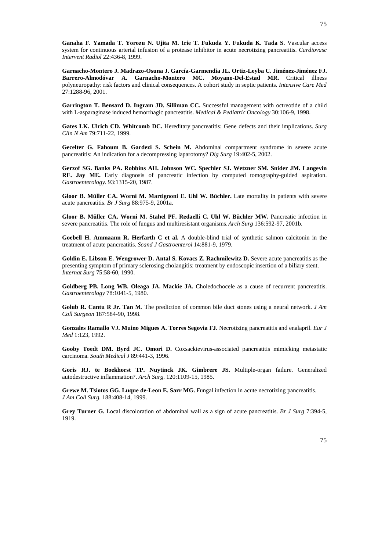**Ganaha F. Yamada T. Yorozu N. Ujita M. Irie T. Fukuda Y. Fukuda K. Tada S.** Vascular access system for continuous arterial infusion of a protease inhibitor in acute necrotizing pancreatitis. *Cardiovasc Intervent Radiol* 22:436-8, 1999.

**Garnacho-Montero J. Madrazo-Osuna J. García-Garmendia JL. Ortiz-Leyba C. Jiménez-Jiménez FJ. Barrero-Almodóvar A. Garnacho-Montero MC. Moyano-Del-Estad MR.** Critical illness polyneuropathy: risk factors and clinical consequences. A cohort study in septic patients. *Intensive Care Med* 27:1288-96, 2001.

**Garrington T. Bensard D. Ingram JD. Silliman CC.** Successful management with octreotide of a child with L-asparaginase induced hemorrhagic pancreatitis. *Medical & Pediatric Oncology* 30:106-9, 1998.

**Gates LK. Ulrich CD. Whitcomb DC.** Hereditary pancreatitis: Gene defects and their implications. *Surg Clin N Am* 79:711-22, 1999.

**Gecelter G. Fahoum B. Gardezi S. Schein M.** Abdominal compartment syndrome in severe acute pancreatitis: An indication for a decompressing laparotomy? *Dig Surg* 19:402-5, 2002.

**Gerzof SG. Banks PA. Robbins AH. Johnson WC. Spechler SJ. Wetzner SM. Snider JM. Langevin RE. Jay ME.** Early diagnosis of pancreatic infection by computed tomography-guided aspiration. *Gastroenterology*. 93:1315-20, 1987.

**Gloor B. Müller CA. Worni M. Martignoni E. Uhl W. Büchler.** Late mortality in patients with severe acute pancreatitis. *Br J Surg* 88:975-9, 2001a.

**Gloor B. Müller CA. Worni M. Stahel PF. Redaelli C. Uhl W. Büchler MW.** Pancreatic infection in severe pancreatitis. The role of fungus and multiresistant organisms. *Arch Surg* 136:592-97, 2001b.

**Goebell H. Ammaann R. Herfarth C et al.** A double-blind trial of synthetic salmon calcitonin in the treatment of acute pancreatitis. *Scand J Gastroenterol* 14:881-9, 1979.

**Goldin E. Libson E. Wengrower D. Antal S. Kovacs Z. Rachmilewitz D.** Severe acute pancreatitis as the presenting symptom of primary sclerosing cholangitis: treatment by endoscopic insertion of a biliary stent. *Internat Surg* 75:58-60, 1990.

**Goldberg PB. Long WB. Oleaga JA. Mackie JA.** Choledochocele as a cause of recurrent pancreatitis. *Gastroenterology* 78:1041-5, 1980.

**Golub R. Cantu R Jr. Tan M**. The prediction of common bile duct stones using a neural network. *J Am Coll Surgeon* 187:584-90, 1998.

**Gonzales Ramallo VJ. Muino Migues A. Torres Segovia FJ.** Necrotizing pancreatitis and enalapril. *Eur J Med* 1:123, 1992.

Gooby Toedt DM. Byrd JC. Omori D. Coxsackievirus-associated pancreatitis mimicking metastatic carcinoma. *South Medical J* 89:441-3, 1996.

**Goris RJ. te Boekhorst TP. Nuytinck JK. Gimbrere JS.** Multiple-organ failure. Generalized autodestructive inflammation?. *Arch Surg*. 120:1109-15, 1985.

**Grewe M. Tsiotos GG. Luque de-Leon E. Sarr MG.** Fungal infection in acute necrotizing pancreatitis. *J Am Coll Surg.* 188:408-14, 1999.

**Grey Turner G.** Local discoloration of abdominal wall as a sign of acute pancreatitis. *Br J Surg* 7:394-5, 1919.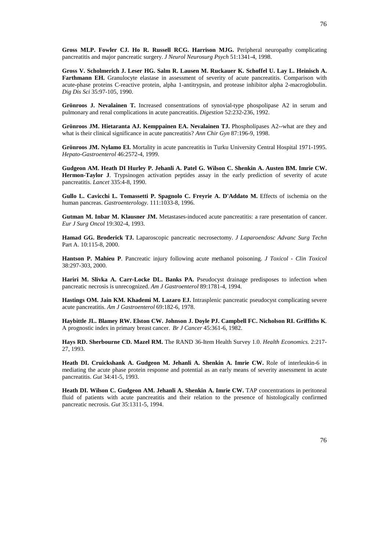**Gross MLP. Fowler CJ. Ho R. Russell RCG. Harrison MJG.** Peripheral neuropathy complicating pancreatitis and major pancreatic surgery. *J Neurol Neurosurg Psych* 51:1341-4, 1998.

**Gross V. Scholmerich J. Leser HG. Salm R. Lausen M. Ruckauer K. Schoffel U. Lay L. Heinisch A. Farthmann EH.** Granulocyte elastase in assessment of severity of acute pancreatitis. Comparison with acute-phase proteins C-reactive protein, alpha 1-antitrypsin, and protease inhibitor alpha 2-macroglobulin. *Dig Dis Sci* 35:97-105, 1990.

**Grönroos J. Nevalainen T.** Increased consentrations of synovial-type phospolipase A2 in serum and pulmonary and renal complications in acute pancreatitis. *Digestion* 52:232-236, 1992.

**Grönroos JM. Hietaranta AJ. Kemppainen EA. Nevalainen TJ.** Phospholipases A2--what are they and what is their clinical significance in acute pancreatitis? *Ann Chir Gyn* 87:196-9, 1998.

**Grönroos JM. Nylamo EI.** Mortality in acute pancreatitis in Turku University Central Hospital 1971-1995. *Hepato-Gastroenterol* 46:2572-4, 1999.

**Gudgeon AM. Heath DI Hurley P. Jehanli A. Patel G. Wilson C. Shenkin A. Austen BM. Imrie CW. Hermon-Taylor J**. Trypsinogen activation peptides assay in the early prediction of severity of acute pancreatitis. *Lancet* 335:4-8, 1990.

Gullo L. Cavicchi L. Tomassetti P. Spagnolo C. Freyrie A. D'Addato M. Effects of ischemia on the human pancreas. *Gastroenterology.* 111:1033-8, 1996.

**Gutman M. Inbar M. Klausner JM.** Metastases-induced acute pancreatitis: a rare presentation of cancer. *Eur J Surg Oncol* 19:302-4, 1993.

**Hamad GG. Broderick TJ.** Laparoscopic pancreatic necrosectomy. *J Laparoendosc Advanc Surg Techn* Part A. 10:115-8, 2000.

**Hantson P. Mahieu P**. Pancreatic injury following acute methanol poisoning. *J Toxicol - Clin Toxicol*  38:297-303, 2000.

**Hariri M. Slivka A. Carr-Locke DL. Banks PA.** Pseudocyst drainage predisposes to infection when pancreatic necrosis is unrecognized. *Am J Gastroenterol* 89:1781-4, 1994.

**Hastings OM. Jain KM. Khademi M. Lazaro EJ.** Intrasplenic pancreatic pseudocyst complicating severe acute pancreatitis. *Am J Gastroenterol* 69:182-6, 1978.

**Haybittle JL. Blamey RW. Elston CW. Johnson J. Doyle PJ. Campbell FC. Nicholson RI. Griffiths K**. A prognostic index in primary breast cancer. *Br J Cancer* 45:361-6, 1982.

**Hays RD. Sherbourne CD. Mazel RM.** The RAND 36-Item Health Survey 1.0. *Health Economics.* 2:217- 27, 1993.

**Heath DI. Cruickshank A. Gudgeon M. Jehanli A. Shenkin A. Imrie CW.** Role of interleukin-6 in mediating the acute phase protein response and potential as an early means of severity assessment in acute pancreatitis. *Gut* 34:41-5, 1993.

**Heath DI. Wilson C. Gudgeon AM. Jehanli A. Shenkin A. Imrie CW.** TAP concentrations in peritoneal fluid of patients with acute pancreatitis and their relation to the presence of histologically confirmed pancreatic necrosis. *Gut* 35:1311-5, 1994.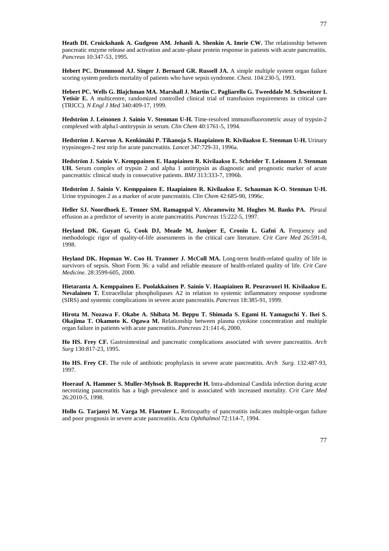**Heath DI. Cruickshank A. Gudgeon AM. Jehanli A. Shenkin A. Imrie CW.** The relationship between pancreatic enzyme release and activation and acute-phase protein response in patients with acute pancreatitis. *Pancreas* 10:347-53, 1995.

**Hebert PC. Drummond AJ. Singer J. Bernard GR. Russell JA.** A simple multiple system organ failure scoring system predicts mortality of patients who have sepsis syndrome. *Chest.* 104:230-5, 1993.

**Hebert PC. Wells G. Blajchman MA. Marshall J. Martin C. Pagliarello G. Tweeddale M. Schweitzer I. Yetisir E.** A multicentre, randomized controlled clinical trial of transfusion requirements in critical care (TRICC). *N Engl J Med* 340:409-17, 1999.

**Hedström J. Leinonen J. Sainio V. Stenman U-H.** Time-resolved immunofluorometric assay of trypsin-2 complexed with alpha1-antitrypsin in serum. *Clin Chem* 40:1761-5, 1994.

**Hedström J. Korvuo A. Kenkimäki P. Tikanoja S. Haapiainen R. Kivilaakso E. Stenman U-H.** Urinary trypsinogen-2 test strip for acute pancreatitis. *Lancet* 347:729-31, 1996a.

**Hedström J. Sainio V. Kemppainen E. Haapiainen R. Kivilaakso E. Schröder T. Leinonen J. Stenman UH.** Serum complex of trypsin 2 and alpha 1 antitrypsin as diagnostic and prognostic marker of acute pancreatitis: clinical study in consecutive patients. *BMJ* 313:333-7, 1996b.

**Hedström J. Sainio V. Kemppainen E. Haapiainen R. Kivilaakso E. Schauman K-O. Stenman U-H.** Urine trypsinogen 2 as a marker of acute pancreatitis. *Clin Chem* 42:685-90, 1996c.

**Heller SJ. Noordhoek E. Tenner SM. Ramagopal V. Abramowitz M. Hughes M. Banks PA.** Pleural effusion as a predictor of severity in acute pancreatitis. *Pancreas* 15:222-5, 1997.

Heyland DK. Guyatt G, Cook DJ, Meade M, Juniper E, Cronin L. Gafni A. Frequency and methodologic rigor of quality-of-life assessments in the critical care literature. *Crit Care Med* 26:591-8, 1998.

**Heyland DK. Hopman W. Coo H. Tranmer J. McColl MA.** Long-term health-related quality of life in survivors of sepsis. Short Form 36: a valid and reliable measure of health-related quality of life. *Crit Care Medicine*. 28:3599-605, 2000.

**Hietaranta A. Kemppainen E. Puolakkainen P. Sainio V. Haapiainen R. Peuravuori H. Kivilaakso E. Nevalainen T.** Extracellular phospholipases A2 in relation to systemic inflammatory response syndrome (SIRS) and systemic complications in severe acute pancreatitis. *Pancreas* 18:385-91, 1999.

**Hirota M. Nozawa F. Okabe A. Shibata M. Beppu T. Shimada S. Egami H. Yamaguchi Y. Ikei S. Okajima T. Okamoto K. Ogawa M.** Relationship between plasma cytokine concentration and multiple organ failure in patients with acute pancreatitis. *Pancreas* 21:141-6, 2000.

**Ho HS. Frey CF.** Gastrointestinal and pancreatic complications associated with severe pancreatitis. *Arch Surg* 130:817-23, 1995.

**Ho HS. Frey CF.** The role of antibiotic prophylaxis in severe acute pancreatitis. *Arch Surg.* 132:487-93, 1997.

**Hoerauf A. Hammer S. Muller-Myhsok B. Rupprecht H.** Intra-abdominal Candida infection during acute necrotizing pancreatitis has a high prevalence and is associated with increased mortality. *Crit Care Med* 26:2010-5, 1998.

**Hollo G. Tarjanyi M. Varga M. Flautner L.** Retinopathy of pancreatitis indicates multiple-organ failure and poor prognosis in severe acute pancreatitis. *Acta Ophthalmol* 72:114-7, 1994.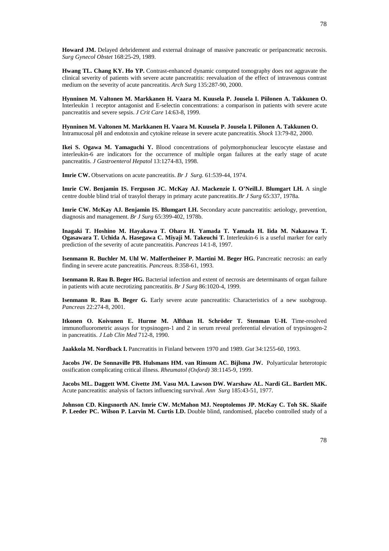**Howard JM.** Delayed debridement and external drainage of massive pancreatic or peripancreatic necrosis. *Surg Gynecol Obstet* 168:25-29, 1989.

**Hwang TL. Chang KY. Ho YP.** Contrast-enhanced dynamic computed tomography does not aggravate the clinical severity of patients with severe acute pancreatitis: reevaluation of the effect of intravenous contrast medium on the severity of acute pancreatitis. *Arch Surg* 135:287-90, 2000.

**Hynninen M. Valtonen M. Markkanen H. Vaara M. Kuusela P. Jousela I. Piilonen A. Takkunen O.**  Interleukin 1 receptor antagonist and E-selectin concentrations: a comparison in patients with severe acute pancreatitis and severe sepsis. *J Crit Care* 14:63-8, 1999.

**Hynninen M. Valtonen M. Markkanen H. Vaara M. Kuusela P. Jousela I. Piilonen A. Takkunen O.**  Intramucosal pH and endotoxin and cytokine release in severe acute pancreatitis. *Shock* 13:79-82, 2000.

**Ikei S. Ogawa M. Yamaguchi Y.** Blood concentrations of polymorphonuclear leucocyte elastase and interleukin-6 are indicators for the occurrence of multiple organ failures at the early stage of acute pancreatitis. *J Gastroenterol Hepatol* 13:1274-83, 1998.

**Imrie CW.** Observations on acute pancreatitis. *Br J Surg.* 61:539-44, 1974.

**Imrie CW. Benjamin IS. Ferguson JC. McKay AJ. Mackenzie I. O'Neill.J. Blumgart LH.** A single centre double blind trial of trasylol therapy in primary acute pancreatitis. *Br J Surg* 65:337, 1978a.

**Imrie CW. McKay AJ. Benjamin IS. Blumgart LH.** Secondary acute pancreatitis: aetiology, prevention, diagnosis and management. *Br J Surg* 65:399-402, 1978b.

**Inagaki T. Hoshino M. Hayakawa T. Ohara H. Yamada T. Yamada H. Iida M. Nakazawa T. Ogasawara T. Uchida A. Hasegawa C. Miyaji M. Takeuchi T.** Interleukin-6 is a useful marker for early prediction of the severity of acute pancreatitis. *Pancreas* 14:1-8, 1997.

**Isenmann R. Buchler M. Uhl W. Malfertheiner P. Martini M. Beger HG.** Pancreatic necrosis: an early finding in severe acute pancreatitis. *Pancreas.* 8:358-61, 1993.

**Isenmann R. Rau B. Beger HG.** Bacterial infection and extent of necrosis are determinants of organ failure in patients with acute necrotizing pancreatitis. *Br J Surg* 86:1020-4, 1999.

**Isenmann R. Rau B. Beger G.** Early severe acute pancreatitis: Characteristics of a new suobgroup. *Pancreas* 22:274-8, 2001.

**Itkonen O. Koivunen E. Hurme M. Alfthan H. Schröder T. Stenman U-H.** Time-resolved immunofluorometric assays for trypsinogen-1 and 2 in serum reveal preferential elevation of trypsinogen-2 in pancreatitis. *J Lab Clin Med* 712-8, 1990.

**Jaakkola M. Nordback I.** Pancreatitis in Finland between 1970 and 1989. *Gut* 34:1255-60, 1993.

**Jacobs JW. De Sonnaville PB. Hulsmans HM. van Rinsum AC. Bijlsma JW.** Polyarticular heterotopic ossification complicating critical illness. *Rheumatol (Oxford)* 38:1145-9, 1999.

**Jacobs ML. Daggett WM. Civette JM. Vasu MA. Lawson DW. Warshaw AL. Nardi GL. Bartlett MK.**  Acute pancreatitis: analysis of factors influencing survival. *Ann Surg* 185:43-51, 1977.

**Johnson CD. Kingsnorth AN. Imrie CW. McMahon MJ. Neoptolemos JP. McKay C. Toh SK. Skaife P. Leeder PC. Wilson P. Larvin M. Curtis LD.** Double blind, randomised, placebo controlled study of a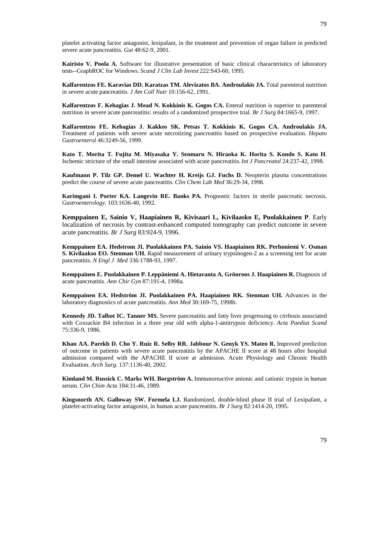platelet activating factor antagonist, lexipafant, in the treatment and prevention of organ failure in predicted severe acute pancreatitis. *Gut* 48:62-9, 2001.

**Kairisto V. Poola A.** Software for illustrative presentation of basic clinical characteristics of laboratory tests--GraphROC for Windows. *Scand J Clin Lab Invest* 222:S43-60, 1995.

**Kalfarentzos FE. Karavias DD. Karatzas TM. Alevizatos BA. Androulakis JA.** Total parenteral nutrition in severe acute pancreatitis. *J Am Coll Nutr* 10:156-62, 1991.

**Kalfarentzos F. Kehagias J. Mead N. Kokkinis K. Gogos CA.** Enteral nutrition is superior to parenteral nutrition in severe acute pancreatitis: results of a randomized prospective trial. *Br J Surg* 84:1665-9, 1997.

**Kalfarentzos FE. Kehagias J. Kakkos SK. Petsas T. Kokkinis K. Gogos CA. Androulakis JA.**  Treatment of patients with severe acute necrotizing pancreatitis based on prospective evaluation. *Hepato Gastroenterol* 46:3249-56, 1999.

**Kato T. Morita T. Fujita M. Miyasaka Y. Senmaru N. Hiraoka K. Horita S. Kondo S. Kato H**. Ischemic stricture of the small intestine associated with acute pancreatitis. *Int J Pancreatol* 24:237-42, 1998.

**Kaufmann P. Tilz GP. Demel U. Wachter H. Kreijs GJ. Fuchs D.** Neopterin plasma concentrations predict the course of severe acute pancreatitis. *Clin Chem Lab Med* 36:29-34, 1998.

**Karimgani I. Porter KA. Langevin RE. Banks PA.** Prognostic factors in sterile pancreatic necrosis. *Gastroenterology*. 103:1636-40, 1992.

**Kemppainen E, Sainio V, Haapiainen R, Kivisaari L, Kivilaasko E, Puolakkainen P**. Early localization of necrosis by contrast-enhanced computed tomography can predict outcome in severe acute pancreatitis. *Br J Surg* 83:924-9, 1996.

**Kemppainen EA. Hedstrom JI. Puolakkainen PA. Sainio VS. Haapiainen RK. Perhoniemi V. Osman S. Kivilaakso EO. Stenman UH.** Rapid measurement of urinary trypsinogen-2 as a screening test for acute pancreatitis. *N Engl J Med* 336:1788-93, 1997.

**Kemppainen E. Puolakkainen P. Leppäniemi A. Hietaranta A. Grönroos J. Haapiainen R.** Diagnosis of acute pancreatitis. *Ann Chir Gyn* 87:191-4, 1998a.

**Kemppainen EA. Hedström JI. Puolakkainen PA. Haapiainen RK. Stenman UH.** Advances in the laboratory diagnostics of acute pancreatitis. *Ann Med* 30:169-75, 1998b.

**Kennedy JD. Talbot IC. Tanner MS.** Severe pancreatitis and fatty liver progressing to cirrhosis associated with Coxsackie B4 infection in a three year old with alpha-1-antitrypsin deficiency. *Acta Paediat Scand* 75:336-9, 1986.

**Khan AA. Parekh D. Cho Y. Ruiz R. Selby RR. Jabbour N. Genyk YS. Mateo R.** Improved prediction of outcome in patients with severe acute pancreatitis by the APACHE II score at 48 hours after hospital admission compared with the APACHE II score at admission. Acute Physiology and Chronic Health Evaluation. *Arch Surg*. 137:1136-40, 2002.

**Kimland M. Russick C. Marks WH. Borgström A.** Immunoreactive anionic and cationic trypsin in human serum. *Clin Chim Acta* 184:31-46, 1989.

**Kingsnorth AN. Galloway SW. Formela LJ.** Randomized, double-blind phase II trial of Lexipafant, a platelet-activating factor antagonist, in human acute pancreatitis. *Br J Surg* 82:1414-20, 1995.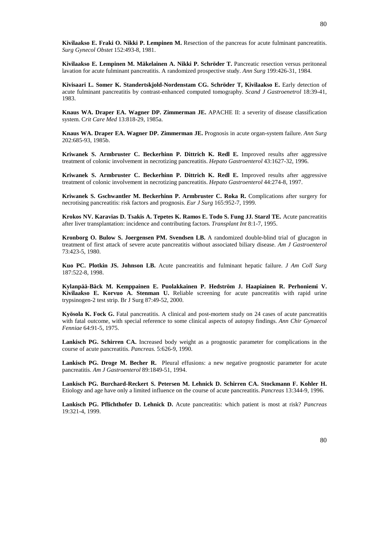**Kivilaakso E. Fraki O. Nikki P. Lempinen M.** Resection of the pancreas for acute fulminant pancreatitis. *Surg Gynecol Obstet* 152:493-8, 1981.

**Kivilaakso E. Lempinen M. Mäkelainen A. Nikki P. Schröder T.** Pancreatic resection versus peritoneal lavation for acute fulminant pancreatitis. A randomized prospective study. *Ann Surg* 199:426-31, 1984.

**Kivisaari L. Somer K. Standertskjold-Nordenstam CG. Schröder T, Kivilaakso E.** Early detection of acute fulminant pancreatitis by contrast-enhanced computed tomography. *Scand J Gastroenetrol* 18:39-41, 1983.

**Knaus WA. Draper EA. Wagner DP. Zimmerman JE.** APACHE II: a severity of disease classification system. C*rit Care Med* 13:818-29, 1985a.

**Knaus WA. Draper EA. Wagner DP. Zimmerman JE.** Prognosis in acute organ-system failure. *Ann Surg* 202:685-93, 1985b.

**Kriwanek S. Armbruster C. Beckerhinn P. Dittrich K. Redl E.** Improved results after aggressive treatment of colonic involvement in necrotizing pancreatitis. *Hepato Gastroenterol* 43:1627-32, 1996.

**Kriwanek S. Armbruster C. Beckerhinn P. Dittrich K. Redl E.** Improved results after aggressive treatment of colonic involvement in necrotizing pancreatitis. *Hepato Gastroenterol* 44:274-8, 1997.

**Kriwanek S. Gschwantler M. Beckerhinn P. Armbruster C. Roka R. Complications after surgery for** necrotising pancreatitis: risk factors and prognosis. *Eur J Surg* 165:952-7, 1999.

**Krokos NV. Karavias D. Tsakis A. Tepetes K. Ramos E. Todo S. Fung JJ. Starzl TE.** Acute pancreatitis after liver transplantation: incidence and contributing factors. *Transplant Int* 8:1-7, 1995.

**Kronborg O. Bulow S. Joergensen PM. Svendsen LB.** A randomized double-blind trial of glucagon in treatment of first attack of severe acute pancreatitis without associated biliary disease. *Am J Gastroenterol* 73:423-5, 1980.

**Kuo PC. Plotkin JS. Johnson LB.** Acute pancreatitis and fulminant hepatic failure. *J Am Coll Surg* 187:522-8, 1998.

**Kylanpää-Bäck M. Kemppainen E. Puolakkainen P. Hedström J. Haapiainen R. Perhoniemi V. Kivilaakso E. Korvuo A. Stenman U.** Reliable screening for acute pancreatitis with rapid urine trypsinogen-2 test strip. Br J Surg 87:49-52, 2000.

Kyösola K. Fock G. Fatal pancreatitis. A clinical and post-mortem study on 24 cases of acute pancreatitis with fatal outcome, with special reference to some clinical aspects of autopsy findings. *Ann Chir Gynaecol Fenniae* 64:91-5, 1975.

**Lankisch PG. Schirren CA.** Increased body weight as a prognostic parameter for complications in the course of acute pancreatitis. *Pancreas.* 5:626-9, 1990.

Lankisch PG. Droge M. Becher R. Pleural effusions: a new negative prognostic parameter for acute pancreatitis. *Am J Gastroenterol* 89:1849-51, 1994.

**Lankisch PG. Burchard-Reckert S. Petersen M. Lehnick D. Schirren CA. Stockmann F. Kohler H.** Etiology and age have only a limited influence on the course of acute pancreatitis. *Pancreas* 13:344-9, 1996.

**Lankisch PG. Pflichthofer D. Lehnick D.** Acute pancreatitis: which patient is most at risk? *Pancreas* 19:321-4, 1999.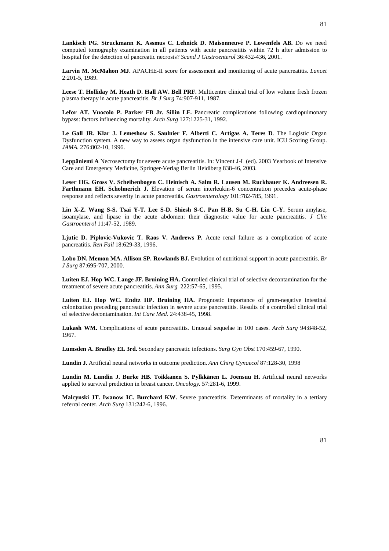**Lankisch PG. Struckmann K. Assmus C. Lehnick D. Maisonneuve P. Lowenfels AB.** Do we need computed tomography examination in all patients with acute pancreatitis within 72 h after admission to hospital for the detection of pancreatic necrosis? *Scand J Gastroenterol* 36:432-436, 2001.

**Larvin M. McMahon MJ.** APACHE-II score for assessment and monitoring of acute pancreatitis. *Lancet* 2:201-5, 1989.

**Leese T. Holliday M. Heath D. Hall AW. Bell PRF.** Multicentre clinical trial of low volume fresh frozen plasma therapy in acute pancreatitis. *Br J Surg* 74:907-911, 1987.

**Lefor AT. Vuocolo P. Parker FB Jr. Sillin LF.** Pancreatic complications following cardiopulmonary bypass: factors influencing mortality. *Arch Surg* 127:1225-31, 1992.

**Le Gall JR. Klar J. Lemeshow S. Saulnier F. Alberti C. Artigas A. Teres D**. The Logistic Organ Dysfunction system. A new way to assess organ dysfunction in the intensive care unit. ICU Scoring Group. *JAMA.* 276:802-10, 1996.

**Leppäniemi A** Necrosectomy for severe acute pancreatitis. In: Vincent J-L (ed). 2003 Yearbook of Intensive Care and Emergency Medicine, Springer-Verlag Berlin Heidlberg 838-46, 2003.

**Leser HG. Gross V. Scheibenbogen C. Heinisch A. Salm R. Lausen M. Ruckhauer K. Andreesen R.**  Farthmann EH. Scholmerich J. Elevation of serum interleukin-6 concentration precedes acute-phase response and reflects severity in acute pancreatitis. *Gastroenterology* 101:782-785, 1991.

Lin X-Z. Wang S-S. Tsai Y-T. Lee S-D. Shiesh S-C. Pan H-B. Su C-H. Lin C-Y. Serum amylase, isoamylase, and lipase in the acute abdomen: their diagnostic value for acute pancreatitis. *J Clin Gastroenterol* 11:47-52, 1989.

**Ljutic D. Piplovic-Vukovic T. Raos V. Andrews P.** Acute renal failure as a complication of acute pancreatitis. *Ren Fail* 18:629-33, 1996.

**Lobo DN. Memon MA. Allison SP. Rowlands BJ.** Evolution of nutritional support in acute pancreatitis. *Br J Surg* 87:695-707, 2000.

**Luiten EJ. Hop WC. Lange JF. Bruining HA.** Controlled clinical trial of selective decontamination for the treatment of severe acute pancreatitis. *Ann Surg* 222:57-65, 1995.

Luiten EJ. Hop WC. Endtz HP. Bruining HA. Prognostic importance of gram-negative intestinal colonization preceding pancreatic infection in severe acute pancreatitis. Results of a controlled clinical trial of selective decontamination. *Int Care Med.* 24:438-45, 1998.

**Lukash WM.** Complications of acute pancreatitis. Unusual sequelae in 100 cases. *Arch Surg* 94:848-52, 1967.

**Lumsden A. Bradley EL 3rd.** Secondary pancreatic infections. *Surg Gyn Obst* 170:459-67, 1990.

**Lundin J.** Artificial neural networks in outcome prediction. *Ann Chirg Gynaecol* 87:128-30, 1998

**Lundin M. Lundin J. Burke HB. Toikkanen S. Pylkkänen L. Joensuu H.** Artificial neural networks applied to survival prediction in breast cancer. *Oncology.* 57:281-6, 1999.

**Malcynski JT. Iwanow IC. Burchard KW.** Severe pancreatitis. Determinants of mortality in a tertiary referral center. *Arch Surg* 131:242-6, 1996.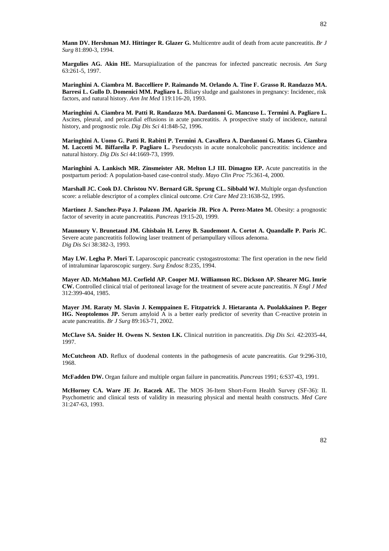**Mann DV. Hershman MJ. Hittinger R. Glazer G.** Multicentre audit of death from acute pancreatitis. *Br J Surg* 81:890-3, 1994.

**Margulies AG. Akin HE.** Marsupialization of the pancreas for infected pancreatic necrosis. *Am Surg* 63:261-5, 1997.

**Maringhini A. Ciambra M. Baccelliere P. Raimando M. Orlando A. Tine F. Grasso R. Randazzo MA. Barresi L. Gullo D. Domenici MM. Pagliaro L.** Biliary sludge and gaalstones in pregnancy: Incidenec, risk factors, and natural history. *Ann Int Med* 119:116-20, 1993.

**Maringhini A. Ciambra M. Patti R. Randazzo MA. Dardanoni G. Mancuso L. Termini A. Pagliaro L.**  Ascites, pleural, and pericardial effusions in acute pancreatitis. A prospective study of incidence, natural history, and prognostic role. *Dig Dis Sci* 41:848-52, 1996.

**Maringhini A. Uomo G. Patti R. Rabitti P. Termini A. Cavallera A. Dardanoni G. Manes G. Ciambra M. Laccetti M. Biffarella P. Pagliaro L.** Pseudocysts in acute nonalcoholic pancreatitis: incidence and natural history. *Dig Dis Sci* 44:1669-73, 1999.

**Maringhini A. Lankisch MR. Zinsmeister AR. Melton LJ III. Dimagno EP.** Acute pancreatitis in the postpartum period: A population-based case-control study. *Mayo Clin Proc* 75:361-4, 2000.

**Marshall JC. Cook DJ. Christou NV. Bernard GR. Sprung CL. Sibbald WJ.** Multiple organ dysfunction score: a reliable descriptor of a complex clinical outcome. *Crit Care Med* 23:1638-52, 1995.

Martinez J. Sanchez-Paya J. Palazon JM. Aparicio JR. Pico A. Perez-Mateo M. Obesity: a prognostic factor of severity in acute pancreatitis. *Pancreas* 19:15-20, 1999.

**Maunoury V. Brunetaud JM. Ghisbain H. Leroy B. Saudemont A. Cortot A. Quandalle P. Paris JC**. Severe acute pancreatitis following laser treatment of periampullary villous adenoma. *Dig Dis Sci* 38:382-3, 1993.

**May LW. Legha P. Mori T.** Laparoscopic pancreatic cystogastrostoma: The first operation in the new field of intraluminar laparoscopic surgery. *Surg Endosc* 8:235, 1994.

**Mayer AD. McMahon MJ. Corfield AP. Cooper MJ. Williamson RC. Dickson AP. Shearer MG. Imrie CW.** Controlled clinical trial of peritoneal lavage for the treatment of severe acute pancreatitis. *N Engl J Med* 312:399-404, 1985.

**Mayer JM. Raraty M. Slavin J. Kemppainen E. Fitzpatrick J. Hietaranta A. Puolakkainen P. Beger HG. Neoptolemos JP.** Serum amyloid A is a better early predictor of severity than C-reactive protein in acute pancreatitis. *Br J Surg* 89:163-71, 2002.

**McClave SA. Snider H. Owens N. Sexton LK.** Clinical nutrition in pancreatitis. *Dig Dis Sci.* 42:2035-44, 1997.

**McCutcheon AD.** Reflux of duodenal contents in the pathogenesis of acute pancreatitis. *Gut* 9:296-310, 1968.

**McFadden DW.** Organ failure and multiple organ failure in pancreatitis. *Pancreas* 1991; 6:S37-43, 1991.

**McHorney CA. Ware JE Jr. Raczek AE.** The MOS 36-Item Short-Form Health Survey (SF-36): II. Psychometric and clinical tests of validity in measuring physical and mental health constructs. *Med Care* 31:247-63, 1993.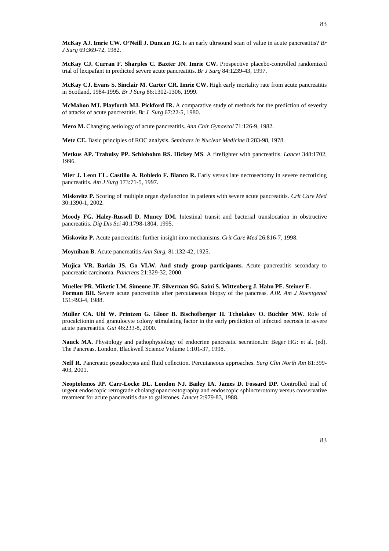**McKay AJ. Imrie CW. O'Neill J. Duncan JG.** Is an early ultrsound scan of value in acute pancreatitis? *Br J Surg* 69:369-72, 1982.

**McKay CJ. Curran F. Sharples C. Baxter JN. Imrie CW.** Prospective placebo-controlled randomized trial of lexipafant in predicted severe acute pancreatitis. *Br J Surg* 84:1239-43, 1997.

**McKay CJ. Evans S. Sinclair M. Carter CR. Imrie CW.** High early mortality rate from acute pancreatitis in Scotland, 1984-1995. *Br J Surg* 86:1302-1306, 1999.

**McMahon MJ. Playforth MJ. Pickford IR.** A comparative study of methods for the prediction of severity of attacks of acute pancreatitis. *Br J Surg* 67:22-5, 1980.

**Mero M.** Changing aetiology of acute pancreatitis. *Ann Chir Gynaecol* 71:126-9, 1982.

**Metz CE.** Basic principles of ROC analysis. *Seminars in Nuclear Medicine* 8:283-98, 1978.

**Metkus AP. Trabulsy PP. Schlobohm RS. Hickey MS**. A firefighter with pancreatitis. *Lancet* 348:1702, 1996.

**Mier J. Leon EL. Castillo A. Robledo F. Blanco R.** Early versus late necrosectomy in severe necrotizing pancreatitis. *Am J Surg* 173:71-5, 1997.

**Miskovitz P.** Scoring of multiple organ dysfunction in patients with severe acute pancreatitis. *Crit Care Med*  30:1390-1, 2002*.* 

**Moody FG. Haley-Russell D. Muncy DM.** Intestinal transit and bacterial translocation in obstructive pancreatitis. *Dig Dis Sci* 40:1798-1804, 1995.

**Miskovitz P.** Acute pancreatitis: further insight into mechanisms. *Crit Care Med* 26:816-7, 1998.

**Moynihan B.** Acute pancreatitis *Ann Surg.* 81:132-42, 1925.

**Mujica VR. Barkin JS. Go VLW. And study group participants.** Acute pancreatitis secondary to pancreatic carcinoma. *Pancreas* 21:329-32, 2000.

**Mueller PR. Miketic LM. Simeone JF. Silverman SG. Saini S. Wittenberg J. Hahn PF. Steiner E. Forman BH.** Severe acute pancreatitis after percutaneous biopsy of the pancreas. *AJR. Am J Roentgenol* 151:493-4, 1988.

**Müller CA. Uhl W. Printzen G. Gloor B. Bischofberger H. Tcholakov O. Büchler MW.** Role of procalcitonin and granulocyte colony stimulating factor in the early prediction of infected necrosis in severe acute pancreatitis. *Gut* 46:233-8, 2000.

**Nauck MA.** Physiology and pathophysiology of endocrine pancreatic secration.In: Beger HG: et al. (ed). The Pancreas. London, Blackwell Science Volume 1:101-37, 1998.

**Neff R.** Pancreatic pseudocysts and fluid collection. Percutaneous approaches. *Surg Clin North Am* 81:399- 403, 2001.

Neoptolemos JP. Carr-Locke DL. London NJ. Bailey IA. James D. Fossard DP. Controlled trial of urgent endoscopic retrograde cholangiopancreatography and endoscopic sphincterotomy versus conservative treatment for acute pancreatitis due to gallstones. *Lancet* 2:979-83, 1988.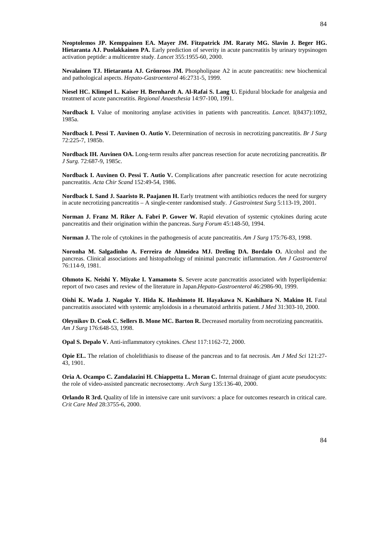**Neoptolemos JP. Kemppainen EA. Mayer JM. Fitzpatrick JM. Raraty MG. Slavin J. Beger HG. Hietaranta AJ. Puolakkainen PA.** Early prediction of severity in acute pancreatitis by urinary trypsinogen activation peptide: a multicentre study. *Lancet* 355:1955-60, 2000.

**Nevalainen TJ. Hietaranta AJ. Grönroos JM.** Phospholipase A2 in acute pancreatitis: new biochemical and pathological aspects. *Hepato-Gastroenterol* 46:2731-5, 1999.

**Niesel HC. Klimpel L. Kaiser H. Bernhardt A. Al-Rafai S. Lang U.** Epidural blockade for analgesia and treatment of acute pancreatitis. *Regional Anaesthesia* 14:97-100, 1991.

**Nordback I.** Value of monitoring amylase activities in patients with pancreatitis. *Lancet*. I(8437):1092, 1985a.

**Nordback I. Pessi T. Auvinen O. Autio V.** Determination of necrosis in necrotizing pancreatitis. *Br J Surg* 72:225-7, 1985b.

**Nordback IH. Auvinen OA.** Long-term results after pancreas resection for acute necrotizing pancreatitis. *Br J Surg.* 72:687-9, 1985c.

**Nordback I. Auvinen O. Pessi T. Autio V.** Complications after pancreatic resection for acute necrotizing pancreatitis. *Acta Chir Scand* 152:49-54, 1986.

**Nordback I. Sand J. Saaristo R. Paajanen H.** Early treatment with antibiotics reduces the need for surgery in acute necrotizing pancreatitis – A single-center randomised study. *J Gastrointest Surg* 5:113-19, 2001.

**Norman J. Franz M. Riker A. Fabri P. Gower W.** Rapid elevation of systemic cytokines during acute pancreatitis and their origination within the pancreas. *Surg Forum* 45:148-50, 1994.

**Norman J.** The role of cytokines in the pathogenesis of acute pancreatitis. *Am J Surg* 175:76-83, 1998.

**Noronha M. Salgadinho A. Ferreira de Almeidea MJ. Dreling DA. Bordalo O.** Alcohol and the pancreas. Clinical associations and histopathology of minimal pancreatic inflammation. *Am J Gastroenterol*  76:114-9, 1981.

**Ohmoto K. Neishi Y. Miyake I. Yamamoto S.** Severe acute pancreatitis associated with hyperlipidemia: report of two cases and review of the literature in Japan.*Hepato-Gastroenterol* 46:2986-90, 1999.

**Oishi K. Wada J. Nagake Y. Hida K. Hashimoto H. Hayakawa N. Kashihara N. Makino H.** Fatal pancreatitis associated with systemic amyloidosis in a rheumatoid arthritis patient. *J Med* 31:303-10, 2000.

**Oleynikov D. Cook C. Sellers B. Mone MC. Barton R.** Decreased mortality from necrotizing pancreatitis. *Am J Surg* 176:648-53, 1998.

**Opal S. Depalo V.** Anti-inflammatory cytokines. *Chest* 117:1162-72, 2000.

**Opie EL.** The relation of cholelithiasis to disease of the pancreas and to fat necrosis. *Am J Med Sci* 121:27- 43, 1901.

**Oria A. Ocampo C. Zandalazini H. Chiappetta L. Moran C.** Internal drainage of giant acute pseudocysts: the role of video-assisted pancreatic necrosectomy. *Arch Surg* 135:136-40, 2000.

**Orlando R 3rd.** Quality of life in intensive care unit survivors: a place for outcomes research in critical care. *Crit Care Med* 28:3755-6, 2000.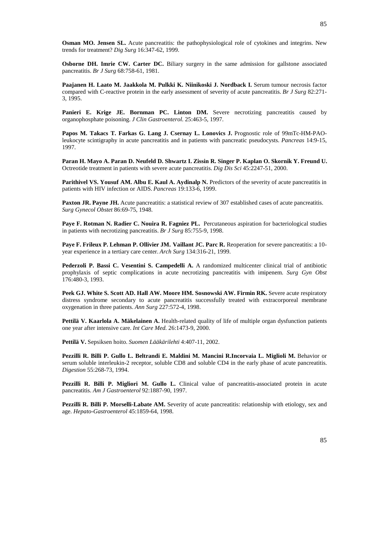**Osman MO. Jensen SL.** Acute pancreatitis: the pathophysiological role of cytokines and integrins. New trends for treatment? *Dig Surg* 16:347-62, 1999.

**Osborne DH. Imrie CW. Carter DC.** Biliary surgery in the same admission for gallstone associated pancreatitis. *Br J Surg* 68:758-61, 1981.

**Paajanen H. Laato M. Jaakkola M. Pulkki K. Niinikoski J. Nordback I.** Serum tumour necrosis factor compared with C-reactive protein in the early assessment of severity of acute pancreatitis. *Br J Surg* 82:271- 3, 1995.

**Panieri E. Krige JE. Bornman PC. Linton DM.** Severe necrotizing pancreatitis caused by organophosphate poisoning. *J Clin Gastroenterol*. 25:463-5, 1997.

Papos M. Takacs T. Farkas G. Lang J. Csernay L. Lonovics J. Prognostic role of 99mTc-HM-PAOleukocyte scintigraphy in acute pancreatitis and in patients with pancreatic pseudocysts. *Pancreas* 14:9-15, 1997.

**Paran H. Mayo A. Paran D. Neufeld D. Shwartz I. Zissin R. Singer P. Kaplan O. Skornik Y. Freund U.**  Octreotide treatment in patients with severe acute pancreatitis. *Dig Dis Sci* 45:2247-51, 2000.

**Parithivel VS. Yousuf AM. Albu E. Kaul A. Aydinalp N.** Predictors of the severity of acute pancreatitis in patients with HIV infection or AIDS. *Pancreas* 19:133-6, 1999.

**Paxton JR. Payne JH.** Acute pancreatitis: a statistical review of 307 established cases of acute pancreatitis. *Surg Gynecol Obstet* 86:69-75, 1948.

**Paye F. Rotman N. Radier C. Nouira R. Fagniez PL.** Percutaneous aspiration for bacteriological studies in patients with necrotizing pancreatitis. *Br J Surg* 85:755-9, 1998.

Paye F. Frileux P. Lehman P. Ollivier JM. Vaillant JC. Parc R. Reoperation for severe pancreatitis: a 10year experience in a tertiary care center. *Arch Surg* 134:316-21, 1999.

**Pederzoli P. Bassi C. Vesentini S. Campedelli A.** A randomized multicenter clinical trial of antibiotic prophylaxis of septic complications in acute necrotizing pancreatitis with imipenem. *Surg Gyn Obst*  176:480-3, 1993.

Peek GJ. White S. Scott AD. Hall AW. Moore HM. Sosnowski AW. Firmin RK. Severe acute respiratory distress syndrome secondary to acute pancreatitis successfully treated with extracorporeal membrane oxygenation in three patients. *Ann Surg* 227:572-4, 1998.

**Pettilä V. Kaarlola A. Mäkelainen A.** Health-related quality of life of multiple organ dysfunction patients one year after intensive care. *Int Care Med.* 26:1473-9, 2000.

**Pettilä V.** Sepsiksen hoito. *Suomen Lääkärilehti* 4:407-11, 2002.

**Pezzilli R. Billi P. Gullo L. Beltrandi E. Maldini M. Mancini R.Incorvaia L. Miglioli M.** Behavior or serum soluble interleukin-2 receptor, soluble CD8 and soluble CD4 in the early phase of acute pancreatitis. *Digestion* 55:268-73, 1994.

Pezzilli R. Billi P. Migliori M. Gullo L. Clinical value of pancreatitis-associated protein in acute pancreatitis. *Am J Gastroenterol* 92:1887-90, 1997.

**Pezzilli R. Billi P. Morselli-Labate AM.** Severity of acute pancreatitis: relationship with etiology, sex and age. *Hepato-Gastroenterol* 45:1859-64, 1998.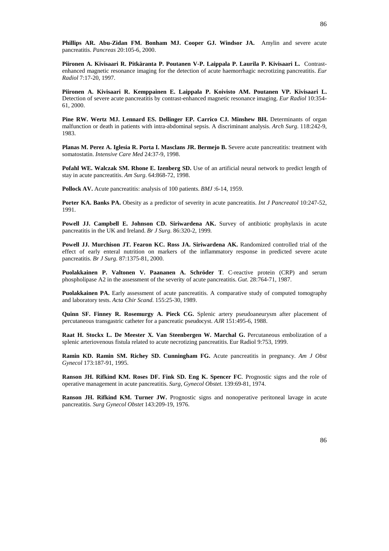**Phillips AR. Abu-Zidan FM. Bonham MJ. Cooper GJ. Windsor JA.** Amylin and severe acute pancreatitis. *Pancreas* 20:105-6, 2000.

**Piironen A. Kivisaari R. Pitkäranta P. Poutanen V-P. Laippala P. Laurila P. Kivisaari L.** Contrastenhanced magnetic resonance imaging for the detection of acute haemorrhagic necrotizing pancreatitis. *Eur Radiol* 7:17-20, 1997.

**Piironen A. Kivisaari R. Kemppainen E. Laippala P. Koivisto AM. Poutanen VP. Kivisaari L.**  Detection of severe acute pancreatitis by contrast-enhanced magnetic resonance imaging. *Eur Radiol* 10:354- 61, 2000.

Pine RW. Wertz MJ. Lennard ES. Dellinger EP. Carrico CJ. Minshew BH. Determinants of organ malfunction or death in patients with intra-abdominal sepsis. A discriminant analysis. *Arch Surg*. 118:242-9, 1983.

Planas M. Perez A. Iglesia R. Porta I. Masclans JR. Bermejo B. Severe acute pancreatitis: treatment with somatostatin. *Intensive Care Med* 24:37-9, 1998.

**Pofahl WE. Walczak SM. Rhone E. Izenberg SD.** Use of an artificial neural network to predict length of stay in acute pancreatitis. *Am Surg*. 64:868-72, 1998.

**Pollock AV.** Acute pancreatitis: analysis of 100 patients. *BMJ* :6-14, 1959.

**Porter KA. Banks PA.** Obesity as a predictor of severity in acute pancreatitis. *Int J Pancreatol* 10:247-52, 1991.

**Powell JJ. Campbell E. Johnson CD. Siriwardena AK.** Survey of antibiotic prophylaxis in acute pancreatitis in the UK and Ireland. *Br J Surg.* 86:320-2, 1999*.* 

Powell JJ. Murchison JT. Fearon KC. Ross JA. Siriwardena AK. Randomized controlled trial of the effect of early enteral nutrition on markers of the inflammatory response in predicted severe acute pancreatitis. *Br J Surg.* 87:1375-81, 2000.

**Puolakkainen P. Valtonen V. Paananen A. Schröder T**. C-reactive protein (CRP) and serum phospholipase A2 in the assessment of the severity of acute pancreatitis. *Gut*. 28:764-71, 1987.

**Puolakkainen PA.** Early assessment of acute pancreatitis. A comparative study of computed tomography and laboratory tests. *Acta Chir Scand.* 155:25-30, 1989.

**Quinn SF. Finney R. Rosemurgy A. Pieck CG.** Splenic artery pseudoaneurysm after placement of percutaneous transgastric catheter for a pancreatic pseudocyst. *AJR* 151:495-6, 1988.

**Raat H. Stockx L. De Meester X. Van Steenbergen W. Marchal G. Percutaneous embolization of a** splenic arteriovenous fistula related to acute necrotizing pancreatitis. Eur Radiol 9:753, 1999.

**Ramin KD. Ramin SM. Richey SD. Cunningham FG.** Acute pancreatitis in pregnancy. *Am J Obst Gynecol* 173:187-91, 1995.

**Ranson JH. Rifkind KM. Roses DF. Fink SD. Eng K. Spencer FC**. Prognostic signs and the role of operative management in acute pancreatitis. *Surg, Gynecol Obstet*. 139:69-81, 1974.

**Ranson JH. Rifkind KM. Turner JW.** Prognostic signs and nonoperative peritoneal lavage in acute pancreatitis. *Surg Gynecol Obstet* 143:209-19, 1976.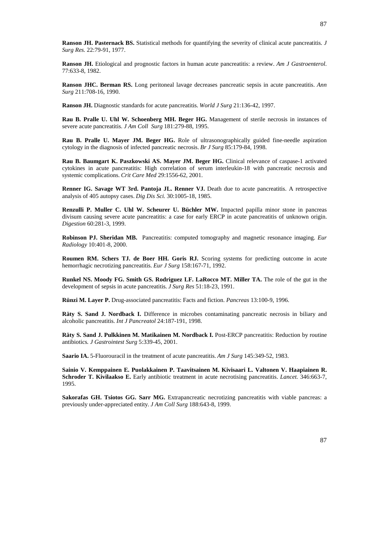**Ranson JH. Pasternack BS.** Statistical methods for quantifying the severity of clinical acute pancreatitis. *J Surg Res.* 22:79-91, 1977.

**Ranson JH.** Etiological and prognostic factors in human acute pancreatitis: a review. *Am J Gastroenterol*. 77:633-8, 1982.

**Ranson JHC. Berman RS.** Long peritoneal lavage decreases pancreatic sepsis in acute pancreatitis. *Ann Surg* 211:708-16, 1990.

**Ranson JH.** Diagnostic standards for acute pancreatitis. *World J Surg* 21:136-42, 1997.

**Rau B. Pralle U. Uhl W. Schoenberg MH. Beger HG.** Management of sterile necrosis in instances of severe acute pancreatitis. *J Am Coll Surg* 181:279-88, 1995.

**Rau B. Pralle U. Mayer JM. Beger HG.** Role of ultrasonographically guided fine-needle aspiration cytology in the diagnosis of infected pancreatic necrosis. *Br J Surg* 85:179-84, 1998.

**Rau B. Baumgart K. Paszkowski AS. Mayer JM. Beger HG.** Clinical relevance of caspase-1 activated cytokines in acute pancreatitis: High correlation of serum interleukin-18 with pancreatic necrosis and systemic complications. *Crit Care Med* 29:1556-62, 2001.

**Renner IG. Savage WT 3rd. Pantoja JL. Renner VJ.** Death due to acute pancreatitis. A retrospective analysis of 405 autopsy cases. *Dig Dis Sci.* 30:1005-18, 1985.

**Renzulli P. Muller C. Uhl W. Scheurer U. Büchler MW.** Impacted papilla minor stone in pancreas divisum causing severe acute pancreatitis: a case for early ERCP in acute pancreatitis of unknown origin. *Digestion* 60:281-3, 1999.

**Robinson PJ. Sheridan MB.** Pancreatitis: computed tomography and magnetic resonance imaging. *Eur Radiology* 10:401-8, 2000.

**Roumen RM. Schers TJ. de Boer HH. Goris RJ.** Scoring systems for predicting outcome in acute hemorrhagic necrotizing pancreatitis. *Eur J Surg* 158:167-71, 1992.

**Runkel NS. Moody FG. Smith GS. Rodriguez LF. LaRocco MT. Miller TA.** The role of the gut in the development of sepsis in acute pancreatitis. *J Surg Res* 51:18-23, 1991.

**Rünzi M. Layer P.** Drug-associated pancreatitis: Facts and fiction. *Pancreas* 13:100-9, 1996.

**Räty S. Sand J. Nordback I.** Difference in microbes contaminating pancreatic necrosis in biliary and alcoholic pancreatitis. *Int J Pancreatol* 24:187-191, 1998.

Räty S. Sand J. Pulkkinen M. Matikainen M. Nordback I. Post-ERCP pancreatitis: Reduction by routine antibiotics*. J Gastrointest Surg* 5:339-45, 2001.

**Saario IA.** 5-Fluorouracil in the treatment of acute pancreatitis. *Am J Surg* 145:349-52, 1983.

**Sainio V. Kemppainen E. Puolakkainen P. Taavitsainen M. Kivisaari L. Valtonen V. Haapiainen R. Schroder T. Kivilaakso E.** Early antibiotic treatment in acute necrotising pancreatitis. *Lancet*. 346:663-7, 1995.

**Sakorafas GH. Tsiotos GG. Sarr MG.** Extrapancreatic necrotizing pancreatitis with viable pancreas: a previously under-appreciated entity. *J Am Coll Surg* 188:643-8, 1999.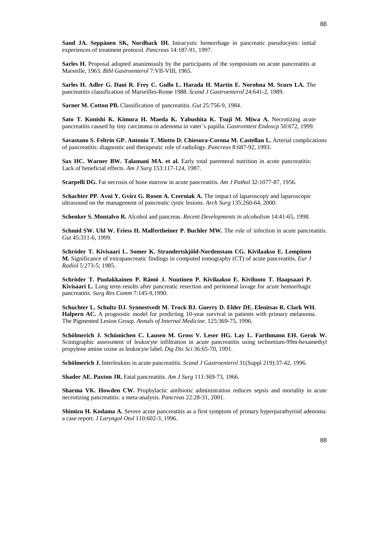**Sand JA. Seppänen SK, Nordback IH.** Intracystic hemorrhage in pancreatic pseudocysts: initial experiences of treatment protocol. *Pancreas* 14:187-91, 1997.

**Sarles H.** Proposal adopted ananimously by the participants of the symposium on acute pancreatitis at Marseille, 1963. *Bibl Gastroenterol* 7:VII-VIII, 1965.

**Sarles H. Adler G. Dani R. Frey C. Gullo L. Harada H. Martin E. Norohna M. Scuro LA.** The pancreatitis classification of Marseilles-Rome 1988. *Scand J Gastroenterol* 24:641-2, 1989.

**Sarner M. Cotton PB.** Classification of pancreatitis. *Gut* 25:756-9, 1984.

Sato T. Konishi K. Kimura H. Maeda K. Yabushita K. Tsuji M. Miwa A. Necrotizing acute pancreatitis caused by tiny carcinoma in adenoma in vater´s papilla. *Gastrointest Endoscp* 50:672, 1999.

**Savastano S. Feltrin GP. Antonio T. Miotto D. Chiesura-Corona M. Castellan L. Arterial complications** of pancreatitis: diagnostic and therapeutic role of radiology. *Pancreas* 8:687-92, 1993.

**Sax HC. Warner BW. Talamani MA. et al.** Early total parenteral nutrition in acute pancreatitis: Lack of beneficial effects. *Am J Surg* 153:117-124, 1987.

**Scarpelli DG.** Fat necrosis of bone marrow in acute pancreatitis. *Am J Pathol* 32:1077-87, 1956.

**Schachter PP. Avni Y. Gvirz G. Rosen A. Czerniak A.** The impact of laparoscopy and laparoscopic ultrasound on the management of pancreatic cystic lesions. *Arch Surg* 135:260-64, 2000.

**Schenker S. Montalvo R.** Alcohol and pancreas. *Recent Developments in alcoholism* 14:41-65, 1998.

**Schmid SW. Uhl W. Friess H. Malfertheiner P. Buchler MW.** The role of infection in acute pancreatitis. *Gut* 45:311-6, 1999.

**Schröder T. Kivisaari L. Somer K. Strandertskjöld-Nordenstam CG. Kivilaakso E. Lempinen M.** Significance of extrapancreatic findings in computed tomography (CT) of acute pancreatitis. *Eur J Radiol* 5:273-5; 1985.

**Schröder T. Puolakkainen P. Rämö J. Nuutinen P. Kivilaakso E. Kiviluoto T. Haapsaari P. Kivisaari L.** Long term results after pancreatic resection and peritoneal lavage for acute hemorrhagic pancreatitis. *Surg Res Comm* 7:145-9,1990.

**Schuchter L. Schultz DJ. Synnestvedt M. Trock BJ. Guerry D. Elder DE. Elenitsas R. Clark WH. Halpern AC.** A prognostic model for predicting 10-year survival in patients with primary melanoma. The Pigmented Lesion Group. *Annals of Internal Medicine*. 125:369-75, 1996.

**Schölmerich J. Schümichen C. Lausen M. Gross V. Leser HG. Lay L. Farthmann EH. Gerok W.**  Scintigraphic assessment of leukocyte infiltration in acute pancreatitis using technetium-99m-hexamethyl propylene amine oxine as leukocyte label. *Dig Dis Sci* 36:65-70, 1991.

**Schölmerich J.** Interleukins in acute pancreatitis. *Scand J Gastroenterol* 31(Suppl 219):37-42, 1996.

**Shader AE. Paxton JR.** Fatal pancreatitis. *Am J Surg* 111:369-73, 1966.

**Sharma VK. Howden CW.** Prophylactic antibiotic administration reduces sepsis and mortality in acute necrotizing pancreatitis: a meta-analysis. *Pancreas* 22:28-31, 2001.

**Shimizu H. Kodama A.** Severe acute pancreatitis as a first symptom of primary hyperparathyroid adenoma: a case report. *J Laryngol Otol* 110:602-3, 1996.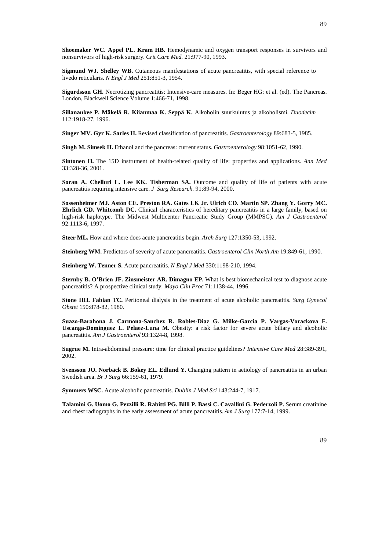**Shoemaker WC. Appel PL. Kram HB.** Hemodynamic and oxygen transport responses in survivors and nonsurvivors of high-risk surgery. *Crit Care Med.* 21:977-90, 1993.

**Sigmund WJ. Shelley WB.** Cutaneous manifestations of acute pancreatitis, with special reference to livedo reticularis. *N Engl J Med* 251:851-3, 1954.

**Sigurdsson GH.** Necrotizing pancreatitis: Intensive-care measures. In: Beger HG: et al. (ed). The Pancreas. London, Blackwell Science Volume 1:466-71, 1998.

**Sillanaukee P. Mäkelä R. Kiianmaa K. Seppä K.** Alkoholin suurkulutus ja alkoholismi. *Duodecim* 112:1918-27, 1996.

**Singer MV. Gyr K. Sarles H.** Revised classification of pancreatitis. *Gastroenterology* 89:683-5, 1985.

**Singh M. Simsek H.** Ethanol and the pancreas: current status. *Gastroenterology* 98:1051-62, 1990.

**Sintonen H.** The 15D instrument of health-related quality of life: properties and applications. *Ann Med* 33:328-36, 2001.

**Soran A. Chelluri L. Lee KK. Tisherman SA.** Outcome and quality of life of patients with acute pancreatitis requiring intensive care. *J Surg Research.* 91:89-94, 2000.

**Sossenheimer MJ. Aston CE. Preston RA. Gates LK Jr. Ulrich CD. Martin SP. Zhang Y. Gorry MC. Ehrlich GD. Whitcomb DC.** Clinical characteristics of hereditary pancreatitis in a large family, based on high-risk haplotype. The Midwest Multicenter Pancreatic Study Group (MMPSG). *Am J Gastroenterol* 92:1113-6, 1997.

**Steer ML.** How and where does acute pancreatitis begin. *Arch Surg* 127:1350-53, 1992.

**Steinberg WM.** Predictors of severity of acute pancreatitis. *Gastroenterol Clin North Am* 19:849-61, 1990.

**Steinberg W. Tenner S.** Acute pancreatitis. *N Engl J Med* 330:1198-210, 1994.

**Sternby B. O'Brien JF. Zinsmeister AR. Dimagno EP.** What is best biomechanical test to diagnose acute pancreatitis? A prospective clinical study. *Mayo Clin Proc* 71:1138-44, 1996.

**Stone HH. Fabian TC.** Peritoneal dialysis in the treatment of acute alcoholic pancreatitis. *Surg Gynecol Obstet* 150:878-82, 1980.

**Suazo-Barahona J. Carmona-Sanchez R. Robles-Diaz G. Milke-Garcia P. Vargas-Vorackova F. Uscanga-Dominguez L. Pelaez-Luna M.** Obesity: a risk factor for severe acute biliary and alcoholic pancreatitis. *Am J Gastroenterol* 93:1324-8, 1998.

**Sugrue M.** Intra-abdominal pressure: time for clinical practice guidelines? *Intensive Care Med* 28:389-391, 2002.

**Svensson JO. Norbäck B. Bokey EL. Edlund Y.** Changing pattern in aetiology of pancreatitis in an urban Swedish area. *Br J Surg* 66:159-61, 1979.

**Symmers WSC.** Acute alcoholic pancreatitis. *Dublin J Med Sci* 143:244-7, 1917.

Talamini G. Uomo G. Pezzilli R. Rabitti PG. Billi P. Bassi C. Cavallini G. Pederzoli P. Serum creatinine and chest radiographs in the early assessment of acute pancreatitis. *Am J Surg* 177:7-14, 1999.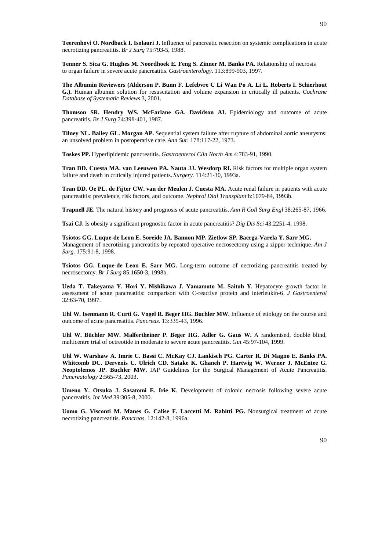**Teerenhovi O. Nordback I. Isolauri J.** Influence of pancreatic resection on systemic complications in acute necrotizing pancreatitis. *Br J Surg* 75:793-5, 1988.

**Tenner S. Sica G. Hughes M. Noordhoek E. Feng S. Zinner M. Banks PA.** Relationship of necrosis to organ failure in severe acute pancreatitis. *Gastroenterology*. 113:899-903, 1997.

**The Albumin Reviewers (Alderson P. Bunn F. Lefebvre C Li Wan Po A. Li L. Roberts I. Schierhout G.).** Human albumin solution for resuscitation and volume expansion in critically ill patients. *Cochrane Database of Systematic Reviews* 3, 2001.

**Thomson SR. Hendry WS. McFarlane GA. Davidson AI.** Epidemiology and outcome of acute pancreatitis. *Br J Surg* 74:398-401, 1987.

**Tilney NL. Bailey GL. Morgan AP.** Sequential system failure after rupture of abdominal aortic aneurysms: an unsolved problem in postoperative care. *Ann Sur.* 178:117-22, 1973.

**Toskes PP.** Hyperlipidemic pancreatitis. *Gastroenterol Clin North Am* 4:783-91, 1990.

**Tran DD. Cuesta MA. van Leeuwen PA. Nauta JJ. Wesdorp RI.** Risk factors for multiple organ system failure and death in critically injured patients. *Surgery.* 114:21-30, 1993a.

**Tran DD. Oe PL. de Fijter CW. van der Meulen J. Cuesta MA.** Acute renal failure in patients with acute pancreatitis: prevalence, risk factors, and outcome. *Nephrol Dial Transplant* 8:1079-84, 1993b.

**Trapnell JE.** The natural history and prognosis of acute pancreatitis. *Ann R Coll Surg Engl* 38:265-87, 1966.

**Tsai CJ.** Is obesity a significant prognostic factor in acute pancreatitis? *Dig Dis Sci* 43:2251-4, 1998.

**Tsiotos GG. Luque-de Leon E. Soreide JA. Bannon MP. Zietlow SP. Baerga-Varela Y. Sarr MG.**  Management of necrotizing pancreatitis by repeated operative necrosectomy using a zipper technique. *Am J Surg.* 175:91-8, 1998.

**Tsiotos GG. Luque-de Leon E. Sarr MG.** Long-term outcome of necrotizing pancreatitis treated by necrosectomy. *Br J Surg* 85:1650-3, 1998b.

**Ueda T. Takeyama Y. Hori Y. Nishikawa J. Yamamoto M. Saitoh Y.** Hepatocyte growth factor in assessment of acute pancreatitis: comparison with C-reactive protein and interleukin-6. *J Gastroenterol* 32:63-70, 1997.

**Uhl W. Isenmann R. Curti G. Vogel R. Beger HG. Buchler MW.** Influence of etiology on the course and outcome of acute pancreatitis. *Pancreas.* 13:335-43, 1996.

Uhl W. Büchler MW. Malfertheiner P. Beger HG. Adler G. Gaus W. A randomised, double blind, multicentre trial of octreotide in moderate to severe acute pancreatitis. *Gut* 45:97-104, 1999.

**Uhl W. Warshaw A. Imrie C. Bassi C. McKay CJ. Lankisch PG. Carter R. Di Magno E. Banks PA. Whitcomb DC. Dervenis C. Ulrich CD. Satake K. Ghaneh P. Hartwig W. Werner J. McEntee G. Neoptolemos JP. Buchler MW.** IAP Guidelines for the Surgical Management of Acute Pancreatitis. *Pancreatology* 2:565-73, 2003.

**Umeno Y. Otsuka J. Sasatomi E. Irie K.** Development of colonic necrosis following severe acute pancreatitis. *Int Med* 39:305-8, 2000.

**Uomo G. Visconti M. Manes G. Calise F. Laccetti M. Rabitti PG.** Nonsurgical treatment of acute necrotizing pancreatitis. *Pancreas.* 12:142-8, 1996a.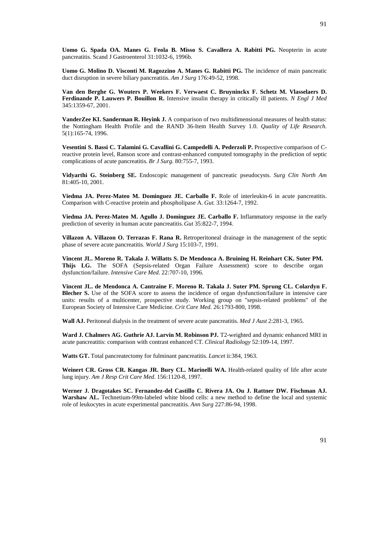**Uomo G. Spada OA. Manes G. Feola B. Misso S. Cavallera A. Rabitti PG.** Neopterin in acute pancreatitis. Scand J Gastroenterol 31:1032-6, 1996b.

**Uomo G. Molino D. Visconti M. Ragozzino A. Manes G. Rabitti PG.** The incidence of main pancreatic duct disruption in severe biliary pancreatitis. *Am J Surg* 176:49-52, 1998.

**Van den Berghe G. Wouters P. Weekers F. Verwaest C. Bruyninckx F. Schetz M. Vlasselaers D. Ferdinande P. Lauwers P. Bouillon R.** Intensive insulin therapy in critically ill patients. *N Engl J Med* 345:1359-67, 2001.

**VanderZee KI. Sanderman R. Heyink J.** A comparison of two multidimensional measures of health status: the Nottingham Health Profile and the RAND 36-Item Health Survey 1.0. *Quality of Life Research.* 5(1):165-74, 1996.

**Vesentini S. Bassi C. Talamini G. Cavallini G. Campedelli A. Pederzoli P.** Prospective comparison of Creactive protein level, Ranson score and contrast-enhanced computed tomography in the prediction of septic complications of acute pancreatitis. *Br J Surg.* 80:755-7, 1993.

**Vidyarthi G. Steinberg SE.** Endoscopic management of pancreatic pseudocysts. *Surg Clin North Am* 81:405-10, 2001.

**Viedma JA. Perez-Mateo M. Dominguez JE. Carballo F.** Role of interleukin-6 in acute pancreatitis. Comparison with C-reactive protein and phospholipase A. *Gut.* 33:1264-7, 1992.

**Viedma JA. Perez-Mateo M. Agullo J. Dominguez JE. Carballo F.** Inflammatory response in the early prediction of severity in human acute pancreatitis. *Gut* 35:822-7, 1994.

**Villazon A. Villazon O. Terrazas F. Rana R.** Retroperitoneal drainage in the management of the septic phase of severe acute pancreatitis. *World J Surg* 15:103-7, 1991.

**Vincent JL. Moreno R. Takala J. Willatts S. De Mendonca A. Bruining H. Reinhart CK. Suter PM. Thijs LG.** The SOFA (Sepsis-related Organ Failure Assessment) score to describe organ dysfunction/failure. *Intensive Care Med*. 22:707-10, 1996.

**Vincent JL. de Mendonca A. Cantraine F. Moreno R. Takala J. Suter PM. Sprung CL. Colardyn F. Blecher S.** Use of the SOFA score to assess the incidence of organ dysfunction/failure in intensive care units: results of a multicenter, prospective study. Working group on "sepsis-related problems" of the European Society of Intensive Care Medicine. *Crit Care Med.* 26:1793-800, 1998.

**Wall AJ.** Peritoneal dialysis in the treatment of severe acute pancreatitis. *Med J Aust* 2:281-3, 1965.

Ward J. Chalmers AG. Guthrie AJ. Larvin M. Robinson PJ. T2-weighted and dynamic enhanced MRI in acute pancreatitis: comparison with contrast enhanced CT. *Clinical Radiology* 52:109-14, 1997.

**Watts GT.** Total pancreatectomy for fulminant pancreatitis. *Lancet* ii:384, 1963.

**Weinert CR. Gross CR. Kangas JR. Bury CL. Marinelli WA.** Health-related quality of life after acute lung injury. *Am J Resp Crit Care Med.* 156:1120-8, 1997.

**Werner J. Dragotakes SC. Fernandez-del Castillo C. Rivera JA. Ou J. Rattner DW. Fischman AJ. Warshaw AL.** Technetium-99m-labeled white blood cells: a new method to define the local and systemic role of leukocytes in acute experimental pancreatitis. *Ann Surg* 227:86-94, 1998.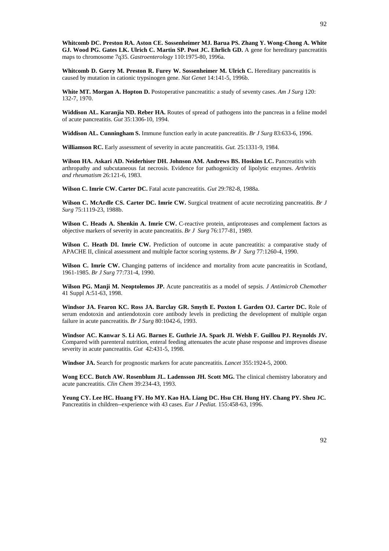**Whitcomb DC. Preston RA. Aston CE. Sossenheimer MJ. Barua PS. Zhang Y. Wong-Chong A. White GJ. Wood PG. Gates LK. Ulrich C. Martin SP. Post JC. Ehrlich GD.** A gene for hereditary pancreatitis maps to chromosome 7q35. *Gastroenterology* 110:1975-80, 1996a.

Whitcomb D. Gorry M. Preston R. Furey W. Sossenheimer M. Ulrich C. Hereditary pancreatitis is caused by mutation in cationic trypsinogen gene. *Nat Genet* 14:141-5, 1996b.

**White MT. Morgan A. Hopton D.** Postoperative pancreatitis: a study of seventy cases. *Am J Surg* 120: 132-7, 1970.

**Widdison AL. Karanjia ND. Reber HA.** Routes of spread of pathogens into the pancreas in a feline model of acute pancreatitis. *Gut* 35:1306-10, 1994.

**Widdison AL. Cunningham S.** Immune function early in acute pancreatitis. *Br J Surg* 83:633-6, 1996.

**Williamson RC.** Early assessment of severity in acute pancreatitis. *Gut.* 25:1331-9, 1984.

**Wilson HA. Askari AD. Neiderhiser DH. Johnson AM. Andrews BS. Hoskins LC.** Pancreatitis with arthropathy and subcutaneous fat necrosis. Evidence for pathogenicity of lipolytic enzymes. *Arthritis and rheumatism* 26:121-6, 1983.

**Wilson C. Imrie CW. Carter DC.** Fatal acute pancreatitis. *Gut* 29:782-8, 1988a.

**Wilson C. McArdle CS. Carter DC. Imrie CW.** Surgical treatment of acute necrotizing pancreatitis. *Br J Surg* 75:1119-23, 1988b.

**Wilson C. Heads A. Shenkin A. Imrie CW.** C-reactive protein, antiproteases and complement factors as objective markers of severity in acute pancreatitis. *Br J Surg* 76:177-81, 1989.

**Wilson C. Heath DI. Imrie CW.** Prediction of outcome in acute pancreatitis: a comparative study of APACHE II, clinical assessment and multiple factor scoring systems. *Br J Surg* 77:1260-4, 1990.

Wilson C. Imrie CW. Changing patterns of incidence and mortality from acute pancreatitis in Scotland, 1961-1985. *Br J Surg* 77:731-4, 1990.

**Wilson PG. Manji M. Neoptolemos JP.** Acute pancreatitis as a model of sepsis. *J Antimicrob Chemother* 41 Suppl A:51-63, 1998.

**Windsor JA. Fearon KC. Ross JA. Barclay GR. Smyth E. Poxton I. Garden OJ. Carter DC.** Role of serum endotoxin and antiendotoxin core antibody levels in predicting the development of multiple organ failure in acute pancreatitis. *Br J Surg* 80:1042-6, 1993.

**Windsor AC. Kanwar S. Li AG. Barnes E. Guthrie JA. Spark JI. Welsh F. Guillou PJ. Reynolds JV.**  Compared with parenteral nutrition, enteral feeding attenuates the acute phase response and improves disease severity in acute pancreatitis. *Gut* 42:431-5, 1998.

**Windsor JA.** Search for prognostic markers for acute pancreatitis. *Lancet* 355:1924-5, 2000.

**Wong ECC. Butch AW. Rosenblum JL. Ladensson JH. Scott MG.** The clinical chemistry laboratory and acute pancreatitis. *Clin Chem* 39:234-43, 1993.

**Yeung CY. Lee HC. Huang FY. Ho MY. Kao HA. Liang DC. Hsu CH. Hung HY. Chang PY. Sheu JC.**  Pancreatitis in children--experience with 43 cases. *Eur J Pediat.* 155:458-63, 1996.